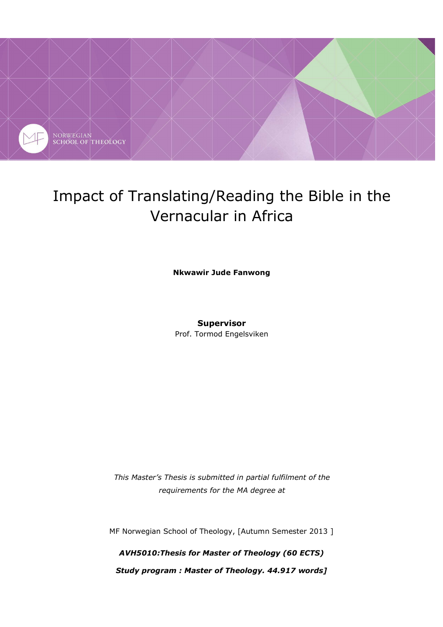

# Impact of Translating/Reading the Bible in the Vernacular in Africa

**Nkwawir Jude Fanwong** 

## **Supervisor**

Prof. Tormod Engelsviken

*This Master's Thesis is submitted in partial fulfilment of the requirements for the MA degree at* 

MF Norwegian School of Theology, [Autumn Semester 2013 ]

*AVH5010:Thesis for Master of Theology (60 ECTS) Study program : Master of Theology. 44.917 words]*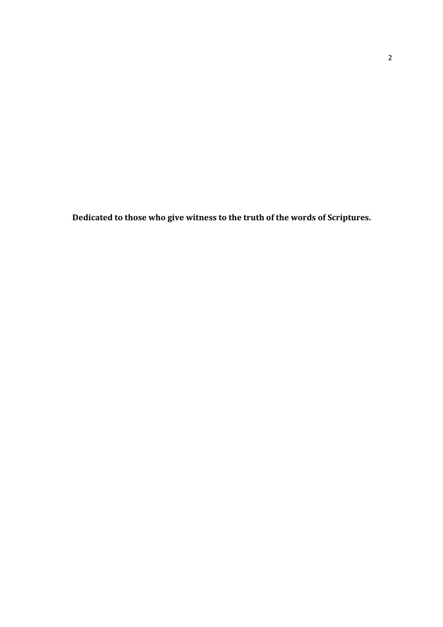**Dedicated to those who give witness to the truth of the words of Scriptures.**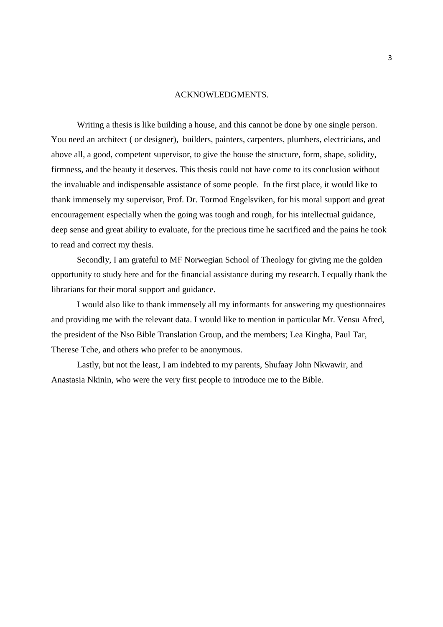#### ACKNOWLEDGMENTS.

 Writing a thesis is like building a house, and this cannot be done by one single person. You need an architect ( or designer), builders, painters, carpenters, plumbers, electricians, and above all, a good, competent supervisor, to give the house the structure, form, shape, solidity, firmness, and the beauty it deserves. This thesis could not have come to its conclusion without the invaluable and indispensable assistance of some people. In the first place, it would like to thank immensely my supervisor, Prof. Dr. Tormod Engelsviken, for his moral support and great encouragement especially when the going was tough and rough, for his intellectual guidance, deep sense and great ability to evaluate, for the precious time he sacrificed and the pains he took to read and correct my thesis.

 Secondly, I am grateful to MF Norwegian School of Theology for giving me the golden opportunity to study here and for the financial assistance during my research. I equally thank the librarians for their moral support and guidance.

 I would also like to thank immensely all my informants for answering my questionnaires and providing me with the relevant data. I would like to mention in particular Mr. Vensu Afred, the president of the Nso Bible Translation Group, and the members; Lea Kingha, Paul Tar, Therese Tche, and others who prefer to be anonymous.

 Lastly, but not the least, I am indebted to my parents, Shufaay John Nkwawir, and Anastasia Nkinin, who were the very first people to introduce me to the Bible.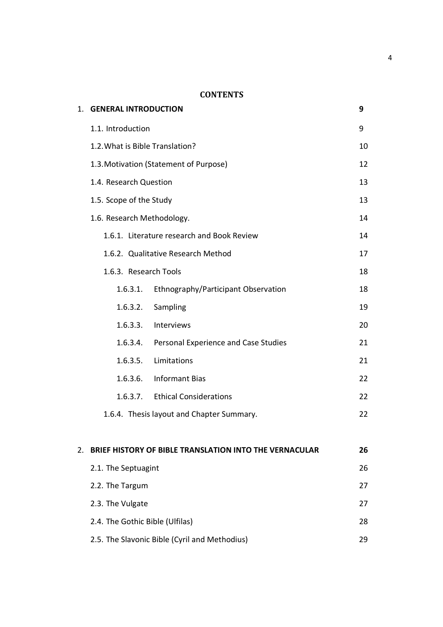# **CONTENTS**

|    | 1. GENERAL INTRODUCTION         |                                                        | 9  |
|----|---------------------------------|--------------------------------------------------------|----|
|    | 1.1. Introduction               |                                                        | 9  |
|    | 1.2. What is Bible Translation? |                                                        | 10 |
|    |                                 | 1.3. Motivation (Statement of Purpose)                 | 12 |
|    | 1.4. Research Question          |                                                        | 13 |
|    | 1.5. Scope of the Study         |                                                        | 13 |
|    | 1.6. Research Methodology.      |                                                        | 14 |
|    |                                 | 1.6.1. Literature research and Book Review             | 14 |
|    |                                 | 1.6.2. Qualitative Research Method                     | 17 |
|    | 1.6.3. Research Tools           |                                                        | 18 |
|    | 1.6.3.1.                        | Ethnography/Participant Observation                    | 18 |
|    | 1.6.3.2.                        | Sampling                                               | 19 |
|    | 1.6.3.3.                        | Interviews                                             | 20 |
|    | 1.6.3.4.                        | Personal Experience and Case Studies                   | 21 |
|    | 1.6.3.5.                        | Limitations                                            | 21 |
|    | 1.6.3.6.                        | <b>Informant Bias</b>                                  | 22 |
|    | 1.6.3.7.                        | <b>Ethical Considerations</b>                          | 22 |
|    |                                 | 1.6.4. Thesis layout and Chapter Summary.              | 22 |
|    |                                 |                                                        |    |
| 2. |                                 | BRIEF HISTORY OF BIBLE TRANSLATION INTO THE VERNACULAR | 26 |
|    | 2.1. The Septuagint             |                                                        | 26 |
|    | 2.2. The Targum                 |                                                        | 27 |
|    | 2.3. The Vulgate                |                                                        | 27 |
|    | 2.4. The Gothic Bible (Ulfilas) |                                                        | 28 |
|    |                                 | 2.5. The Slavonic Bible (Cyril and Methodius)          | 29 |

4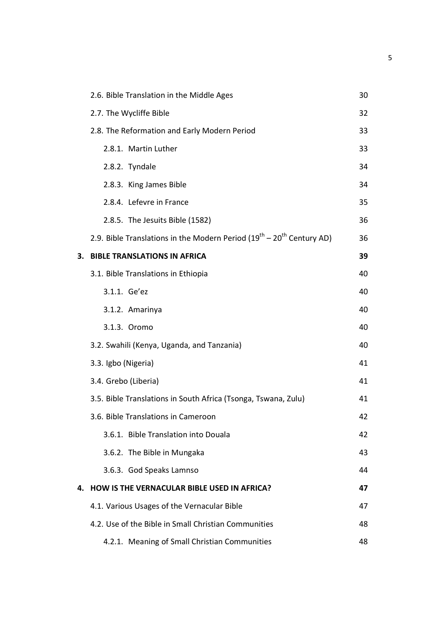| 2.6. Bible Translation in the Middle Ages                                     | 30 |
|-------------------------------------------------------------------------------|----|
| 2.7. The Wycliffe Bible                                                       | 32 |
| 2.8. The Reformation and Early Modern Period                                  | 33 |
| 2.8.1. Martin Luther                                                          | 33 |
| 2.8.2. Tyndale                                                                | 34 |
| 2.8.3. King James Bible                                                       | 34 |
| 2.8.4. Lefevre in France                                                      | 35 |
| 2.8.5. The Jesuits Bible (1582)                                               | 36 |
| 2.9. Bible Translations in the Modern Period $(19^{th} - 20^{th}$ Century AD) | 36 |
| 3. BIBLE TRANSLATIONS IN AFRICA                                               | 39 |
| 3.1. Bible Translations in Ethiopia                                           | 40 |
| 3.1.1. Ge'ez                                                                  | 40 |
| 3.1.2. Amarinya                                                               | 40 |
| 3.1.3. Oromo                                                                  | 40 |
| 3.2. Swahili (Kenya, Uganda, and Tanzania)                                    | 40 |
| 3.3. Igbo (Nigeria)                                                           | 41 |
| 3.4. Grebo (Liberia)                                                          | 41 |
| 3.5. Bible Translations in South Africa (Tsonga, Tswana, Zulu)                | 41 |
| 3.6. Bible Translations in Cameroon                                           | 42 |
| 3.6.1. Bible Translation into Douala                                          | 42 |
| 3.6.2. The Bible in Mungaka                                                   | 43 |
| 3.6.3. God Speaks Lamnso                                                      | 44 |
| 4. HOW IS THE VERNACULAR BIBLE USED IN AFRICA?                                | 47 |
| 4.1. Various Usages of the Vernacular Bible                                   | 47 |
| 4.2. Use of the Bible in Small Christian Communities                          | 48 |
| 4.2.1. Meaning of Small Christian Communities                                 | 48 |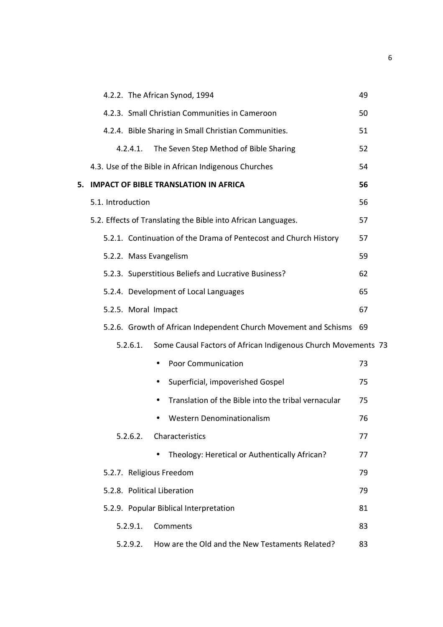|    | 4.2.2. The African Synod, 1994                                            | 49 |
|----|---------------------------------------------------------------------------|----|
|    | 4.2.3. Small Christian Communities in Cameroon                            | 50 |
|    | 4.2.4. Bible Sharing in Small Christian Communities.                      | 51 |
|    | 4.2.4.1.<br>The Seven Step Method of Bible Sharing                        | 52 |
|    | 4.3. Use of the Bible in African Indigenous Churches                      | 54 |
| 5. | <b>IMPACT OF BIBLE TRANSLATION IN AFRICA</b>                              | 56 |
|    | 5.1. Introduction                                                         | 56 |
|    | 5.2. Effects of Translating the Bible into African Languages.             | 57 |
|    | 5.2.1. Continuation of the Drama of Pentecost and Church History          | 57 |
|    | 5.2.2. Mass Evangelism                                                    | 59 |
|    | 5.2.3. Superstitious Beliefs and Lucrative Business?                      | 62 |
|    | 5.2.4. Development of Local Languages                                     | 65 |
|    | 5.2.5. Moral Impact                                                       | 67 |
|    | 5.2.6. Growth of African Independent Church Movement and Schisms 69       |    |
|    | 5.2.6.1.<br>Some Causal Factors of African Indigenous Church Movements 73 |    |
|    | <b>Poor Communication</b><br>$\bullet$                                    | 73 |
|    | Superficial, impoverished Gospel                                          | 75 |
|    | Translation of the Bible into the tribal vernacular                       | 75 |
|    | <b>Western Denominationalism</b>                                          | 76 |
|    | 5.2.6.2.<br>Characteristics                                               | 77 |
|    | Theology: Heretical or Authentically African?                             | 77 |
|    | 5.2.7. Religious Freedom                                                  | 79 |
|    | 5.2.8. Political Liberation                                               | 79 |
|    | 5.2.9. Popular Biblical Interpretation                                    | 81 |
|    | Comments<br>5.2.9.1.                                                      | 83 |
|    | How are the Old and the New Testaments Related?<br>5.2.9.2.               | 83 |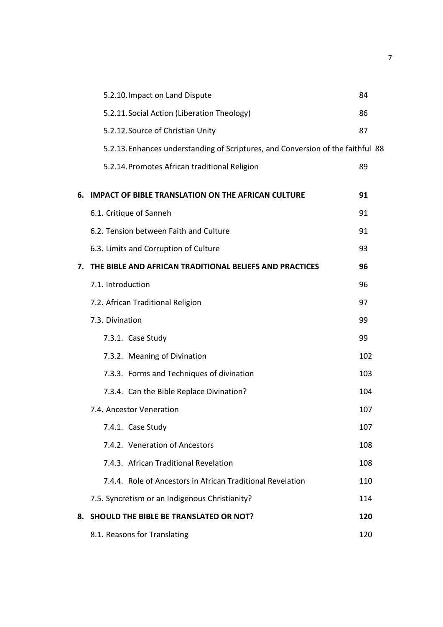|    | 5.2.10. Impact on Land Dispute                                                  | 84  |
|----|---------------------------------------------------------------------------------|-----|
|    | 5.2.11. Social Action (Liberation Theology)                                     | 86  |
|    | 5.2.12. Source of Christian Unity                                               | 87  |
|    | 5.2.13. Enhances understanding of Scriptures, and Conversion of the faithful 88 |     |
|    | 5.2.14. Promotes African traditional Religion                                   | 89  |
|    | 6. IMPACT OF BIBLE TRANSLATION ON THE AFRICAN CULTURE                           | 91  |
|    | 6.1. Critique of Sanneh                                                         | 91  |
|    | 6.2. Tension between Faith and Culture                                          | 91  |
|    | 6.3. Limits and Corruption of Culture                                           | 93  |
| 7. | THE BIBLE AND AFRICAN TRADITIONAL BELIEFS AND PRACTICES                         | 96  |
|    | 7.1. Introduction                                                               | 96  |
|    | 7.2. African Traditional Religion                                               | 97  |
|    | 7.3. Divination                                                                 | 99  |
|    | 7.3.1. Case Study                                                               | 99  |
|    | 7.3.2. Meaning of Divination                                                    | 102 |
|    | 7.3.3. Forms and Techniques of divination                                       | 103 |
|    | 7.3.4. Can the Bible Replace Divination?                                        | 104 |
|    | 7.4. Ancestor Veneration                                                        | 107 |
|    | 7.4.1. Case Study                                                               | 107 |
|    | 7.4.2. Veneration of Ancestors                                                  | 108 |
|    | 7.4.3. African Traditional Revelation                                           | 108 |
|    | 7.4.4. Role of Ancestors in African Traditional Revelation                      | 110 |
|    | 7.5. Syncretism or an Indigenous Christianity?                                  | 114 |
| 8. | SHOULD THE BIBLE BE TRANSLATED OR NOT?                                          | 120 |
|    | 8.1. Reasons for Translating                                                    | 120 |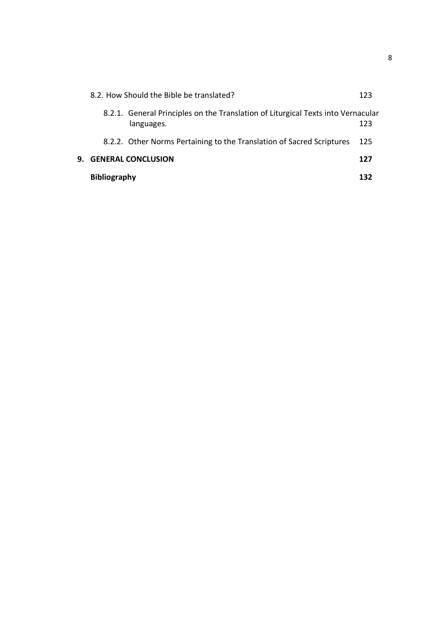|    | <b>Bibliography</b>                                                                            | 132 |
|----|------------------------------------------------------------------------------------------------|-----|
| 9. | <b>GENERAL CONCLUSION</b>                                                                      | 127 |
|    | 8.2.2. Other Norms Pertaining to the Translation of Sacred Scriptures                          | 125 |
|    | 8.2.1. General Principles on the Translation of Liturgical Texts into Vernacular<br>languages. | 123 |
|    | 8.2. How Should the Bible be translated?                                                       | 123 |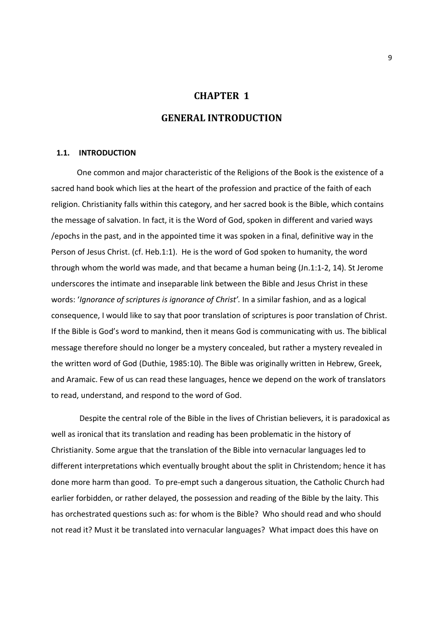## **CHAPTER 1**

## **GENERAL INTRODUCTION**

#### **1.1. INTRODUCTION**

One common and major characteristic of the Religions of the Book is the existence of a sacred hand book which lies at the heart of the profession and practice of the faith of each religion. Christianity falls within this category, and her sacred book is the Bible, which contains the message of salvation. In fact, it is the Word of God, spoken in different and varied ways /epochs in the past, and in the appointed time it was spoken in a final, definitive way in the Person of Jesus Christ. (cf. Heb.1:1). He is the word of God spoken to humanity, the word through whom the world was made, and that became a human being (Jn.1:1-2, 14). St Jerome underscores the intimate and inseparable link between the Bible and Jesus Christ in these words: '*Ignorance of scriptures is ignorance of Christ'.* In a similar fashion, and as a logical consequence, I would like to say that poor translation of scriptures is poor translation of Christ. If the Bible is God's word to mankind, then it means God is communicating with us. The biblical message therefore should no longer be a mystery concealed, but rather a mystery revealed in the written word of God (Duthie, 1985:10). The Bible was originally written in Hebrew, Greek, and Aramaic. Few of us can read these languages, hence we depend on the work of translators to read, understand, and respond to the word of God.

Despite the central role of the Bible in the lives of Christian believers, it is paradoxical as well as ironical that its translation and reading has been problematic in the history of Christianity. Some argue that the translation of the Bible into vernacular languages led to different interpretations which eventually brought about the split in Christendom; hence it has done more harm than good. To pre-empt such a dangerous situation, the Catholic Church had earlier forbidden, or rather delayed, the possession and reading of the Bible by the laity. This has orchestrated questions such as: for whom is the Bible? Who should read and who should not read it? Must it be translated into vernacular languages? What impact does this have on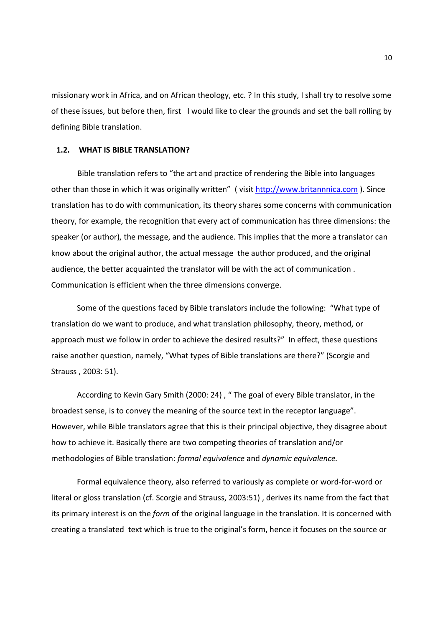missionary work in Africa, and on African theology, etc. ? In this study, I shall try to resolve some of these issues, but before then, first I would like to clear the grounds and set the ball rolling by defining Bible translation.

#### **1.2. WHAT IS BIBLE TRANSLATION?**

Bible translation refers to "the art and practice of rendering the Bible into languages other than those in which it was originally written" (visit http://www.britannnica.com). Since translation has to do with communication, its theory shares some concerns with communication theory, for example, the recognition that every act of communication has three dimensions: the speaker (or author), the message, and the audience. This implies that the more a translator can know about the original author, the actual message the author produced, and the original audience, the better acquainted the translator will be with the act of communication . Communication is efficient when the three dimensions converge.

 Some of the questions faced by Bible translators include the following: "What type of translation do we want to produce, and what translation philosophy, theory, method, or approach must we follow in order to achieve the desired results?" In effect, these questions raise another question, namely, "What types of Bible translations are there?" (Scorgie and Strauss , 2003: 51).

 According to Kevin Gary Smith (2000: 24) , " The goal of every Bible translator, in the broadest sense, is to convey the meaning of the source text in the receptor language". However, while Bible translators agree that this is their principal objective, they disagree about how to achieve it. Basically there are two competing theories of translation and/or methodologies of Bible translation: *formal equivalence* and *dynamic equivalence.* 

 Formal equivalence theory, also referred to variously as complete or word-for-word or literal or gloss translation (cf. Scorgie and Strauss, 2003:51) , derives its name from the fact that its primary interest is on the *form* of the original language in the translation. It is concerned with creating a translated text which is true to the original's form, hence it focuses on the source or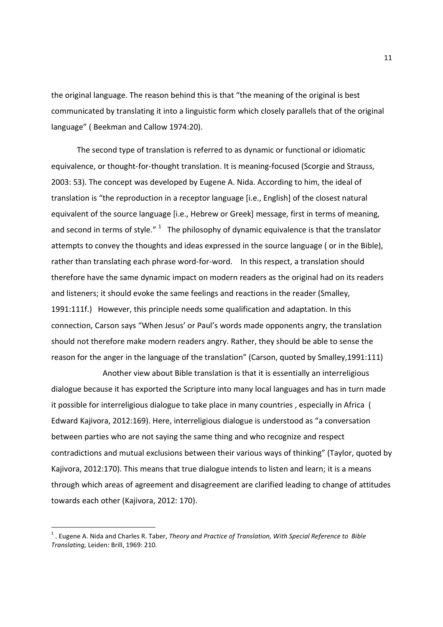the original language. The reason behind this is that "the meaning of the original is best communicated by translating it into a linguistic form which closely parallels that of the original language" ( Beekman and Callow 1974:20).

 The second type of translation is referred to as dynamic or functional or idiomatic equivalence, or thought-for-thought translation. It is meaning-focused (Scorgie and Strauss, 2003: 53). The concept was developed by Eugene A. Nida. According to him, the ideal of translation is "the reproduction in a receptor language [i.e., English] of the closest natural equivalent of the source language [i.e., Hebrew or Greek] message, first in terms of meaning, and second in terms of style."  $1$  The philosophy of dynamic equivalence is that the translator attempts to convey the thoughts and ideas expressed in the source language ( or in the Bible), rather than translating each phrase word-for-word. In this respect, a translation should therefore have the same dynamic impact on modern readers as the original had on its readers and listeners; it should evoke the same feelings and reactions in the reader (Smalley, 1991:111f.) However, this principle needs some qualification and adaptation. In this connection, Carson says "When Jesus' or Paul's words made opponents angry, the translation should not therefore make modern readers angry. Rather, they should be able to sense the reason for the anger in the language of the translation" (Carson, quoted by Smalley,1991:111)

Another view about Bible translation is that it is essentially an interreligious dialogue because it has exported the Scripture into many local languages and has in turn made it possible for interreligious dialogue to take place in many countries , especially in Africa ( Edward Kajivora, 2012:169). Here, interreligious dialogue is understood as "a conversation between parties who are not saying the same thing and who recognize and respect contradictions and mutual exclusions between their various ways of thinking" (Taylor, quoted by Kajivora, 2012:170). This means that true dialogue intends to listen and learn; it is a means through which areas of agreement and disagreement are clarified leading to change of attitudes towards each other (Kajivora, 2012: 170).

 1 . Eugene A. Nida and Charles R. Taber, *Theory and Practice of Translation, With Special Reference to Bible Translating,* Leiden: Brill, 1969: 210.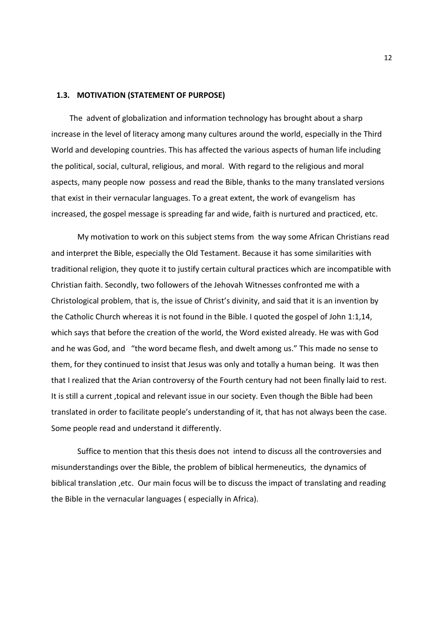#### **1.3. MOTIVATION (STATEMENT OF PURPOSE)**

The advent of globalization and information technology has brought about a sharp increase in the level of literacy among many cultures around the world, especially in the Third World and developing countries. This has affected the various aspects of human life including the political, social, cultural, religious, and moral. With regard to the religious and moral aspects, many people now possess and read the Bible, thanks to the many translated versions that exist in their vernacular languages. To a great extent, the work of evangelism has increased, the gospel message is spreading far and wide, faith is nurtured and practiced, etc.

My motivation to work on this subject stems from the way some African Christians read and interpret the Bible, especially the Old Testament. Because it has some similarities with traditional religion, they quote it to justify certain cultural practices which are incompatible with Christian faith. Secondly, two followers of the Jehovah Witnesses confronted me with a Christological problem, that is, the issue of Christ's divinity, and said that it is an invention by the Catholic Church whereas it is not found in the Bible. I quoted the gospel of John 1:1,14, which says that before the creation of the world, the Word existed already. He was with God and he was God, and "the word became flesh, and dwelt among us." This made no sense to them, for they continued to insist that Jesus was only and totally a human being. It was then that I realized that the Arian controversy of the Fourth century had not been finally laid to rest. It is still a current ,topical and relevant issue in our society. Even though the Bible had been translated in order to facilitate people's understanding of it, that has not always been the case. Some people read and understand it differently.

Suffice to mention that this thesis does not intend to discuss all the controversies and misunderstandings over the Bible, the problem of biblical hermeneutics, the dynamics of biblical translation ,etc. Our main focus will be to discuss the impact of translating and reading the Bible in the vernacular languages ( especially in Africa).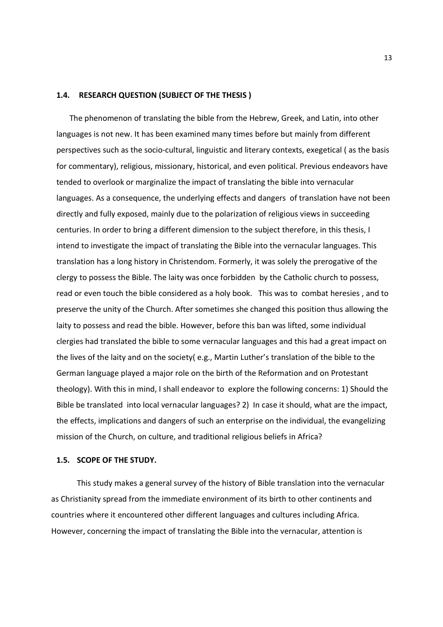#### **1.4. RESEARCH QUESTION (SUBJECT OF THE THESIS )**

The phenomenon of translating the bible from the Hebrew, Greek, and Latin, into other languages is not new. It has been examined many times before but mainly from different perspectives such as the socio-cultural, linguistic and literary contexts, exegetical ( as the basis for commentary), religious, missionary, historical, and even political. Previous endeavors have tended to overlook or marginalize the impact of translating the bible into vernacular languages. As a consequence, the underlying effects and dangers of translation have not been directly and fully exposed, mainly due to the polarization of religious views in succeeding centuries. In order to bring a different dimension to the subject therefore, in this thesis, I intend to investigate the impact of translating the Bible into the vernacular languages. This translation has a long history in Christendom. Formerly, it was solely the prerogative of the clergy to possess the Bible. The laity was once forbidden by the Catholic church to possess, read or even touch the bible considered as a holy book. This was to combat heresies , and to preserve the unity of the Church. After sometimes she changed this position thus allowing the laity to possess and read the bible. However, before this ban was lifted, some individual clergies had translated the bible to some vernacular languages and this had a great impact on the lives of the laity and on the society( e.g., Martin Luther's translation of the bible to the German language played a major role on the birth of the Reformation and on Protestant theology). With this in mind, I shall endeavor to explore the following concerns: 1) Should the Bible be translated into local vernacular languages? 2) In case it should, what are the impact, the effects, implications and dangers of such an enterprise on the individual, the evangelizing mission of the Church, on culture, and traditional religious beliefs in Africa?

#### **1.5. SCOPE OF THE STUDY.**

 This study makes a general survey of the history of Bible translation into the vernacular as Christianity spread from the immediate environment of its birth to other continents and countries where it encountered other different languages and cultures including Africa. However, concerning the impact of translating the Bible into the vernacular, attention is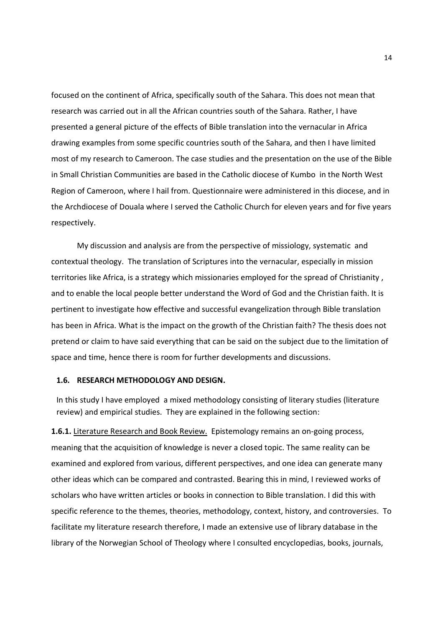focused on the continent of Africa, specifically south of the Sahara. This does not mean that research was carried out in all the African countries south of the Sahara. Rather, I have presented a general picture of the effects of Bible translation into the vernacular in Africa drawing examples from some specific countries south of the Sahara, and then I have limited most of my research to Cameroon. The case studies and the presentation on the use of the Bible in Small Christian Communities are based in the Catholic diocese of Kumbo in the North West Region of Cameroon, where I hail from. Questionnaire were administered in this diocese, and in the Archdiocese of Douala where I served the Catholic Church for eleven years and for five years respectively.

 My discussion and analysis are from the perspective of missiology, systematic and contextual theology. The translation of Scriptures into the vernacular, especially in mission territories like Africa, is a strategy which missionaries employed for the spread of Christianity , and to enable the local people better understand the Word of God and the Christian faith. It is pertinent to investigate how effective and successful evangelization through Bible translation has been in Africa. What is the impact on the growth of the Christian faith? The thesis does not pretend or claim to have said everything that can be said on the subject due to the limitation of space and time, hence there is room for further developments and discussions.

#### **1.6. RESEARCH METHODOLOGY AND DESIGN.**

In this study I have employed a mixed methodology consisting of literary studies (literature review) and empirical studies. They are explained in the following section:

**1.6.1.** Literature Research and Book Review. Epistemology remains an on-going process, meaning that the acquisition of knowledge is never a closed topic. The same reality can be examined and explored from various, different perspectives, and one idea can generate many other ideas which can be compared and contrasted. Bearing this in mind, I reviewed works of scholars who have written articles or books in connection to Bible translation. I did this with specific reference to the themes, theories, methodology, context, history, and controversies. To facilitate my literature research therefore, I made an extensive use of library database in the library of the Norwegian School of Theology where I consulted encyclopedias, books, journals,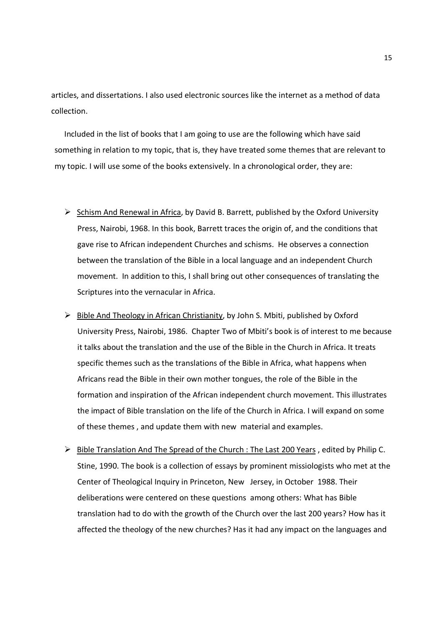articles, and dissertations. I also used electronic sources like the internet as a method of data collection.

Included in the list of books that I am going to use are the following which have said something in relation to my topic, that is, they have treated some themes that are relevant to my topic. I will use some of the books extensively. In a chronological order, they are:

- $\triangleright$  Schism And Renewal in Africa, by David B. Barrett, published by the Oxford University Press, Nairobi, 1968. In this book, Barrett traces the origin of, and the conditions that gave rise to African independent Churches and schisms. He observes a connection between the translation of the Bible in a local language and an independent Church movement. In addition to this, I shall bring out other consequences of translating the Scriptures into the vernacular in Africa.
- $\triangleright$  Bible And Theology in African Christianity, by John S. Mbiti, published by Oxford University Press, Nairobi, 1986. Chapter Two of Mbiti's book is of interest to me because it talks about the translation and the use of the Bible in the Church in Africa. It treats specific themes such as the translations of the Bible in Africa, what happens when Africans read the Bible in their own mother tongues, the role of the Bible in the formation and inspiration of the African independent church movement. This illustrates the impact of Bible translation on the life of the Church in Africa. I will expand on some of these themes , and update them with new material and examples.
- Bible Translation And The Spread of the Church : The Last 200 Years, edited by Philip C. Stine, 1990. The book is a collection of essays by prominent missiologists who met at the Center of Theological Inquiry in Princeton, New Jersey, in October 1988. Their deliberations were centered on these questions among others: What has Bible translation had to do with the growth of the Church over the last 200 years? How has it affected the theology of the new churches? Has it had any impact on the languages and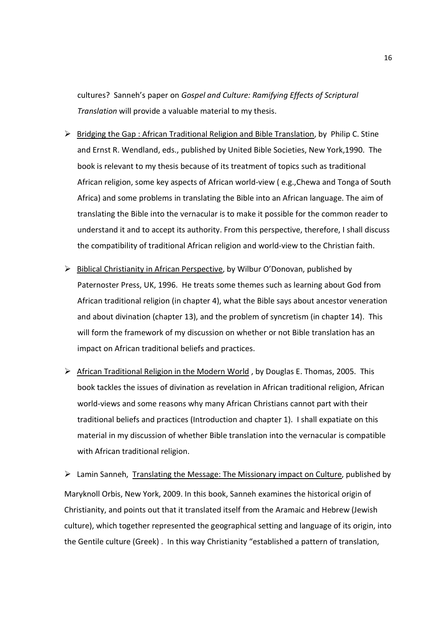cultures? Sanneh's paper on *Gospel and Culture: Ramifying Effects of Scriptural Translation* will provide a valuable material to my thesis.

- $\triangleright$  Bridging the Gap : African Traditional Religion and Bible Translation, by Philip C. Stine and Ernst R. Wendland, eds., published by United Bible Societies, New York,1990. The book is relevant to my thesis because of its treatment of topics such as traditional African religion, some key aspects of African world-view ( e.g.,Chewa and Tonga of South Africa) and some problems in translating the Bible into an African language. The aim of translating the Bible into the vernacular is to make it possible for the common reader to understand it and to accept its authority. From this perspective, therefore, I shall discuss the compatibility of traditional African religion and world-view to the Christian faith.
- $\triangleright$  Biblical Christianity in African Perspective, by Wilbur O'Donovan, published by Paternoster Press, UK, 1996. He treats some themes such as learning about God from African traditional religion (in chapter 4), what the Bible says about ancestor veneration and about divination (chapter 13), and the problem of syncretism (in chapter 14). This will form the framework of my discussion on whether or not Bible translation has an impact on African traditional beliefs and practices.
- African Traditional Religion in the Modern World, by Douglas E. Thomas, 2005. This book tackles the issues of divination as revelation in African traditional religion, African world-views and some reasons why many African Christians cannot part with their traditional beliefs and practices (Introduction and chapter 1). I shall expatiate on this material in my discussion of whether Bible translation into the vernacular is compatible with African traditional religion.

 $\triangleright$  Lamin Sanneh, Translating the Message: The Missionary impact on Culture, published by Maryknoll Orbis, New York, 2009. In this book, Sanneh examines the historical origin of Christianity, and points out that it translated itself from the Aramaic and Hebrew (Jewish culture), which together represented the geographical setting and language of its origin, into the Gentile culture (Greek) . In this way Christianity "established a pattern of translation,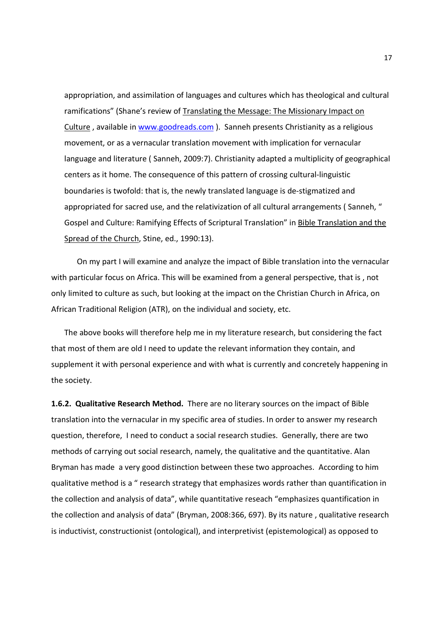appropriation, and assimilation of languages and cultures which has theological and cultural ramifications" (Shane's review of Translating the Message: The Missionary Impact on Culture , available in www.goodreads.com ). Sanneh presents Christianity as a religious movement, or as a vernacular translation movement with implication for vernacular language and literature ( Sanneh, 2009:7). Christianity adapted a multiplicity of geographical centers as it home. The consequence of this pattern of crossing cultural-linguistic boundaries is twofold: that is, the newly translated language is de-stigmatized and appropriated for sacred use, and the relativization of all cultural arrangements ( Sanneh, " Gospel and Culture: Ramifying Effects of Scriptural Translation" in Bible Translation and the Spread of the Church, Stine, ed., 1990:13).

 On my part I will examine and analyze the impact of Bible translation into the vernacular with particular focus on Africa. This will be examined from a general perspective, that is , not only limited to culture as such, but looking at the impact on the Christian Church in Africa, on African Traditional Religion (ATR), on the individual and society, etc.

The above books will therefore help me in my literature research, but considering the fact that most of them are old I need to update the relevant information they contain, and supplement it with personal experience and with what is currently and concretely happening in the society.

**1.6.2. Qualitative Research Method.** There are no literary sources on the impact of Bible translation into the vernacular in my specific area of studies. In order to answer my research question, therefore, I need to conduct a social research studies. Generally, there are two methods of carrying out social research, namely, the qualitative and the quantitative. Alan Bryman has made a very good distinction between these two approaches. According to him qualitative method is a " research strategy that emphasizes words rather than quantification in the collection and analysis of data", while quantitative reseach "emphasizes quantification in the collection and analysis of data" (Bryman, 2008:366, 697). By its nature , qualitative research is inductivist, constructionist (ontological), and interpretivist (epistemological) as opposed to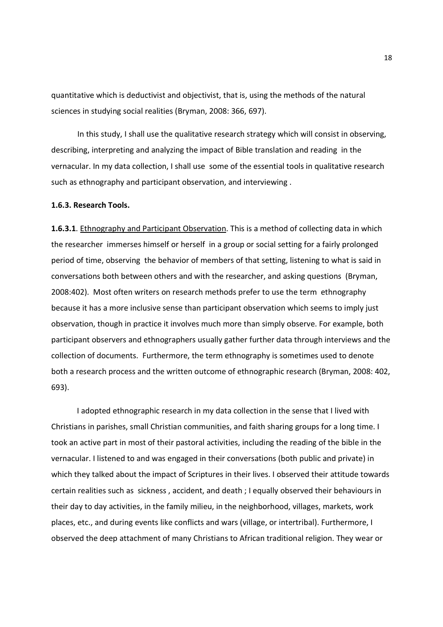quantitative which is deductivist and objectivist, that is, using the methods of the natural sciences in studying social realities (Bryman, 2008: 366, 697).

In this study, I shall use the qualitative research strategy which will consist in observing, describing, interpreting and analyzing the impact of Bible translation and reading in the vernacular. In my data collection, I shall use some of the essential tools in qualitative research such as ethnography and participant observation, and interviewing .

#### **1.6.3. Research Tools.**

**1.6.3.1**. Ethnography and Participant Observation. This is a method of collecting data in which the researcher immerses himself or herself in a group or social setting for a fairly prolonged period of time, observing the behavior of members of that setting, listening to what is said in conversations both between others and with the researcher, and asking questions (Bryman, 2008:402). Most often writers on research methods prefer to use the term ethnography because it has a more inclusive sense than participant observation which seems to imply just observation, though in practice it involves much more than simply observe. For example, both participant observers and ethnographers usually gather further data through interviews and the collection of documents. Furthermore, the term ethnography is sometimes used to denote both a research process and the written outcome of ethnographic research (Bryman, 2008: 402, 693).

 I adopted ethnographic research in my data collection in the sense that I lived with Christians in parishes, small Christian communities, and faith sharing groups for a long time. I took an active part in most of their pastoral activities, including the reading of the bible in the vernacular. I listened to and was engaged in their conversations (both public and private) in which they talked about the impact of Scriptures in their lives. I observed their attitude towards certain realities such as sickness , accident, and death ; I equally observed their behaviours in their day to day activities, in the family milieu, in the neighborhood, villages, markets, work places, etc., and during events like conflicts and wars (village, or intertribal). Furthermore, I observed the deep attachment of many Christians to African traditional religion. They wear or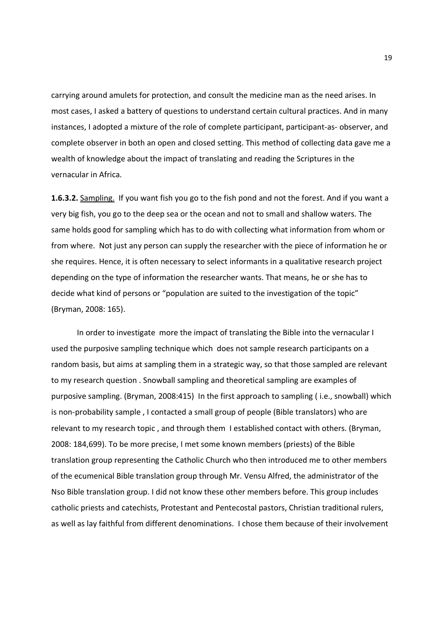carrying around amulets for protection, and consult the medicine man as the need arises. In most cases, I asked a battery of questions to understand certain cultural practices. And in many instances, I adopted a mixture of the role of complete participant, participant-as- observer, and complete observer in both an open and closed setting. This method of collecting data gave me a wealth of knowledge about the impact of translating and reading the Scriptures in the vernacular in Africa.

**1.6.3.2.** Sampling. If you want fish you go to the fish pond and not the forest. And if you want a very big fish, you go to the deep sea or the ocean and not to small and shallow waters. The same holds good for sampling which has to do with collecting what information from whom or from where. Not just any person can supply the researcher with the piece of information he or she requires. Hence, it is often necessary to select informants in a qualitative research project depending on the type of information the researcher wants. That means, he or she has to decide what kind of persons or "population are suited to the investigation of the topic" (Bryman, 2008: 165).

 In order to investigate more the impact of translating the Bible into the vernacular I used the purposive sampling technique which does not sample research participants on a random basis, but aims at sampling them in a strategic way, so that those sampled are relevant to my research question . Snowball sampling and theoretical sampling are examples of purposive sampling. (Bryman, 2008:415) In the first approach to sampling ( i.e., snowball) which is non-probability sample , I contacted a small group of people (Bible translators) who are relevant to my research topic , and through them I established contact with others. (Bryman, 2008: 184,699). To be more precise, I met some known members (priests) of the Bible translation group representing the Catholic Church who then introduced me to other members of the ecumenical Bible translation group through Mr. Vensu Alfred, the administrator of the Nso Bible translation group. I did not know these other members before. This group includes catholic priests and catechists, Protestant and Pentecostal pastors, Christian traditional rulers, as well as lay faithful from different denominations. I chose them because of their involvement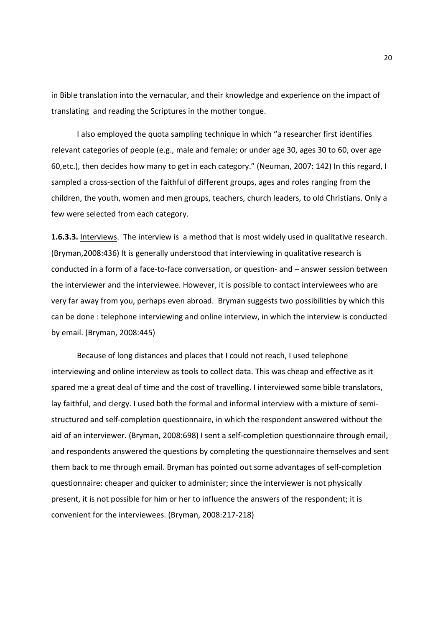in Bible translation into the vernacular, and their knowledge and experience on the impact of translating and reading the Scriptures in the mother tongue.

 I also employed the quota sampling technique in which "a researcher first identifies relevant categories of people (e.g., male and female; or under age 30, ages 30 to 60, over age 60,etc.), then decides how many to get in each category." (Neuman, 2007: 142) In this regard, I sampled a cross-section of the faithful of different groups, ages and roles ranging from the children, the youth, women and men groups, teachers, church leaders, to old Christians. Only a few were selected from each category.

**1.6.3.3.** Interviews. The interview is a method that is most widely used in qualitative research. (Bryman,2008:436) It is generally understood that interviewing in qualitative research is conducted in a form of a face-to-face conversation, or question- and – answer session between the interviewer and the interviewee. However, it is possible to contact interviewees who are very far away from you, perhaps even abroad. Bryman suggests two possibilities by which this can be done : telephone interviewing and online interview, in which the interview is conducted by email. (Bryman, 2008:445)

 Because of long distances and places that I could not reach, I used telephone interviewing and online interview as tools to collect data. This was cheap and effective as it spared me a great deal of time and the cost of travelling. I interviewed some bible translators, lay faithful, and clergy. I used both the formal and informal interview with a mixture of semistructured and self-completion questionnaire, in which the respondent answered without the aid of an interviewer. (Bryman, 2008:698) I sent a self-completion questionnaire through email, and respondents answered the questions by completing the questionnaire themselves and sent them back to me through email. Bryman has pointed out some advantages of self-completion questionnaire: cheaper and quicker to administer; since the interviewer is not physically present, it is not possible for him or her to influence the answers of the respondent; it is convenient for the interviewees. (Bryman, 2008:217-218)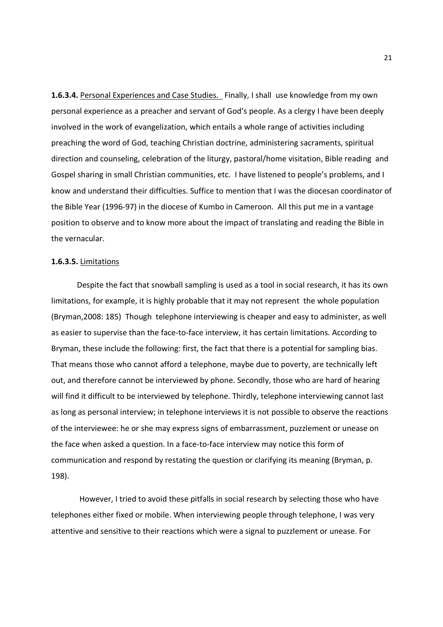**1.6.3.4.** Personal Experiences and Case Studies. Finally, I shall use knowledge from my own personal experience as a preacher and servant of God's people. As a clergy I have been deeply involved in the work of evangelization, which entails a whole range of activities including preaching the word of God, teaching Christian doctrine, administering sacraments, spiritual direction and counseling, celebration of the liturgy, pastoral/home visitation, Bible reading and Gospel sharing in small Christian communities, etc. I have listened to people's problems, and I know and understand their difficulties. Suffice to mention that I was the diocesan coordinator of the Bible Year (1996-97) in the diocese of Kumbo in Cameroon. All this put me in a vantage position to observe and to know more about the impact of translating and reading the Bible in the vernacular.

#### **1.6.3.5.** Limitations

 Despite the fact that snowball sampling is used as a tool in social research, it has its own limitations, for example, it is highly probable that it may not represent the whole population (Bryman,2008: 185) Though telephone interviewing is cheaper and easy to administer, as well as easier to supervise than the face-to-face interview, it has certain limitations. According to Bryman, these include the following: first, the fact that there is a potential for sampling bias. That means those who cannot afford a telephone, maybe due to poverty, are technically left out, and therefore cannot be interviewed by phone. Secondly, those who are hard of hearing will find it difficult to be interviewed by telephone. Thirdly, telephone interviewing cannot last as long as personal interview; in telephone interviews it is not possible to observe the reactions of the interviewee: he or she may express signs of embarrassment, puzzlement or unease on the face when asked a question. In a face-to-face interview may notice this form of communication and respond by restating the question or clarifying its meaning (Bryman, p. 198).

 However, I tried to avoid these pitfalls in social research by selecting those who have telephones either fixed or mobile. When interviewing people through telephone, I was very attentive and sensitive to their reactions which were a signal to puzzlement or unease. For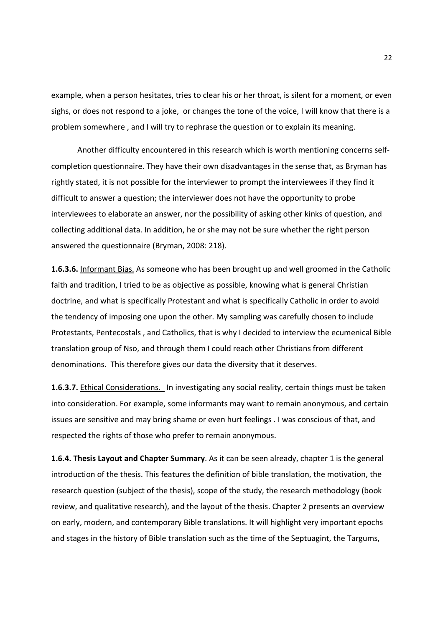example, when a person hesitates, tries to clear his or her throat, is silent for a moment, or even sighs, or does not respond to a joke, or changes the tone of the voice, I will know that there is a problem somewhere , and I will try to rephrase the question or to explain its meaning.

Another difficulty encountered in this research which is worth mentioning concerns selfcompletion questionnaire. They have their own disadvantages in the sense that, as Bryman has rightly stated, it is not possible for the interviewer to prompt the interviewees if they find it difficult to answer a question; the interviewer does not have the opportunity to probe interviewees to elaborate an answer, nor the possibility of asking other kinks of question, and collecting additional data. In addition, he or she may not be sure whether the right person answered the questionnaire (Bryman, 2008: 218).

**1.6.3.6.** Informant Bias. As someone who has been brought up and well groomed in the Catholic faith and tradition, I tried to be as objective as possible, knowing what is general Christian doctrine, and what is specifically Protestant and what is specifically Catholic in order to avoid the tendency of imposing one upon the other. My sampling was carefully chosen to include Protestants, Pentecostals , and Catholics, that is why I decided to interview the ecumenical Bible translation group of Nso, and through them I could reach other Christians from different denominations. This therefore gives our data the diversity that it deserves.

**1.6.3.7.** Ethical Considerations. In investigating any social reality, certain things must be taken into consideration. For example, some informants may want to remain anonymous, and certain issues are sensitive and may bring shame or even hurt feelings . I was conscious of that, and respected the rights of those who prefer to remain anonymous.

**1.6.4. Thesis Layout and Chapter Summary**. As it can be seen already, chapter 1 is the general introduction of the thesis. This features the definition of bible translation, the motivation, the research question (subject of the thesis), scope of the study, the research methodology (book review, and qualitative research), and the layout of the thesis. Chapter 2 presents an overview on early, modern, and contemporary Bible translations. It will highlight very important epochs and stages in the history of Bible translation such as the time of the Septuagint, the Targums,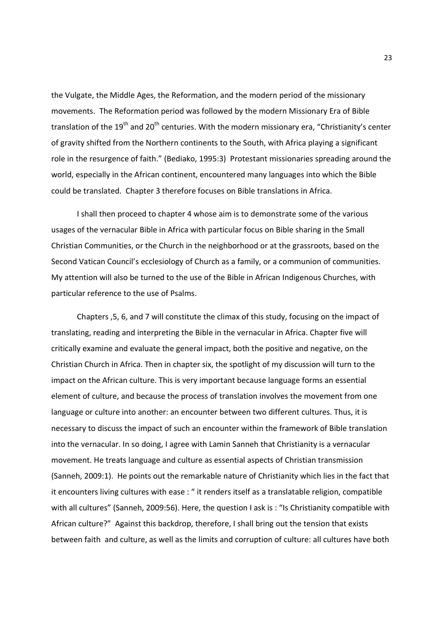the Vulgate, the Middle Ages, the Reformation, and the modern period of the missionary movements. The Reformation period was followed by the modern Missionary Era of Bible translation of the 19<sup>th</sup> and 20<sup>th</sup> centuries. With the modern missionary era, "Christianity's center of gravity shifted from the Northern continents to the South, with Africa playing a significant role in the resurgence of faith." (Bediako, 1995:3) Protestant missionaries spreading around the world, especially in the African continent, encountered many languages into which the Bible could be translated. Chapter 3 therefore focuses on Bible translations in Africa.

 I shall then proceed to chapter 4 whose aim is to demonstrate some of the various usages of the vernacular Bible in Africa with particular focus on Bible sharing in the Small Christian Communities, or the Church in the neighborhood or at the grassroots, based on the Second Vatican Council's ecclesiology of Church as a family, or a communion of communities. My attention will also be turned to the use of the Bible in African Indigenous Churches, with particular reference to the use of Psalms.

 Chapters ,5, 6, and 7 will constitute the climax of this study, focusing on the impact of translating, reading and interpreting the Bible in the vernacular in Africa. Chapter five will critically examine and evaluate the general impact, both the positive and negative, on the Christian Church in Africa. Then in chapter six, the spotlight of my discussion will turn to the impact on the African culture. This is very important because language forms an essential element of culture, and because the process of translation involves the movement from one language or culture into another: an encounter between two different cultures. Thus, it is necessary to discuss the impact of such an encounter within the framework of Bible translation into the vernacular. In so doing, I agree with Lamin Sanneh that Christianity is a vernacular movement. He treats language and culture as essential aspects of Christian transmission (Sanneh, 2009:1). He points out the remarkable nature of Christianity which lies in the fact that it encounters living cultures with ease : " it renders itself as a translatable religion, compatible with all cultures" (Sanneh, 2009:56). Here, the question I ask is : "Is Christianity compatible with African culture?" Against this backdrop, therefore, I shall bring out the tension that exists between faith and culture, as well as the limits and corruption of culture: all cultures have both

23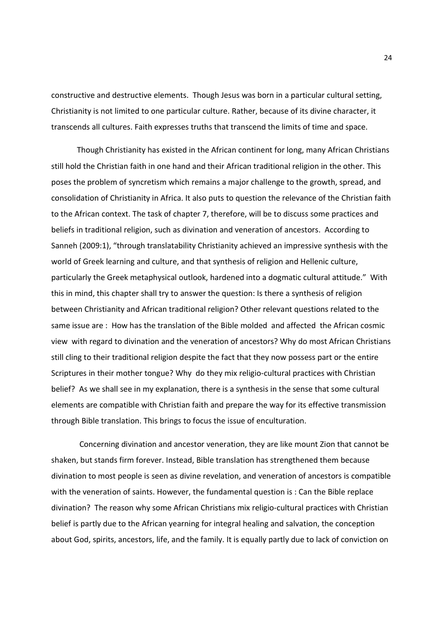constructive and destructive elements. Though Jesus was born in a particular cultural setting, Christianity is not limited to one particular culture. Rather, because of its divine character, it transcends all cultures. Faith expresses truths that transcend the limits of time and space.

 Though Christianity has existed in the African continent for long, many African Christians still hold the Christian faith in one hand and their African traditional religion in the other. This poses the problem of syncretism which remains a major challenge to the growth, spread, and consolidation of Christianity in Africa. It also puts to question the relevance of the Christian faith to the African context. The task of chapter 7, therefore, will be to discuss some practices and beliefs in traditional religion, such as divination and veneration of ancestors. According to Sanneh (2009:1), "through translatability Christianity achieved an impressive synthesis with the world of Greek learning and culture, and that synthesis of religion and Hellenic culture, particularly the Greek metaphysical outlook, hardened into a dogmatic cultural attitude." With this in mind, this chapter shall try to answer the question: Is there a synthesis of religion between Christianity and African traditional religion? Other relevant questions related to the same issue are : How has the translation of the Bible molded and affected the African cosmic view with regard to divination and the veneration of ancestors? Why do most African Christians still cling to their traditional religion despite the fact that they now possess part or the entire Scriptures in their mother tongue? Why do they mix religio-cultural practices with Christian belief? As we shall see in my explanation, there is a synthesis in the sense that some cultural elements are compatible with Christian faith and prepare the way for its effective transmission through Bible translation. This brings to focus the issue of enculturation.

 Concerning divination and ancestor veneration, they are like mount Zion that cannot be shaken, but stands firm forever. Instead, Bible translation has strengthened them because divination to most people is seen as divine revelation, and veneration of ancestors is compatible with the veneration of saints. However, the fundamental question is : Can the Bible replace divination? The reason why some African Christians mix religio-cultural practices with Christian belief is partly due to the African yearning for integral healing and salvation, the conception about God, spirits, ancestors, life, and the family. It is equally partly due to lack of conviction on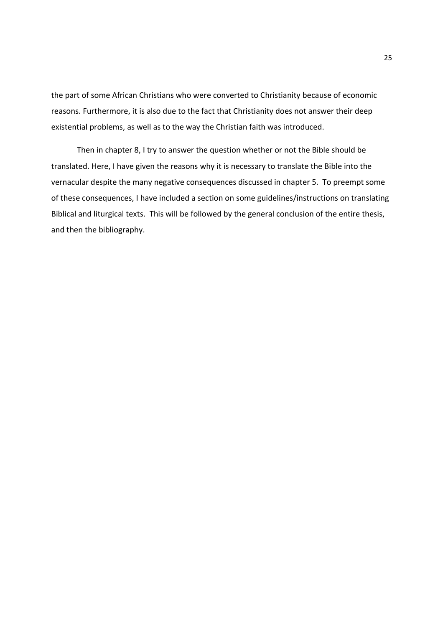the part of some African Christians who were converted to Christianity because of economic reasons. Furthermore, it is also due to the fact that Christianity does not answer their deep existential problems, as well as to the way the Christian faith was introduced.

 Then in chapter 8, I try to answer the question whether or not the Bible should be translated. Here, I have given the reasons why it is necessary to translate the Bible into the vernacular despite the many negative consequences discussed in chapter 5. To preempt some of these consequences, I have included a section on some guidelines/instructions on translating Biblical and liturgical texts. This will be followed by the general conclusion of the entire thesis, and then the bibliography.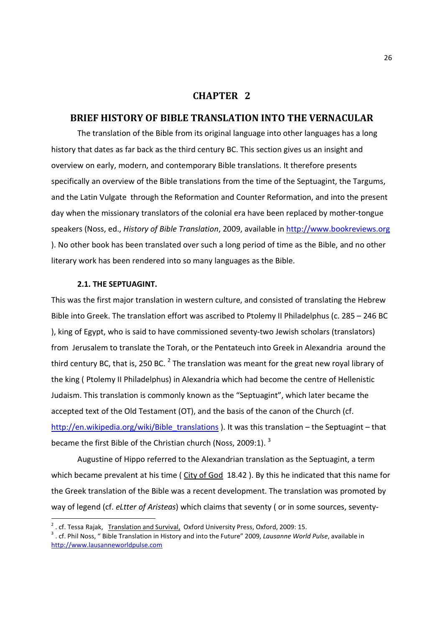## **CHAPTER 2**

## **BRIEF HISTORY OF BIBLE TRANSLATION INTO THE VERNACULAR**

The translation of the Bible from its original language into other languages has a long history that dates as far back as the third century BC. This section gives us an insight and overview on early, modern, and contemporary Bible translations. It therefore presents specifically an overview of the Bible translations from the time of the Septuagint, the Targums, and the Latin Vulgate through the Reformation and Counter Reformation, and into the present day when the missionary translators of the colonial era have been replaced by mother-tongue speakers (Noss, ed., *History of Bible Translation*, 2009, available in http://www.bookreviews.org ). No other book has been translated over such a long period of time as the Bible, and no other literary work has been rendered into so many languages as the Bible.

#### **2.1. THE SEPTUAGINT.**

-

This was the first major translation in western culture, and consisted of translating the Hebrew Bible into Greek. The translation effort was ascribed to Ptolemy II Philadelphus (c. 285 – 246 BC ), king of Egypt, who is said to have commissioned seventy-two Jewish scholars (translators) from Jerusalem to translate the Torah, or the Pentateuch into Greek in Alexandria around the third century BC, that is, 250 BC.  $^2$  The translation was meant for the great new royal library of the king ( Ptolemy II Philadelphus) in Alexandria which had become the centre of Hellenistic Judaism. This translation is commonly known as the "Septuagint", which later became the accepted text of the Old Testament (OT), and the basis of the canon of the Church (cf. http://en.wikipedia.org/wiki/Bible\_translations ). It was this translation – the Septuagint – that became the first Bible of the Christian church (Noss, 2009:1).<sup>3</sup>

Augustine of Hippo referred to the Alexandrian translation as the Septuagint, a term which became prevalent at his time ( City of God 18.42 ). By this he indicated that this name for the Greek translation of the Bible was a recent development. The translation was promoted by way of legend (cf. *eLtter of Aristeas*) which claims that seventy ( or in some sources, seventy-

<sup>&</sup>lt;sup>2</sup>. cf. Tessa Rajak, Translation and Survival, Oxford University Press, Oxford, 2009: 15.

<sup>3</sup> . cf. Phil Noss, " Bible Translation in History and into the Future" 2009, *Lausanne World Pulse*, available in http://www.lausanneworldpulse.com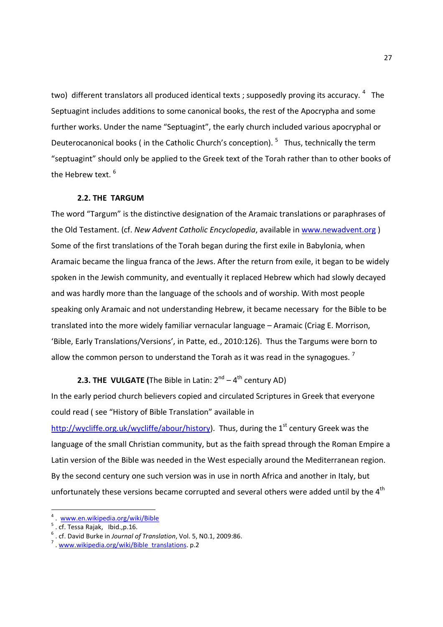two) different translators all produced identical texts ; supposedly proving its accuracy. <sup>4</sup> The Septuagint includes additions to some canonical books, the rest of the Apocrypha and some further works. Under the name "Septuagint", the early church included various apocryphal or Deuterocanonical books (in the Catholic Church's conception). <sup>5</sup> Thus, technically the term "septuagint" should only be applied to the Greek text of the Torah rather than to other books of the Hebrew text.  $^6$ 

#### **2.2. THE TARGUM**

The word "Targum" is the distinctive designation of the Aramaic translations or paraphrases of the Old Testament. (cf. *New Advent Catholic Encyclopedia*, available in www.newadvent.org ) Some of the first translations of the Torah began during the first exile in Babylonia, when Aramaic became the lingua franca of the Jews. After the return from exile, it began to be widely spoken in the Jewish community, and eventually it replaced Hebrew which had slowly decayed and was hardly more than the language of the schools and of worship. With most people speaking only Aramaic and not understanding Hebrew, it became necessary for the Bible to be translated into the more widely familiar vernacular language – Aramaic (Criag E. Morrison, 'Bible, Early Translations/Versions', in Patte, ed., 2010:126). Thus the Targums were born to allow the common person to understand the Torah as it was read in the synagogues.<sup>7</sup>

## **2.3. THE VULGATE (The Bible in Latin:**  $2^{nd} - 4^{th}$  **century AD)**

In the early period church believers copied and circulated Scriptures in Greek that everyone could read ( see "History of Bible Translation" available in

http://wycliffe.org.uk/wycliffe/abour/history). Thus, during the  $1<sup>st</sup>$  century Greek was the language of the small Christian community, but as the faith spread through the Roman Empire a Latin version of the Bible was needed in the West especially around the Mediterranean region. By the second century one such version was in use in north Africa and another in Italy, but unfortunately these versions became corrupted and several others were added until by the  $4<sup>th</sup>$ 

<u>.</u>

<sup>4</sup> . www.en.wikipedia.org/wiki/Bible

<sup>5</sup> . cf. Tessa Rajak, Ibid.,p.16.

<sup>6</sup> . cf. David Burke in *Journal of Translation*, Vol. 5, N0.1, 2009:86.

<sup>&</sup>lt;sup>7</sup> . www.wikipedia.org/wiki/Bible\_translations. p.2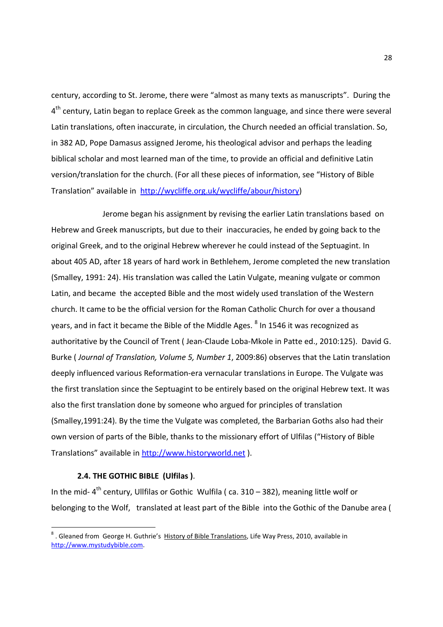century, according to St. Jerome, there were "almost as many texts as manuscripts". During the 4<sup>th</sup> century, Latin began to replace Greek as the common language, and since there were several Latin translations, often inaccurate, in circulation, the Church needed an official translation. So, in 382 AD, Pope Damasus assigned Jerome, his theological advisor and perhaps the leading biblical scholar and most learned man of the time, to provide an official and definitive Latin version/translation for the church. (For all these pieces of information, see "History of Bible Translation" available in http://wycliffe.org.uk/wycliffe/abour/history)

 Jerome began his assignment by revising the earlier Latin translations based on Hebrew and Greek manuscripts, but due to their inaccuracies, he ended by going back to the original Greek, and to the original Hebrew wherever he could instead of the Septuagint. In about 405 AD, after 18 years of hard work in Bethlehem, Jerome completed the new translation (Smalley, 1991: 24). His translation was called the Latin Vulgate, meaning vulgate or common Latin, and became the accepted Bible and the most widely used translation of the Western church. It came to be the official version for the Roman Catholic Church for over a thousand years, and in fact it became the Bible of the Middle Ages.  $^8$  In 1546 it was recognized as authoritative by the Council of Trent ( Jean-Claude Loba-Mkole in Patte ed., 2010:125). David G. Burke ( *Journal of Translation, Volume 5, Number 1*, 2009:86) observes that the Latin translation deeply influenced various Reformation-era vernacular translations in Europe. The Vulgate was the first translation since the Septuagint to be entirely based on the original Hebrew text. It was also the first translation done by someone who argued for principles of translation (Smalley,1991:24). By the time the Vulgate was completed, the Barbarian Goths also had their own version of parts of the Bible, thanks to the missionary effort of Ulfilas ("History of Bible Translations" available in http://www.historyworld.net ).

#### **2.4. THE GOTHIC BIBLE (Ulfilas )**.

-

In the mid-  $4<sup>th</sup>$  century, Ullfilas or Gothic Wulfila (ca. 310 – 382), meaning little wolf or belonging to the Wolf, translated at least part of the Bible into the Gothic of the Danube area (

<sup>&</sup>lt;sup>8</sup>. Gleaned from George H. Guthrie's History of Bible Translations, Life Way Press, 2010, available in http://www.mystudybible.com.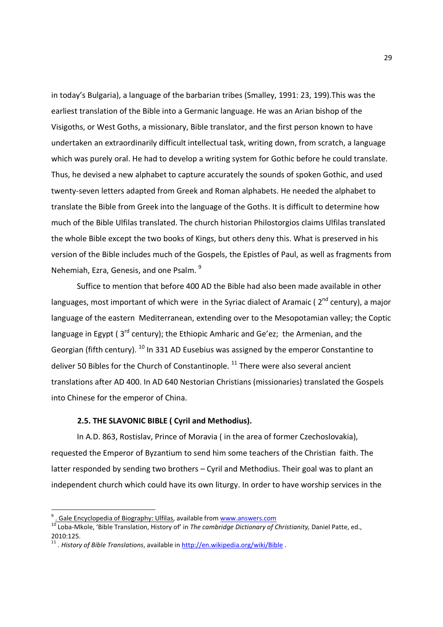in today's Bulgaria), a language of the barbarian tribes (Smalley, 1991: 23, 199).This was the earliest translation of the Bible into a Germanic language. He was an Arian bishop of the Visigoths, or West Goths, a missionary, Bible translator, and the first person known to have undertaken an extraordinarily difficult intellectual task, writing down, from scratch, a language which was purely oral. He had to develop a writing system for Gothic before he could translate. Thus, he devised a new alphabet to capture accurately the sounds of spoken Gothic, and used twenty-seven letters adapted from Greek and Roman alphabets. He needed the alphabet to translate the Bible from Greek into the language of the Goths. It is difficult to determine how much of the Bible Ulfilas translated. The church historian Philostorgios claims Ulfilas translated the whole Bible except the two books of Kings, but others deny this. What is preserved in his version of the Bible includes much of the Gospels, the Epistles of Paul, as well as fragments from Nehemiah, Ezra, Genesis, and one Psalm. <sup>9</sup>

 Suffice to mention that before 400 AD the Bible had also been made available in other languages, most important of which were in the Syriac dialect of Aramaic ( $2<sup>nd</sup>$  century), a major language of the eastern Mediterranean, extending over to the Mesopotamian valley; the Coptic language in Egypt ( $3^{rd}$  century); the Ethiopic Amharic and Ge'ez; the Armenian, and the Georgian (fifth century).  $^{10}$  In 331 AD Eusebius was assigned by the emperor Constantine to deliver 50 Bibles for the Church of Constantinople.  $^{11}$  There were also several ancient translations after AD 400. In AD 640 Nestorian Christians (missionaries) translated the Gospels into Chinese for the emperor of China.

### **2.5. THE SLAVONIC BIBLE ( Cyril and Methodius).**

 In A.D. 863, Rostislav, Prince of Moravia ( in the area of former Czechoslovakia), requested the Emperor of Byzantium to send him some teachers of the Christian faith. The latter responded by sending two brothers – Cyril and Methodius. Their goal was to plant an independent church which could have its own liturgy. In order to have worship services in the

<u>.</u>

<sup>9</sup> . Gale Encyclopedia of Biography: Ulfilas, available from www.answers.com

<sup>10</sup> Loba-Mkole, 'Bible Translation, History of' in *The cambridge Dictionary of Christianity,* Daniel Patte, ed., 2010:125.

<sup>&</sup>lt;sup>11</sup>. History of Bible Translations, available in http://en.wikipedia.org/wiki/Bible .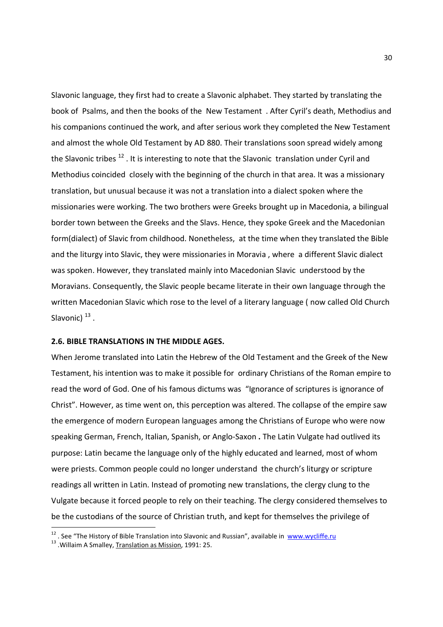Slavonic language, they first had to create a Slavonic alphabet. They started by translating the book of Psalms, and then the books of the New Testament . After Cyril's death, Methodius and his companions continued the work, and after serious work they completed the New Testament and almost the whole Old Testament by AD 880. Their translations soon spread widely among the Slavonic tribes<sup>12</sup>. It is interesting to note that the Slavonic translation under Cyril and Methodius coincided closely with the beginning of the church in that area. It was a missionary translation, but unusual because it was not a translation into a dialect spoken where the missionaries were working. The two brothers were Greeks brought up in Macedonia, a bilingual border town between the Greeks and the Slavs. Hence, they spoke Greek and the Macedonian form(dialect) of Slavic from childhood. Nonetheless, at the time when they translated the Bible and the liturgy into Slavic, they were missionaries in Moravia , where a different Slavic dialect was spoken. However, they translated mainly into Macedonian Slavic understood by the Moravians. Consequently, the Slavic people became literate in their own language through the written Macedonian Slavic which rose to the level of a literary language ( now called Old Church Slavonic)  $^{13}$  .

#### **2.6. BIBLE TRANSLATIONS IN THE MIDDLE AGES.**

When Jerome translated into Latin the Hebrew of the Old Testament and the Greek of the New Testament, his intention was to make it possible for ordinary Christians of the Roman empire to read the word of God. One of his famous dictums was "Ignorance of scriptures is ignorance of Christ". However, as time went on, this perception was altered. The collapse of the empire saw the emergence of modern European languages among the Christians of Europe who were now speaking German, French, Italian, Spanish, or Anglo-Saxon **.** The Latin Vulgate had outlived its purpose: Latin became the language only of the highly educated and learned, most of whom were priests. Common people could no longer understand the church's liturgy or scripture readings all written in Latin. Instead of promoting new translations, the clergy clung to the Vulgate because it forced people to rely on their teaching. The clergy considered themselves to be the custodians of the source of Christian truth, and kept for themselves the privilege of

<sup>&</sup>lt;sup>12</sup>. See "The History of Bible Translation into Slavonic and Russian", available in www.wycliffe.ru

<sup>&</sup>lt;sup>13</sup> . Willaim A Smalley, Translation as Mission, 1991: 25.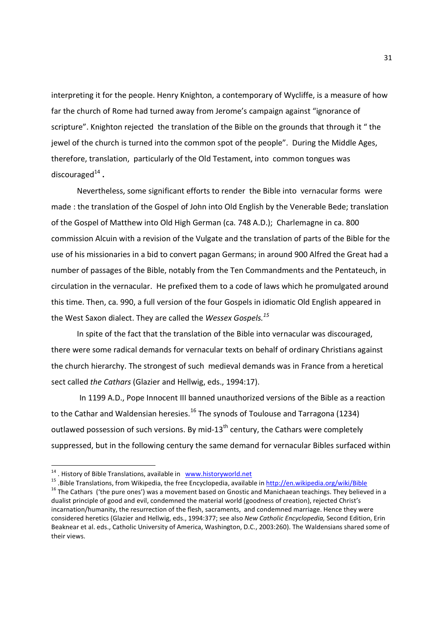interpreting it for the people. Henry Knighton, a contemporary of Wycliffe, is a measure of how far the church of Rome had turned away from Jerome's campaign against "ignorance of scripture". Knighton rejected the translation of the Bible on the grounds that through it " the jewel of the church is turned into the common spot of the people". During the Middle Ages, therefore, translation, particularly of the Old Testament, intocommon tongues was discouraged<sup>14</sup>.

Nevertheless, some significant efforts to render the Bible into vernacular formswere made : the translation of the Gospel of John into Old English by the Venerable Bede; translation of the Gospel of Matthew into Old High German (ca. 748 A.D.); Charlemagne in ca. 800 commission Alcuin with a revision of the Vulgate and the translation of parts of the Bible for the use of his missionaries in a bid to convert pagan Germans; in around 900 Alfred the Great had a number of passages of the Bible, notably from the Ten Commandments and the Pentateuch, in circulation in the vernacular. He prefixed them to a code of laws which he promulgated around this time. Then, ca. 990, a full version of the four Gospels in idiomatic Old English appeared in the West Saxon dialect. They are called the *Wessex Gospels.<sup>15</sup>* 

 In spite of the fact that the translation of the Bible into vernacular was discouraged, there were some radical demands for vernacular texts on behalf of ordinary Christians against the church hierarchy. The strongest of such medieval demands was in France from a heretical sect called *the Cathars* (Glazier and Hellwig, eds., 1994:17).

 In 1199 A.D., Pope Innocent III banned unauthorized versions of the Bible as a reaction to the Cathar and Waldensian heresies.<sup>16</sup> The synods of Toulouse and Tarragona (1234) outlawed possession of such versions. By mid-13<sup>th</sup> century, the Cathars were completely suppressed, but in the following century the same demand for vernacular Bibles surfaced within

<sup>&</sup>lt;sup>14</sup>. History of Bible Translations, available in www.historyworld.net

<sup>15</sup> .Bible Translations, from Wikipedia, the free Encyclopedia, available in http://en.wikipedia.org/wiki/Bible

<sup>&</sup>lt;sup>16</sup> The Cathars ('the pure ones') was a movement based on Gnostic and Manichaean teachings. They believed in a dualist principle of good and evil, condemned the material world (goodness of creation), rejected Christ's incarnation/humanity, the resurrection of the flesh, sacraments, and condemned marriage. Hence they were considered heretics (Glazier and Hellwig, eds., 1994:377; see also *New Catholic Encyclopedia,* Second Edition, Erin Beaknear et al. eds., Catholic University of America, Washington, D.C., 2003:260). The Waldensians shared some of their views.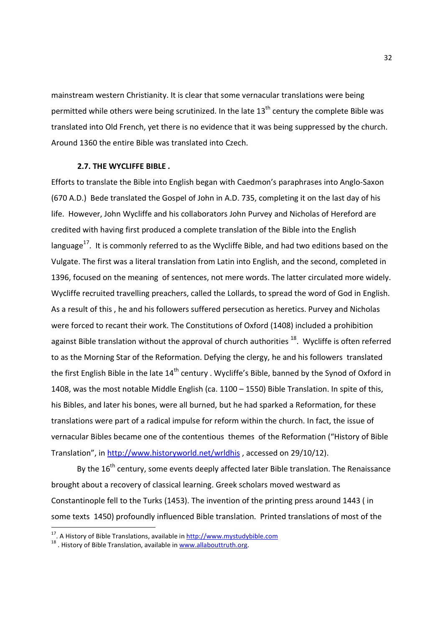mainstream western Christianity. It is clear that some vernacular translations were being permitted while others were being scrutinized. In the late  $13<sup>th</sup>$  century the complete Bible was translated into Old French, yet there is no evidence that it was being suppressed by the church. Around 1360 the entire Bible was translated into Czech.

#### **2.7. THE WYCLIFFE BIBLE** *.*

Efforts to translate the Bible into English began with Caedmon's paraphrases into Anglo-Saxon (670 A.D.) Bede translated the Gospel of John in A.D. 735, completing it on the last day of his life. However, John Wycliffe and his collaborators John Purvey and Nicholas of Hereford are credited with having first produced a complete translation of the Bible into the English language<sup>17</sup>. It is commonly referred to as the Wycliffe Bible, and had two editions based on the Vulgate. The first was a literal translation from Latin into English, and the second, completed in 1396, focused on the meaning of sentences, not mere words. The latter circulated more widely. Wycliffe recruited travelling preachers, called the Lollards, to spread the word of God in English. As a result of this , he and his followers suffered persecution as heretics. Purvey and Nicholas were forced to recant their work. The Constitutions of Oxford (1408) included a prohibition against Bible translation without the approval of church authorities  $^{18}$ . Wycliffe is often referred to as the Morning Star of the Reformation. Defying the clergy, he and his followers translated the first English Bible in the late 14<sup>th</sup> century . Wycliffe's Bible, banned by the Synod of Oxford in 1408, was the most notable Middle English (ca. 1100 – 1550) Bible Translation. In spite of this, his Bibles, and later his bones, were all burned, but he had sparked a Reformation, for these translations were part of a radical impulse for reform within the church. In fact, the issue of vernacular Bibles became one of the contentious themes of the Reformation ("History of Bible Translation", in http://www.historyworld.net/wrldhis , accessed on 29/10/12).

By the 16<sup>th</sup> century, some events deeply affected later Bible translation. The Renaissance brought about a recovery of classical learning. Greek scholars moved westward as Constantinople fell to the Turks (1453). The invention of the printing press around 1443 ( in some texts 1450) profoundly influenced Bible translation. Printed translations of most of the

<sup>&</sup>lt;sup>17</sup>. A History of Bible Translations, available in http://www.mystudybible.com

<sup>&</sup>lt;sup>18</sup>. History of Bible Translation, available in www.allabouttruth.org.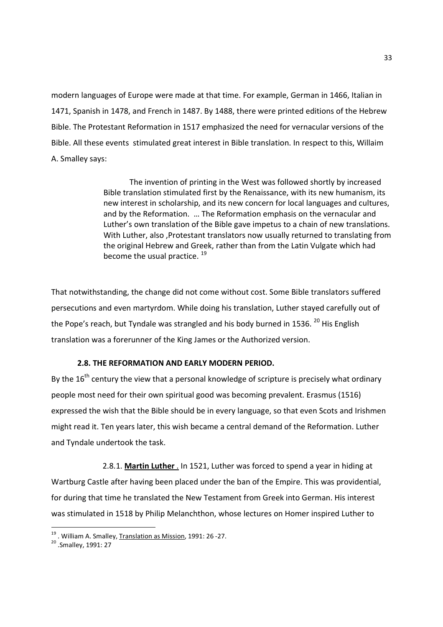modern languages of Europe were made at that time. For example, German in 1466, Italian in 1471, Spanish in 1478, and French in 1487. By 1488, there were printed editions of the Hebrew Bible. The Protestant Reformation in 1517 emphasized the need for vernacular versions of the Bible. All these events stimulated great interest in Bible translation. In respect to this, Willaim A. Smalley says:

> The invention of printing in the West was followed shortly by increased Bible translation stimulated first by the Renaissance, with its new humanism, its new interest in scholarship, and its new concern for local languages and cultures, and by the Reformation. … The Reformation emphasis on the vernacular and Luther's own translation of the Bible gave impetus to a chain of new translations. With Luther, also ,Protestant translators now usually returned to translating from the original Hebrew and Greek, rather than from the Latin Vulgate which had become the usual practice.  $^{19}$

That notwithstanding, the change did not come without cost. Some Bible translators suffered persecutions and even martyrdom. While doing his translation, Luther stayed carefully out of the Pope's reach, but Tyndale was strangled and his body burned in 1536.  $^{20}$  His English translation was a forerunner of the King James or the Authorized version.

## **2.8. THE REFORMATION AND EARLY MODERN PERIOD.**

By the  $16<sup>th</sup>$  century the view that a personal knowledge of scripture is precisely what ordinary people most need for their own spiritual good was becoming prevalent. Erasmus (1516) expressed the wish that the Bible should be in every language, so that even Scots and Irishmen might read it. Ten years later, this wish became a central demand of the Reformation. Luther and Tyndale undertook the task.

 2.8.1. **Martin Luther** . In 1521, Luther was forced to spend a year in hiding at Wartburg Castle after having been placed under the ban of the Empire. This was providential, for during that time he translated the New Testament from Greek into German. His interest was stimulated in 1518 by Philip Melanchthon, whose lectures on Homer inspired Luther to

<sup>&</sup>lt;sup>19</sup> . William A. Smalley, Translation as Mission, 1991: 26 -27.

<sup>20</sup> .Smalley, 1991: 27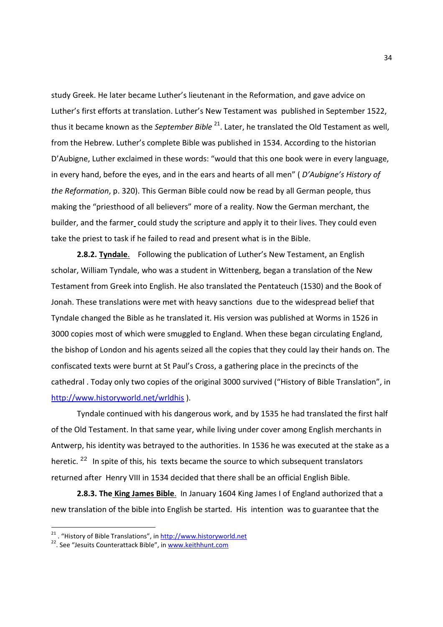study Greek. He later became Luther's lieutenant in the Reformation, and gave advice on Luther's first efforts at translation. Luther's New Testament was published in September 1522, thus it became known as the *September Bible* <sup>21</sup>. Later, he translated the Old Testament as well, from the Hebrew. Luther's complete Bible was published in 1534. According to the historian D'Aubigne, Luther exclaimed in these words: "would that this one book were in every language, in every hand, before the eyes, and in the ears and hearts of all men" ( *D'Aubigne's History of the Reformation*, p. 320). This German Bible could now be read by all German people, thus making the "priesthood of all believers" more of a reality. Now the German merchant, the builder, and the farmer could study the scripture and apply it to their lives. They could even take the priest to task if he failed to read and present what is in the Bible.

**2.8.2. Tyndale.** Following the publication of Luther's New Testament, an English scholar, William Tyndale, who was a student in Wittenberg, began a translation of the New Testament from Greek into English. He also translated the Pentateuch (1530) and the Book of Jonah. These translations were met with heavy sanctions due to the widespread belief that Tyndale changed the Bible as he translated it. His version was published at Worms in 1526 in 3000 copies most of which were smuggled to England. When these began circulating England, the bishop of London and his agents seized all the copies that they could lay their hands on. The confiscated texts were burnt at St Paul's Cross, a gathering place in the precincts of the cathedral . Today only two copies of the original 3000 survived ("History of Bible Translation", in http://www.historyworld.net/wrldhis ).

 Tyndale continued with his dangerous work, and by 1535 he had translated the first half of the Old Testament. In that same year, while living under cover among English merchants in Antwerp, his identity was betrayed to the authorities. In 1536 he was executed at the stake as a heretic.  $22$  In spite of this, his texts became the source to which subsequent translators returned after Henry VIII in 1534 decided that there shall be an official English Bible.

**2.8.3. The King James Bible**. In January 1604 King James I of England authorized that a new translation of the bible into English be started. His intention was to guarantee that the

<sup>&</sup>lt;sup>21</sup> . "History of Bible Translations", in http://www.historyworld.net

<sup>22</sup>. See "Jesuits Counterattack Bible", in www.keithhunt.com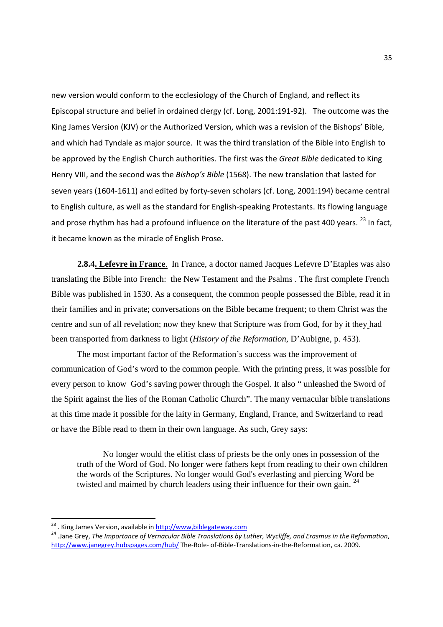new version would conform to the ecclesiology of the Church of England, and reflect its Episcopal structure and belief in ordained clergy (cf. Long, 2001:191-92). The outcome was the King James Version (KJV) or the Authorized Version, which was a revision of the Bishops' Bible, and which had Tyndale as major source. It was the third translation of the Bible into English to be approved by the English Church authorities. The first was the *Great Bible* dedicated to King Henry VIII, and the second was the *Bishop's Bible* (1568). The new translation that lasted for seven years (1604-1611) and edited by forty-seven scholars (cf. Long, 2001:194) became central to English culture, as well as the standard for English-speaking Protestants. Its flowing language and prose rhythm has had a profound influence on the literature of the past 400 years. <sup>23</sup> In fact, it became known as the miracle of English Prose.

**2.8.4. Lefevre in France**. In France, a doctor named Jacques Lefevre D'Etaples was also translating the Bible into French: the New Testament and the Psalms . The first complete French Bible was published in 1530. As a consequent, the common people possessed the Bible, read it in their families and in private; conversations on the Bible became frequent; to them Christ was the centre and sun of all revelation; now they knew that Scripture was from God, for by it they had been transported from darkness to light (*History of the Reformation*, D'Aubigne, p. 453).

 The most important factor of the Reformation's success was the improvement of communication of God's word to the common people. With the printing press, it was possible for every person to know God's saving power through the Gospel. It also " unleashed the Sword of the Spirit against the lies of the Roman Catholic Church". The many vernacular bible translations at this time made it possible for the laity in Germany, England, France, and Switzerland to read or have the Bible read to them in their own language. As such, Grey says:

No longer would the elitist class of priests be the only ones in possession of the truth of the Word of God. No longer were fathers kept from reading to their own children the words of the Scriptures. No longer would God's everlasting and piercing Word be twisted and maimed by church leaders using their influence for their own gain.<sup>24</sup>

<sup>&</sup>lt;sup>23</sup>. King James Version, available in http://www,biblegateway.com

<sup>24</sup> .Jane Grey, *The Importance of Vernacular Bible Translations by Luther, Wycliffe, and Erasmus in the Reformation*, http://www.janegrey.hubspages.com/hub/ The-Role- of-Bible-Translations-in-the-Reformation, ca. 2009.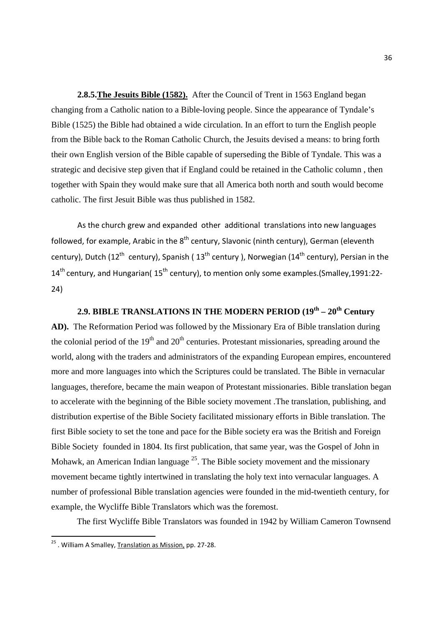**2.8.5.The Jesuits Bible (1582).** After the Council of Trent in 1563 England began changing from a Catholic nation to a Bible-loving people. Since the appearance of Tyndale's Bible (1525) the Bible had obtained a wide circulation. In an effort to turn the English people from the Bible back to the Roman Catholic Church, the Jesuits devised a means: to bring forth their own English version of the Bible capable of superseding the Bible of Tyndale. This was a strategic and decisive step given that if England could be retained in the Catholic column , then together with Spain they would make sure that all America both north and south would become catholic. The first Jesuit Bible was thus published in 1582.

As the church grew and expanded other additional translations into new languages followed, for example, Arabic in the  $8<sup>th</sup>$  century, Slavonic (ninth century), German (eleventh century), Dutch (12<sup>th</sup> century), Spanish (13<sup>th</sup> century ), Norwegian (14<sup>th</sup> century), Persian in the 14<sup>th</sup> century, and Hungarian( 15<sup>th</sup> century), to mention only some examples.(Smalley.1991:22-24)

**2.9. BIBLE TRANSLATIONS IN THE MODERN PERIOD (19th – 20th Century AD).** The Reformation Period was followed by the Missionary Era of Bible translation during the colonial period of the  $19<sup>th</sup>$  and  $20<sup>th</sup>$  centuries. Protestant missionaries, spreading around the world, along with the traders and administrators of the expanding European empires, encountered more and more languages into which the Scriptures could be translated. The Bible in vernacular languages, therefore, became the main weapon of Protestant missionaries. Bible translation began to accelerate with the beginning of the Bible society movement .The translation, publishing, and distribution expertise of the Bible Society facilitated missionary efforts in Bible translation. The first Bible society to set the tone and pace for the Bible society era was the British and Foreign Bible Society founded in 1804. Its first publication, that same year, was the Gospel of John in Mohawk, an American Indian language  $^{25}$ . The Bible society movement and the missionary movement became tightly intertwined in translating the holy text into vernacular languages. A number of professional Bible translation agencies were founded in the mid-twentieth century, for example, the Wycliffe Bible Translators which was the foremost.

The first Wycliffe Bible Translators was founded in 1942 by William Cameron Townsend

<u>.</u>

<sup>&</sup>lt;sup>25</sup> . William A Smalley, Translation as Mission, pp. 27-28.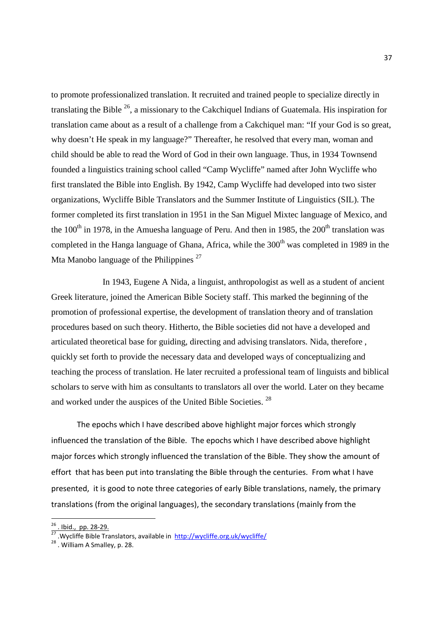to promote professionalized translation. It recruited and trained people to specialize directly in translating the Bible  $^{26}$ , a missionary to the Cakchiquel Indians of Guatemala. His inspiration for translation came about as a result of a challenge from a Cakchiquel man: "If your God is so great, why doesn't He speak in my language?" Thereafter, he resolved that every man, woman and child should be able to read the Word of God in their own language. Thus, in 1934 Townsend founded a linguistics training school called "Camp Wycliffe" named after John Wycliffe who first translated the Bible into English. By 1942, Camp Wycliffe had developed into two sister organizations, Wycliffe Bible Translators and the Summer Institute of Linguistics (SIL). The former completed its first translation in 1951 in the San Miguel Mixtec language of Mexico, and the  $100<sup>th</sup>$  in 1978, in the Amuesha language of Peru. And then in 1985, the 200<sup>th</sup> translation was completed in the Hanga language of Ghana, Africa, while the  $300<sup>th</sup>$  was completed in 1989 in the Mta Manobo language of the Philippines  $27$ 

 In 1943, Eugene A Nida, a linguist, anthropologist as well as a student of ancient Greek literature, joined the American Bible Society staff. This marked the beginning of the promotion of professional expertise, the development of translation theory and of translation procedures based on such theory. Hitherto, the Bible societies did not have a developed and articulated theoretical base for guiding, directing and advising translators. Nida, therefore , quickly set forth to provide the necessary data and developed ways of conceptualizing and teaching the process of translation. He later recruited a professional team of linguists and biblical scholars to serve with him as consultants to translators all over the world. Later on they became and worked under the auspices of the United Bible Societies. <sup>28</sup>

 The epochs which I have described above highlight major forces which strongly influenced the translation of the Bible. The epochs which I have described above highlight major forces which strongly influenced the translation of the Bible. They show the amount of effort that has been put into translating the Bible through the centuries. From what I have presented, it is good to note three categories of early Bible translations, namely, the primary translations (from the original languages), the secondary translations (mainly from the

<sup>&</sup>lt;sup>26</sup>. Ibid., pp. 28-29.

 $\frac{27}{27}$ . Wycliffe Bible Translators, available in http://wycliffe.org.uk/wycliffe/

<sup>28</sup> . William A Smalley, p. 28.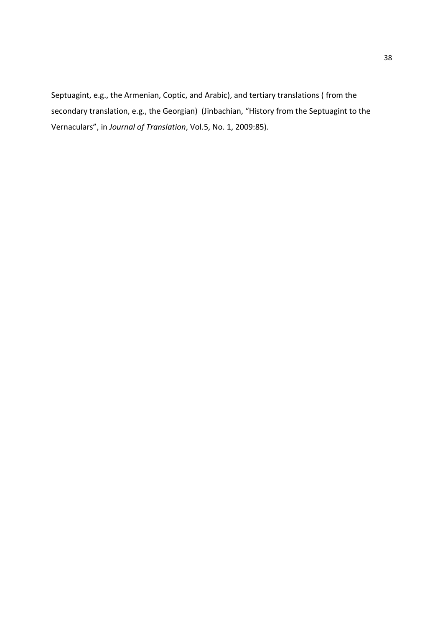Septuagint, e.g., the Armenian, Coptic, and Arabic), and tertiary translations ( from the secondary translation, e.g., the Georgian) (Jinbachian, "History from the Septuagint to the Vernaculars", in *Journal of Translation*, Vol.5, No. 1, 2009:85).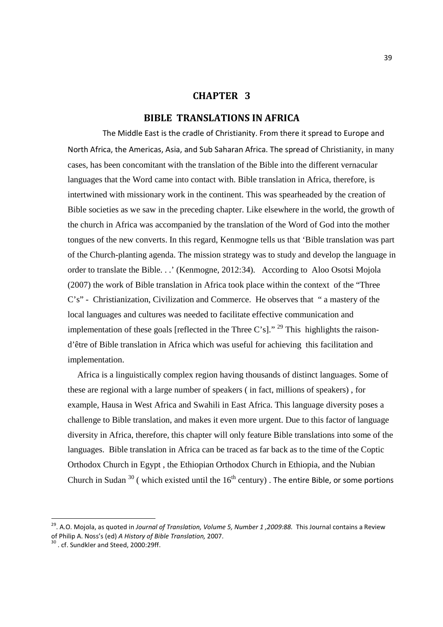# **CHAPTER 3**

# **BIBLE TRANSLATIONS IN AFRICA**

 The Middle East is the cradle of Christianity. From there it spread to Europe and North Africa, the Americas, Asia, and Sub Saharan Africa. The spread of Christianity, in many cases, has been concomitant with the translation of the Bible into the different vernacular languages that the Word came into contact with. Bible translation in Africa, therefore, is intertwined with missionary work in the continent. This was spearheaded by the creation of Bible societies as we saw in the preceding chapter. Like elsewhere in the world, the growth of the church in Africa was accompanied by the translation of the Word of God into the mother tongues of the new converts. In this regard, Kenmogne tells us that 'Bible translation was part of the Church-planting agenda. The mission strategy was to study and develop the language in order to translate the Bible. . .' (Kenmogne, 2012:34). According to Aloo Osotsi Mojola (2007) the work of Bible translation in Africa took place within the context of the "Three C's" - Christianization, Civilization and Commerce. He observes that " a mastery of the local languages and cultures was needed to facilitate effective communication and implementation of these goals [reflected in the Three C's]." <sup>29</sup> This highlights the raisond'être of Bible translation in Africa which was useful for achieving this facilitation and implementation.

 Africa is a linguistically complex region having thousands of distinct languages. Some of these are regional with a large number of speakers ( in fact, millions of speakers) , for example, Hausa in West Africa and Swahili in East Africa. This language diversity poses a challenge to Bible translation, and makes it even more urgent. Due to this factor of language diversity in Africa, therefore, this chapter will only feature Bible translations into some of the languages. Bible translation in Africa can be traced as far back as to the time of the Coptic Orthodox Church in Egypt , the Ethiopian Orthodox Church in Ethiopia, and the Nubian Church in Sudan<sup>30</sup> (which existed until the  $16<sup>th</sup>$  century). The entire Bible, or some portions

<sup>29</sup>. A.O. Mojola, as quoted in *Journal of Translation, Volume 5, Number 1 ,2009:88.* This Journal contains a Review of Philip A. Noss's (ed) *A History of Bible Translation,* 2007.

<sup>&</sup>lt;sup>30</sup> . cf. Sundkler and Steed, 2000:29ff.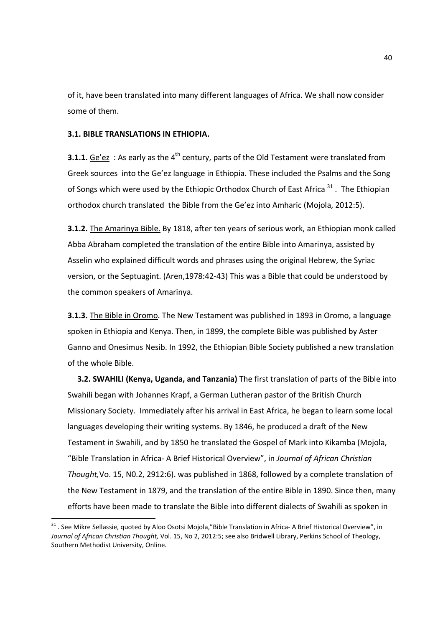of it, have been translated into many different languages of Africa. We shall now consider some of them.

## **3.1. BIBLE TRANSLATIONS IN ETHIOPIA.**

-

**3.1.1.** Ge'ez : As early as the 4<sup>th</sup> century, parts of the Old Testament were translated from Greek sources into the Ge'ez language in Ethiopia. These included the Psalms and the Song of Songs which were used by the Ethiopic Orthodox Church of East Africa  $31$ . The Ethiopian orthodox church translated the Bible from the Ge'ez into Amharic (Mojola, 2012:5).

**3.1.2.** The Amarinya Bible. By 1818, after ten years of serious work, an Ethiopian monk called Abba Abraham completed the translation of the entire Bible into Amarinya, assisted by Asselin who explained difficult words and phrases using the original Hebrew, the Syriac version, or the Septuagint. (Aren,1978:42-43) This was a Bible that could be understood by the common speakers of Amarinya.

**3.1.3.** The Bible in Oromo. The New Testament was published in 1893 in Oromo, a language spoken in Ethiopia and Kenya. Then, in 1899, the complete Bible was published by Aster Ganno and Onesimus Nesib. In 1992, the Ethiopian Bible Society published a new translation of the whole Bible.

**3.2. SWAHILI (Kenya, Uganda, and Tanzania)** The first translation of parts of the Bible into Swahili began with Johannes Krapf, a German Lutheran pastor of the British Church Missionary Society. Immediately after his arrival in East Africa, he began to learn some local languages developing their writing systems. By 1846, he produced a draft of the New Testament in Swahili, and by 1850 he translated the Gospel of Mark into Kikamba (Mojola, "Bible Translation in Africa- A Brief Historical Overview", in *Journal of African Christian Thought,*Vo. 15, N0.2, 2912:6). was published in 1868, followed by a complete translation of the New Testament in 1879, and the translation of the entire Bible in 1890. Since then, many efforts have been made to translate the Bible into different dialects of Swahili as spoken in

 $31$  . See Mikre Sellassie, quoted by Aloo Osotsi Mojola,"Bible Translation in Africa- A Brief Historical Overview", in *Journal of African Christian Thought,* Vol. 15, No 2, 2012:5; see also Bridwell Library, Perkins School of Theology, Southern Methodist University, Online.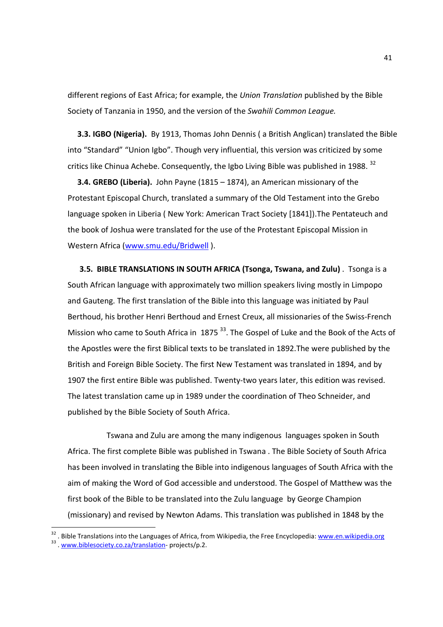different regions of East Africa; for example, the *Union Translation* published by the Bible Society of Tanzania in 1950, and the version of the *Swahili Common League.*

**3.3. IGBO (Nigeria).** By 1913, Thomas John Dennis ( a British Anglican) translated the Bible into "Standard" "Union Igbo". Though very influential, this version was criticized by some critics like Chinua Achebe. Consequently, the Igbo Living Bible was published in 1988.  $^{32}$ 

**3.4. GREBO (Liberia).** John Payne (1815 – 1874), an American missionary of the Protestant Episcopal Church, translated a summary of the Old Testament into the Grebo language spoken in Liberia ( New York: American Tract Society [1841]).The Pentateuch and the book of Joshua were translated for the use of the Protestant Episcopal Mission in Western Africa (www.smu.edu/Bridwell ).

 **3.5. BIBLE TRANSLATIONS IN SOUTH AFRICA (Tsonga, Tswana, and Zulu)** . Tsonga is a South African language with approximately two million speakers living mostly in Limpopo and Gauteng. The first translation of the Bible into this language was initiated by Paul Berthoud, his brother Henri Berthoud and Ernest Creux, all missionaries of the Swiss-French Mission who came to South Africa in 1875<sup>33</sup>. The Gospel of Luke and the Book of the Acts of the Apostles were the first Biblical texts to be translated in 1892.The were published by the British and Foreign Bible Society. The first New Testament was translated in 1894, and by 1907 the first entire Bible was published. Twenty-two years later, this edition was revised. The latest translation came up in 1989 under the coordination of Theo Schneider, and published by the Bible Society of South Africa.

 Tswana and Zulu are among the many indigenous languages spoken in South Africa. The first complete Bible was published in Tswana . The Bible Society of South Africa has been involved in translating the Bible into indigenous languages of South Africa with the aim of making the Word of God accessible and understood. The Gospel of Matthew was the first book of the Bible to be translated into the Zulu language by George Champion (missionary) and revised by Newton Adams. This translation was published in 1848 by the

<sup>&</sup>lt;sup>32</sup>. Bible Translations into the Languages of Africa, from Wikipedia, the Free Encyclopedia: www.en.wikipedia.org

<sup>&</sup>lt;sup>33</sup> . www.biblesociety.co.za/translation-projects/p.2.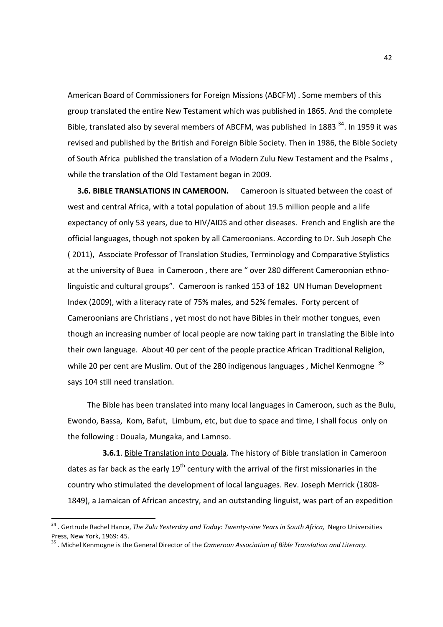American Board of Commissioners for Foreign Missions (ABCFM) . Some members of this group translated the entire New Testament which was published in 1865. And the complete Bible, translated also by several members of ABCFM, was published in 1883  $34$ . In 1959 it was revised and published by the British and Foreign Bible Society. Then in 1986, the Bible Society of South Africa published the translation of a Modern Zulu New Testament and the Psalms , while the translation of the Old Testament began in 2009.

**3.6. BIBLE TRANSLATIONS IN CAMEROON.** Cameroon is situated between the coast of west and central Africa, with a total population of about 19.5 million people and a life expectancy of only 53 years, due to HIV/AIDS and other diseases. French and English are the official languages, though not spoken by all Cameroonians. According to Dr. Suh Joseph Che ( 2011), Associate Professor of Translation Studies, Terminology and Comparative Stylistics at the university of Buea in Cameroon , there are " over 280 different Cameroonian ethnolinguistic and cultural groups". Cameroon is ranked 153 of 182 UN Human Development Index (2009), with a literacy rate of 75% males, and 52% females. Forty percent of Cameroonians are Christians , yet most do not have Bibles in their mother tongues, even though an increasing number of local people are now taking part in translating the Bible into their own language. About 40 per cent of the people practice African Traditional Religion, while 20 per cent are Muslim. Out of the 280 indigenous languages, Michel Kenmogne<sup>35</sup> says 104 still need translation.

 The Bible has been translated into many local languages in Cameroon, such as the Bulu, Ewondo, Bassa, Kom, Bafut, Limbum, etc, but due to space and time, I shall focus only on the following : Douala, Mungaka, and Lamnso.

 **3.6.1**. Bible Translation into Douala. The history of Bible translation in Cameroon dates as far back as the early  $19<sup>th</sup>$  century with the arrival of the first missionaries in the country who stimulated the development of local languages. Rev. Joseph Merrick (1808- 1849), a Jamaican of African ancestry, and an outstanding linguist, was part of an expedition

<sup>&</sup>lt;sup>34</sup> . Gertrude Rachel Hance, *The Zulu Yesterday and Today: Twenty-nine Years in South Africa, Negro Universities* Press, New York, 1969: 45.

<sup>35</sup> . Michel Kenmogne is the General Director of the *Cameroon Association of Bible Translation and Literacy.*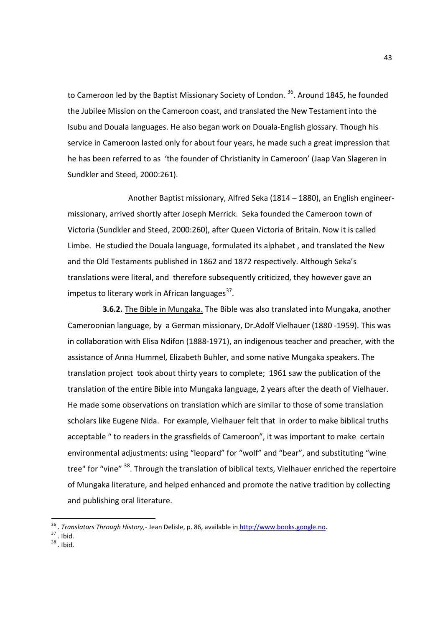to Cameroon led by the Baptist Missionary Society of London.<sup>36</sup>, Around 1845, he founded the Jubilee Mission on the Cameroon coast, and translated the New Testament into the Isubu and Douala languages. He also began work on Douala-English glossary. Though his service in Cameroon lasted only for about four years, he made such a great impression that he has been referred to as 'the founder of Christianity in Cameroon' (Jaap Van Slageren in Sundkler and Steed, 2000:261).

 Another Baptist missionary, Alfred Seka (1814 – 1880), an English engineermissionary, arrived shortly after Joseph Merrick. Seka founded the Cameroon town of Victoria (Sundkler and Steed, 2000:260), after Queen Victoria of Britain. Now it is called Limbe. He studied the Douala language, formulated its alphabet , and translated the New and the Old Testaments published in 1862 and 1872 respectively. Although Seka's translations were literal, and therefore subsequently criticized, they however gave an impetus to literary work in African languages<sup>37</sup>.

 **3.6.2.** The Bible in Mungaka. The Bible was also translated into Mungaka, another Cameroonian language, by a German missionary, Dr.Adolf Vielhauer (1880 -1959). This was in collaboration with Elisa Ndifon (1888-1971), an indigenous teacher and preacher, with the assistance of Anna Hummel, Elizabeth Buhler, and some native Mungaka speakers. The translation project took about thirty years to complete; 1961 saw the publication of the translation of the entire Bible into Mungaka language, 2 years after the death of Vielhauer. He made some observations on translation which are similar to those of some translation scholars like Eugene Nida. For example, Vielhauer felt that in order to make biblical truths acceptable " to readers in the grassfields of Cameroon", it was important to make certain environmental adjustments: using "leopard" for "wolf" and "bear", and substituting "wine tree" for "vine" <sup>38</sup>. Through the translation of biblical texts, Vielhauer enriched the repertoire of Mungaka literature, and helped enhanced and promote the native tradition by collecting and publishing oral literature.

- $37$  . Ibid.
- $38$ . Ibid.

 36 . *Translators Through History,*- Jean Delisle, p. 86, available in http://www.books.google.no.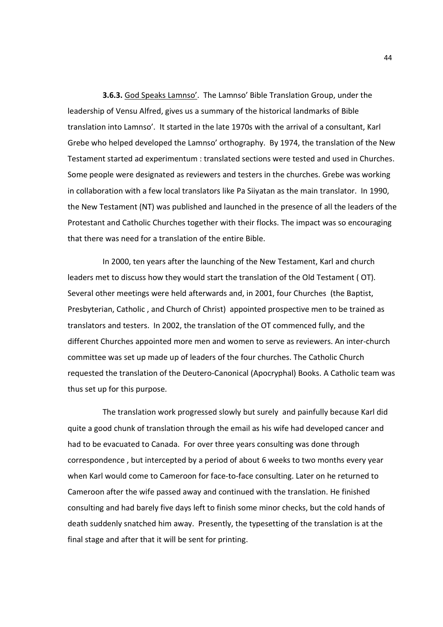**3.6.3.** God Speaks Lamnso'. The Lamnso' Bible Translation Group, under the leadership of Vensu Alfred, gives us a summary of the historical landmarks of Bible translation into Lamnso'. It started in the late 1970s with the arrival of a consultant, Karl Grebe who helped developed the Lamnso' orthography. By 1974, the translation of the New Testament started ad experimentum : translated sections were tested and used in Churches. Some people were designated as reviewers and testers in the churches. Grebe was working in collaboration with a few local translators like Pa Siiyatan as the main translator. In 1990, the New Testament (NT) was published and launched in the presence of all the leaders of the Protestant and Catholic Churches together with their flocks. The impact was so encouraging that there was need for a translation of the entire Bible.

 In 2000, ten years after the launching of the New Testament, Karl and church leaders met to discuss how they would start the translation of the Old Testament ( OT). Several other meetings were held afterwards and, in 2001, four Churches (the Baptist, Presbyterian, Catholic , and Church of Christ) appointed prospective men to be trained as translators and testers. In 2002, the translation of the OT commenced fully, and the different Churches appointed more men and women to serve as reviewers. An inter-church committee was set up made up of leaders of the four churches. The Catholic Church requested the translation of the Deutero-Canonical (Apocryphal) Books. A Catholic team was thus set up for this purpose.

 The translation work progressed slowly but surely and painfully because Karl did quite a good chunk of translation through the email as his wife had developed cancer and had to be evacuated to Canada. For over three years consulting was done through correspondence , but intercepted by a period of about 6 weeks to two months every year when Karl would come to Cameroon for face-to-face consulting. Later on he returned to Cameroon after the wife passed away and continued with the translation. He finished consulting and had barely five days left to finish some minor checks, but the cold hands of death suddenly snatched him away. Presently, the typesetting of the translation is at the final stage and after that it will be sent for printing.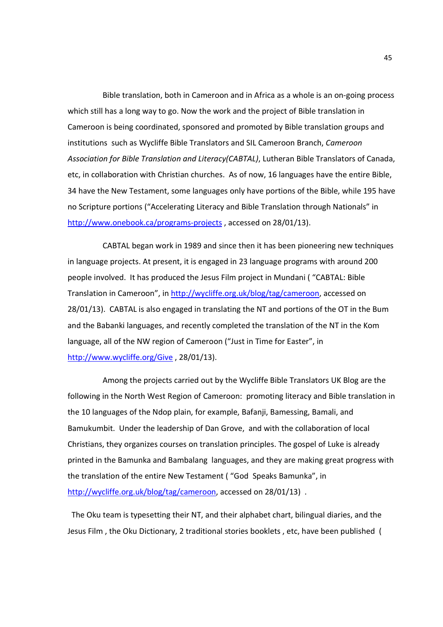Bible translation, both in Cameroon and in Africa as a whole is an on-going process which still has a long way to go. Now the work and the project of Bible translation in Cameroon is being coordinated, sponsored and promoted by Bible translation groups and institutions such as Wycliffe Bible Translators and SIL Cameroon Branch, *Cameroon Association for Bible Translation and Literacy(CABTAL)*, Lutheran Bible Translators of Canada, etc, in collaboration with Christian churches. As of now, 16 languages have the entire Bible, 34 have the New Testament, some languages only have portions of the Bible, while 195 have no Scripture portions ("Accelerating Literacy and Bible Translation through Nationals" in http://www.onebook.ca/programs-projects, accessed on 28/01/13).

 CABTAL began work in 1989 and since then it has been pioneering new techniques in language projects. At present, it is engaged in 23 language programs with around 200 people involved. It has produced the Jesus Film project in Mundani ( "CABTAL: Bible Translation in Cameroon", in http://wycliffe.org.uk/blog/tag/cameroon, accessed on 28/01/13). CABTAL is also engaged in translating the NT and portions of the OT in the Bum and the Babanki languages, and recently completed the translation of the NT in the Kom language, all of the NW region of Cameroon ("Just in Time for Easter", in http://www.wycliffe.org/Give , 28/01/13).

 Among the projects carried out by the Wycliffe Bible Translators UK Blog are the following in the North West Region of Cameroon: promoting literacy and Bible translation in the 10 languages of the Ndop plain, for example, Bafanji, Bamessing, Bamali, and Bamukumbit. Under the leadership of Dan Grove, and with the collaboration of local Christians, they organizes courses on translation principles. The gospel of Luke is already printed in the Bamunka and Bambalang languages, and they are making great progress with the translation of the entire New Testament ( "God Speaks Bamunka", in http://wycliffe.org.uk/blog/tag/cameroon, accessed on 28/01/13).

 The Oku team is typesetting their NT, and their alphabet chart, bilingual diaries, and the Jesus Film , the Oku Dictionary, 2 traditional stories booklets , etc, have been published (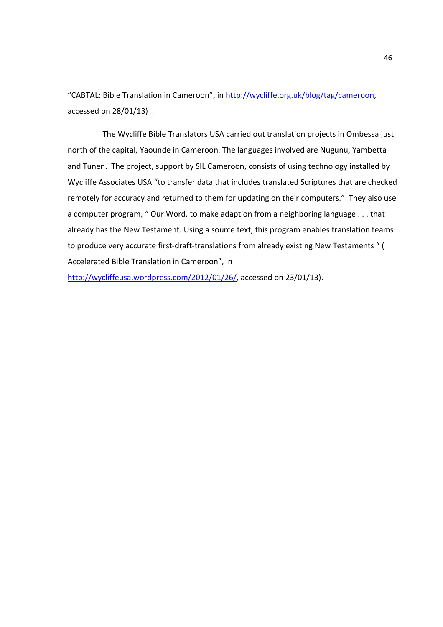"CABTAL: Bible Translation in Cameroon", in http://wycliffe.org.uk/blog/tag/cameroon, accessed on 28/01/13) .

 The Wycliffe Bible Translators USA carried out translation projects in Ombessa just north of the capital, Yaounde in Cameroon. The languages involved are Nugunu, Yambetta and Tunen. The project, support by SIL Cameroon, consists of using technology installed by Wycliffe Associates USA "to transfer data that includes translated Scriptures that are checked remotely for accuracy and returned to them for updating on their computers." They also use a computer program, " Our Word, to make adaption from a neighboring language . . . that already has the New Testament. Using a source text, this program enables translation teams to produce very accurate first-draft-translations from already existing New Testaments " ( Accelerated Bible Translation in Cameroon", in

http://wycliffeusa.wordpress.com/2012/01/26/, accessed on 23/01/13).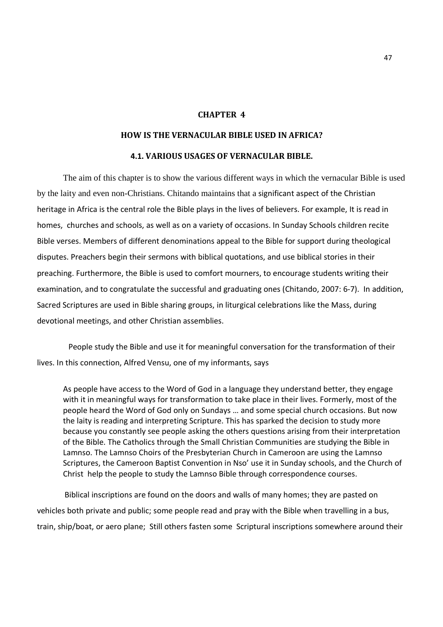#### **CHAPTER 4**

# **HOW IS THE VERNACULAR BIBLE USED IN AFRICA?**

### **4.1. VARIOUS USAGES OF VERNACULAR BIBLE.**

 The aim of this chapter is to show the various different ways in which the vernacular Bible is used by the laity and even non-Christians. Chitando maintains that a significant aspect of the Christian heritage in Africa is the central role the Bible plays in the lives of believers. For example, It is read in homes, churches and schools, as well as on a variety of occasions. In Sunday Schools children recite Bible verses. Members of different denominations appeal to the Bible for support during theological disputes. Preachers begin their sermons with biblical quotations, and use biblical stories in their preaching. Furthermore, the Bible is used to comfort mourners, to encourage students writing their examination, and to congratulate the successful and graduating ones (Chitando, 2007: 6-7). In addition, Sacred Scriptures are used in Bible sharing groups, in liturgical celebrations like the Mass, during devotional meetings, and other Christian assemblies.

 People study the Bible and use it for meaningful conversation for the transformation of their lives. In this connection, Alfred Vensu, one of my informants, says

As people have access to the Word of God in a language they understand better, they engage with it in meaningful ways for transformation to take place in their lives. Formerly, most of the people heard the Word of God only on Sundays … and some special church occasions. But now the laity is reading and interpreting Scripture. This has sparked the decision to study more because you constantly see people asking the others questions arising from their interpretation of the Bible. The Catholics through the Small Christian Communities are studying the Bible in Lamnso. The Lamnso Choirs of the Presbyterian Church in Cameroon are using the Lamnso Scriptures, the Cameroon Baptist Convention in Nso' use it in Sunday schools, and the Church of Christ help the people to study the Lamnso Bible through correspondence courses.

 Biblical inscriptions are found on the doors and walls of many homes; they are pasted on vehicles both private and public; some people read and pray with the Bible when travelling in a bus, train, ship/boat, or aero plane; Still others fasten some Scriptural inscriptions somewhere around their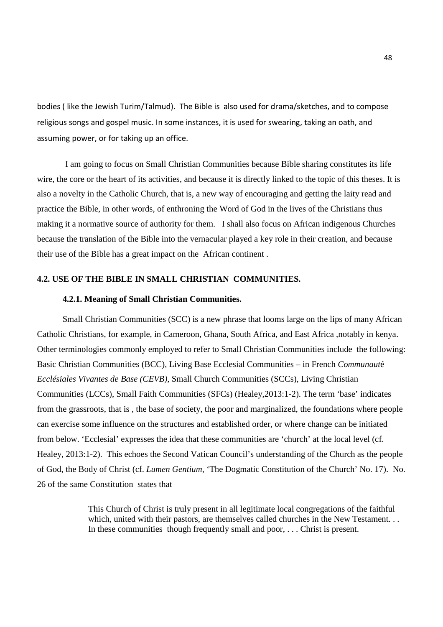bodies ( like the Jewish Turim/Talmud). The Bible is also used for drama/sketches, and to compose religious songs and gospel music. In some instances, it is used for swearing, taking an oath, and assuming power, or for taking up an office.

 I am going to focus on Small Christian Communities because Bible sharing constitutes its life wire, the core or the heart of its activities, and because it is directly linked to the topic of this theses. It is also a novelty in the Catholic Church, that is, a new way of encouraging and getting the laity read and practice the Bible, in other words, of enthroning the Word of God in the lives of the Christians thus making it a normative source of authority for them. I shall also focus on African indigenous Churches because the translation of the Bible into the vernacular played a key role in their creation, and because their use of the Bible has a great impact on the African continent .

#### **4.2. USE OF THE BIBLE IN SMALL CHRISTIAN COMMUNITIES.**

#### **4.2.1. Meaning of Small Christian Communities.**

 Small Christian Communities (SCC) is a new phrase that looms large on the lips of many African Catholic Christians, for example, in Cameroon, Ghana, South Africa, and East Africa ,notably in kenya. Other terminologies commonly employed to refer to Small Christian Communities include the following: Basic Christian Communities (BCC), Living Base Ecclesial Communities – in French *Communaut*é *Ecclésiales Vivantes de Base (CEVB),* Small Church Communities (SCCs), Living Christian Communities (LCCs), Small Faith Communities (SFCs) (Healey,2013:1-2). The term 'base' indicates from the grassroots, that is , the base of society, the poor and marginalized, the foundations where people can exercise some influence on the structures and established order, or where change can be initiated from below. 'Ecclesial' expresses the idea that these communities are 'church' at the local level (cf. Healey, 2013:1-2). This echoes the Second Vatican Council's understanding of the Church as the people of God, the Body of Christ (cf. *Lumen Gentium*, 'The Dogmatic Constitution of the Church' No. 17). No. 26 of the same Constitution states that

> This Church of Christ is truly present in all legitimate local congregations of the faithful which, united with their pastors, are themselves called churches in the New Testament. . . In these communities though frequently small and poor, . . . Christ is present.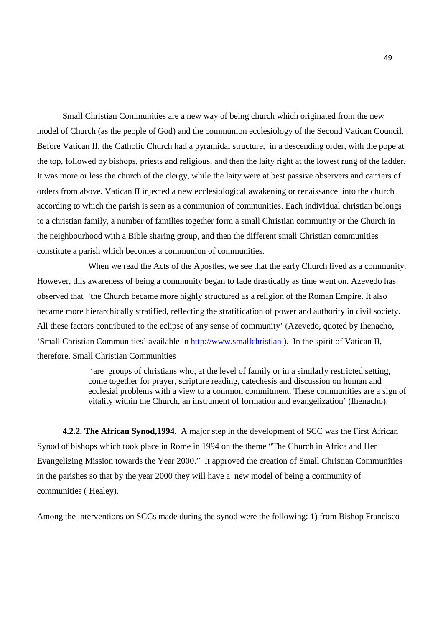Small Christian Communities are a new way of being church which originated from the new model of Church (as the people of God) and the communion ecclesiology of the Second Vatican Council. Before Vatican II, the Catholic Church had a pyramidal structure, in a descending order, with the pope at the top, followed by bishops, priests and religious, and then the laity right at the lowest rung of the ladder. It was more or less the church of the clergy, while the laity were at best passive observers and carriers of orders from above. Vatican II injected a new ecclesiological awakening or renaissance into the church according to which the parish is seen as a communion of communities. Each individual christian belongs to a christian family, a number of families together form a small Christian community or the Church in the neighbourhood with a Bible sharing group, and then the different small Christian communities constitute a parish which becomes a communion of communities.

 When we read the Acts of the Apostles, we see that the early Church lived as a community. However, this awareness of being a community began to fade drastically as time went on. Azevedo has observed that 'the Church became more highly structured as a religion of the Roman Empire. It also became more hierarchically stratified, reflecting the stratification of power and authority in civil society. All these factors contributed to the eclipse of any sense of community' (Azevedo, quoted by Ihenacho, 'Small Christian Communities' available in http://www.smallchristian ). In the spirit of Vatican II, therefore, Small Christian Communities

> 'are groups of christians who, at the level of family or in a similarly restricted setting, come together for prayer, scripture reading, catechesis and discussion on human and ecclesial problems with a view to a common commitment. These communities are a sign of vitality within the Church, an instrument of formation and evangelization' (Ihenacho).

**4.2.2. The African Synod,1994**. A major step in the development of SCC was the First African Synod of bishops which took place in Rome in 1994 on the theme "The Church in Africa and Her Evangelizing Mission towards the Year 2000." It approved the creation of Small Christian Communities in the parishes so that by the year 2000 they will have a new model of being a community of communities ( Healey).

Among the interventions on SCCs made during the synod were the following: 1) from Bishop Francisco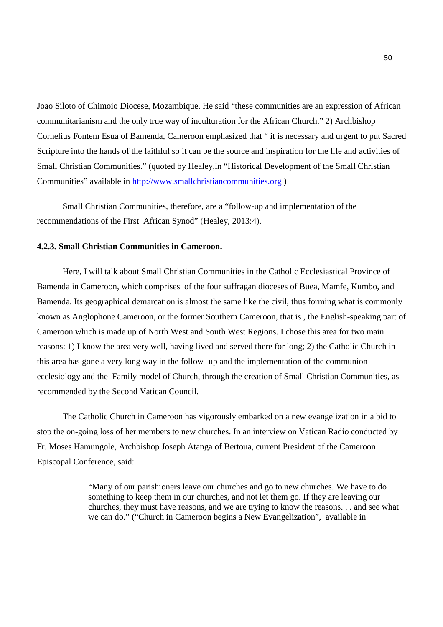Joao Siloto of Chimoio Diocese, Mozambique. He said "these communities are an expression of African communitarianism and the only true way of inculturation for the African Church." 2) Archbishop Cornelius Fontem Esua of Bamenda, Cameroon emphasized that " it is necessary and urgent to put Sacred Scripture into the hands of the faithful so it can be the source and inspiration for the life and activities of Small Christian Communities." (quoted by Healey,in "Historical Development of the Small Christian Communities" available in http://www.smallchristiancommunities.org )

 Small Christian Communities, therefore, are a "follow-up and implementation of the recommendations of the First African Synod" (Healey, 2013:4).

#### **4.2.3. Small Christian Communities in Cameroon.**

Here, I will talk about Small Christian Communities in the Catholic Ecclesiastical Province of Bamenda in Cameroon, which comprises of the four suffragan dioceses of Buea, Mamfe, Kumbo, and Bamenda. Its geographical demarcation is almost the same like the civil, thus forming what is commonly known as Anglophone Cameroon, or the former Southern Cameroon, that is , the English-speaking part of Cameroon which is made up of North West and South West Regions. I chose this area for two main reasons: 1) I know the area very well, having lived and served there for long; 2) the Catholic Church in this area has gone a very long way in the follow- up and the implementation of the communion ecclesiology and the Family model of Church, through the creation of Small Christian Communities, as recommended by the Second Vatican Council.

 The Catholic Church in Cameroon has vigorously embarked on a new evangelization in a bid to stop the on-going loss of her members to new churches. In an interview on Vatican Radio conducted by Fr. Moses Hamungole, Archbishop Joseph Atanga of Bertoua, current President of the Cameroon Episcopal Conference, said:

> "Many of our parishioners leave our churches and go to new churches. We have to do something to keep them in our churches, and not let them go. If they are leaving our churches, they must have reasons, and we are trying to know the reasons. . . and see what we can do." ("Church in Cameroon begins a New Evangelization", available in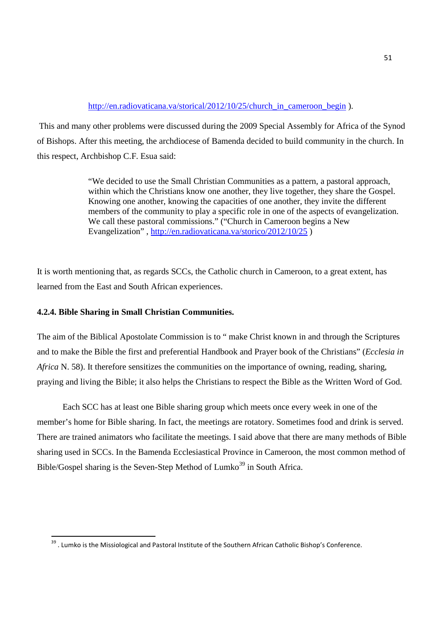### http://en.radiovaticana.va/storical/2012/10/25/church\_in\_cameroon\_begin ).

 This and many other problems were discussed during the 2009 Special Assembly for Africa of the Synod of Bishops. After this meeting, the archdiocese of Bamenda decided to build community in the church. In this respect, Archbishop C.F. Esua said:

> "We decided to use the Small Christian Communities as a pattern, a pastoral approach, within which the Christians know one another, they live together, they share the Gospel. Knowing one another, knowing the capacities of one another, they invite the different members of the community to play a specific role in one of the aspects of evangelization. We call these pastoral commissions." ("Church in Cameroon begins a New Evangelization", http://en.radiovaticana.va/storico/2012/10/25 )

It is worth mentioning that, as regards SCCs, the Catholic church in Cameroon, to a great extent, has learned from the East and South African experiences.

### **4.2.4. Bible Sharing in Small Christian Communities.**

<u>.</u>

The aim of the Biblical Apostolate Commission is to " make Christ known in and through the Scriptures and to make the Bible the first and preferential Handbook and Prayer book of the Christians" (*Ecclesia in Africa* N. 58). It therefore sensitizes the communities on the importance of owning, reading, sharing, praying and living the Bible; it also helps the Christians to respect the Bible as the Written Word of God.

 Each SCC has at least one Bible sharing group which meets once every week in one of the member's home for Bible sharing. In fact, the meetings are rotatory. Sometimes food and drink is served. There are trained animators who facilitate the meetings. I said above that there are many methods of Bible sharing used in SCCs. In the Bamenda Ecclesiastical Province in Cameroon, the most common method of Bible/Gospel sharing is the Seven-Step Method of Lumko<sup>39</sup> in South Africa.

<sup>&</sup>lt;sup>39</sup>. Lumko is the Missiological and Pastoral Institute of the Southern African Catholic Bishop's Conference.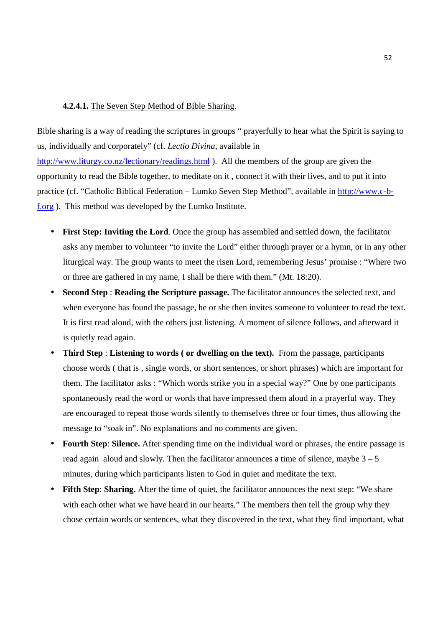#### **4.2.4.1.** The Seven Step Method of Bible Sharing.

Bible sharing is a way of reading the scriptures in groups " prayerfully to hear what the Spirit is saying to us, individually and corporately" (cf. *Lectio Divina*, available in http://www.liturgy.co.nz/lectionary/readings.html ). All the members of the group are given the opportunity to read the Bible together, to meditate on it , connect it with their lives, and to put it into practice (cf. "Catholic Biblical Federation – Lumko Seven Step Method", available in http://www.c-bf.org ). This method was developed by the Lumko Institute.

- **First Step: Inviting the Lord**. Once the group has assembled and settled down, the facilitator asks any member to volunteer "to invite the Lord" either through prayer or a hymn, or in any other liturgical way. The group wants to meet the risen Lord, remembering Jesus' promise : "Where two or three are gathered in my name, I shall be there with them." (Mt. 18:20).
- **Second Step** : **Reading the Scripture passage.** The facilitator announces the selected text, and when everyone has found the passage, he or she then invites someone to volunteer to read the text. It is first read aloud, with the others just listening. A moment of silence follows, and afterward it is quietly read again.
- **Third Step : Listening to words ( or dwelling on the text).** From the passage, participants choose words ( that is , single words, or short sentences, or short phrases) which are important for them. The facilitator asks : "Which words strike you in a special way?" One by one participants spontaneously read the word or words that have impressed them aloud in a prayerful way. They are encouraged to repeat those words silently to themselves three or four times, thus allowing the message to "soak in". No explanations and no comments are given.
- **Fourth Step**: **Silence.** After spending time on the individual word or phrases, the entire passage is read again aloud and slowly. Then the facilitator announces a time of silence, maybe  $3 - 5$ minutes, during which participants listen to God in quiet and meditate the text.
- **Fifth Step**: **Sharing.** After the time of quiet, the facilitator announces the next step: "We share with each other what we have heard in our hearts." The members then tell the group why they chose certain words or sentences, what they discovered in the text, what they find important, what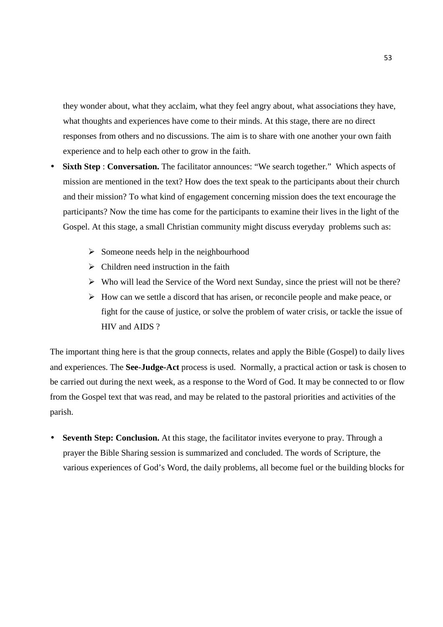they wonder about, what they acclaim, what they feel angry about, what associations they have, what thoughts and experiences have come to their minds. At this stage, there are no direct responses from others and no discussions. The aim is to share with one another your own faith experience and to help each other to grow in the faith.

- **Sixth Step : Conversation.** The facilitator announces: "We search together." Which aspects of mission are mentioned in the text? How does the text speak to the participants about their church and their mission? To what kind of engagement concerning mission does the text encourage the participants? Now the time has come for the participants to examine their lives in the light of the Gospel. At this stage, a small Christian community might discuss everyday problems such as:
	- $\triangleright$  Someone needs help in the neighbourhood
	- $\triangleright$  Children need instruction in the faith
	- $\triangleright$  Who will lead the Service of the Word next Sunday, since the priest will not be there?
	- $\triangleright$  How can we settle a discord that has arisen, or reconcile people and make peace, or fight for the cause of justice, or solve the problem of water crisis, or tackle the issue of HIV and AIDS ?

The important thing here is that the group connects, relates and apply the Bible (Gospel) to daily lives and experiences. The **See-Judge-Act** process is used. Normally, a practical action or task is chosen to be carried out during the next week, as a response to the Word of God. It may be connected to or flow from the Gospel text that was read, and may be related to the pastoral priorities and activities of the parish.

• **Seventh Step: Conclusion.** At this stage, the facilitator invites everyone to pray. Through a prayer the Bible Sharing session is summarized and concluded. The words of Scripture, the various experiences of God's Word, the daily problems, all become fuel or the building blocks for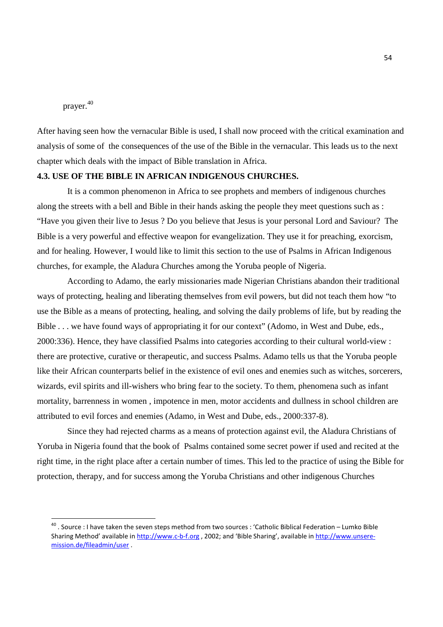prayer. 40

-

After having seen how the vernacular Bible is used, I shall now proceed with the critical examination and analysis of some of the consequences of the use of the Bible in the vernacular. This leads us to the next chapter which deals with the impact of Bible translation in Africa.

### **4.3. USE OF THE BIBLE IN AFRICAN INDIGENOUS CHURCHES.**

 It is a common phenomenon in Africa to see prophets and members of indigenous churches along the streets with a bell and Bible in their hands asking the people they meet questions such as : "Have you given their live to Jesus ? Do you believe that Jesus is your personal Lord and Saviour? The Bible is a very powerful and effective weapon for evangelization. They use it for preaching, exorcism, and for healing. However, I would like to limit this section to the use of Psalms in African Indigenous churches, for example, the Aladura Churches among the Yoruba people of Nigeria.

 According to Adamo, the early missionaries made Nigerian Christians abandon their traditional ways of protecting, healing and liberating themselves from evil powers, but did not teach them how "to use the Bible as a means of protecting, healing, and solving the daily problems of life, but by reading the Bible . . . we have found ways of appropriating it for our context" (Adomo, in West and Dube, eds., 2000:336). Hence, they have classified Psalms into categories according to their cultural world-view : there are protective, curative or therapeutic, and success Psalms. Adamo tells us that the Yoruba people like their African counterparts belief in the existence of evil ones and enemies such as witches, sorcerers, wizards, evil spirits and ill-wishers who bring fear to the society. To them, phenomena such as infant mortality, barrenness in women , impotence in men, motor accidents and dullness in school children are attributed to evil forces and enemies (Adamo, in West and Dube, eds., 2000:337-8).

 Since they had rejected charms as a means of protection against evil, the Aladura Christians of Yoruba in Nigeria found that the book of Psalms contained some secret power if used and recited at the right time, in the right place after a certain number of times. This led to the practice of using the Bible for protection, therapy, and for success among the Yoruba Christians and other indigenous Churches

<sup>&</sup>lt;sup>40</sup> . Source : I have taken the seven steps method from two sources : 'Catholic Biblical Federation – Lumko Bible Sharing Method' available in http://www.c-b-f.org , 2002; and 'Bible Sharing', available in http://www.unseremission.de/fileadmin/user .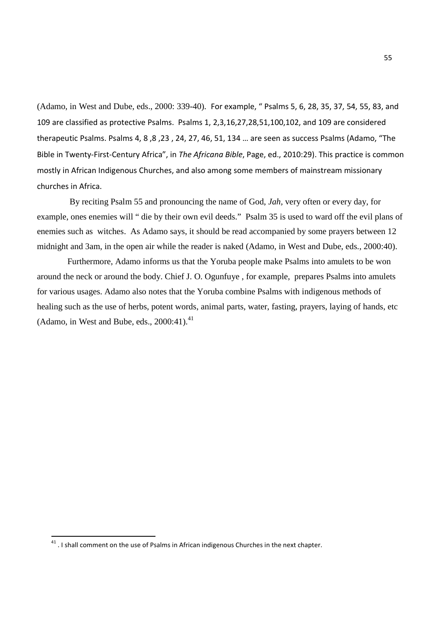(Adamo, in West and Dube, eds., 2000: 339-40). For example, " Psalms 5, 6, 28, 35, 37, 54, 55, 83, and 109 are classified as protective Psalms. Psalms 1, 2,3,16,27,28,51,100,102, and 109 are considered therapeutic Psalms. Psalms 4, 8 ,8 ,23 , 24, 27, 46, 51, 134 … are seen as success Psalms (Adamo, "The Bible in Twenty-First-Century Africa", in *The Africana Bible*, Page, ed., 2010:29). This practice is common mostly in African Indigenous Churches, and also among some members of mainstream missionary churches in Africa.

 By reciting Psalm 55 and pronouncing the name of God, *Jah,* very often or every day, for example, ones enemies will " die by their own evil deeds." Psalm 35 is used to ward off the evil plans of enemies such as witches. As Adamo says, it should be read accompanied by some prayers between 12 midnight and 3am, in the open air while the reader is naked (Adamo, in West and Dube, eds., 2000:40).

 Furthermore, Adamo informs us that the Yoruba people make Psalms into amulets to be won around the neck or around the body. Chief J. O. Ogunfuye , for example, prepares Psalms into amulets for various usages. Adamo also notes that the Yoruba combine Psalms with indigenous methods of healing such as the use of herbs, potent words, animal parts, water, fasting, prayers, laying of hands, etc (Adamo, in West and Bube, eds.,  $2000:41$ ).<sup>41</sup>

<u>.</u>

 $41$ . I shall comment on the use of Psalms in African indigenous Churches in the next chapter.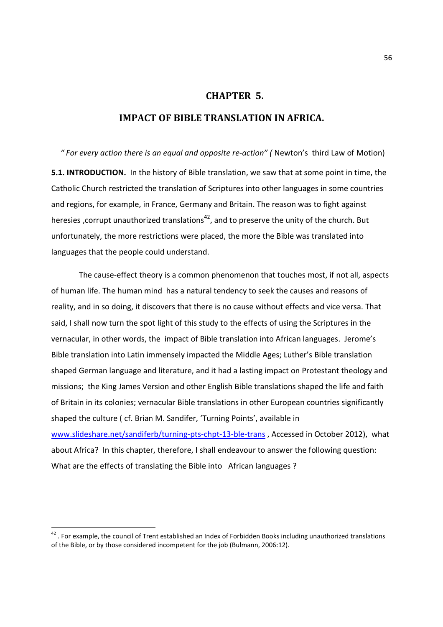### **CHAPTER 5.**

# **IMPACT OF BIBLE TRANSLATION IN AFRICA.**

 *" For every action there is an equal and opposite re-action" (* Newton's third Law of Motion) **5.1. INTRODUCTION.** In the history of Bible translation, we saw that at some point in time, the Catholic Church restricted the translation of Scriptures into other languages in some countries and regions, for example, in France, Germany and Britain. The reason was to fight against heresies , corrupt unauthorized translations<sup>42</sup>, and to preserve the unity of the church. But unfortunately, the more restrictions were placed, the more the Bible was translated into languages that the people could understand.

 The cause-effect theory is a common phenomenon that touches most, if not all, aspects of human life. The human mind has a natural tendency to seek the causes and reasons of reality, and in so doing, it discovers that there is no cause without effects and vice versa. That said, I shall now turn the spot light of this study to the effects of using the Scriptures in the vernacular, in other words, the impact of Bible translation into African languages. Jerome's Bible translation into Latin immensely impacted the Middle Ages; Luther's Bible translation shaped German language and literature, and it had a lasting impact on Protestant theology and missions; the King James Version and other English Bible translations shaped the life and faith of Britain in its colonies; vernacular Bible translations in other European countries significantly shaped the culture ( cf. Brian M. Sandifer, 'Turning Points', available in www.slideshare.net/sandiferb/turning-pts-chpt-13-ble-trans , Accessed in October 2012), what about Africa? In this chapter, therefore, I shall endeavour to answer the following question: What are the effects of translating the Bible into African languages ?

 $^{42}$  . For example, the council of Trent established an Index of Forbidden Books including unauthorized translations of the Bible, or by those considered incompetent for the job (Bulmann, 2006:12).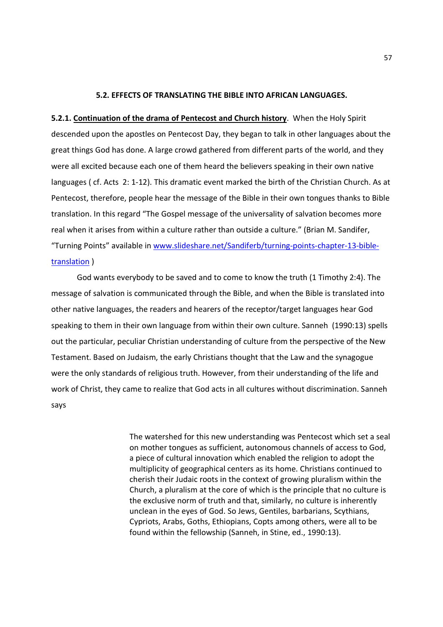### **5.2. EFFECTS OF TRANSLATING THE BIBLE INTO AFRICAN LANGUAGES.**

**5.2.1. Continuation of the drama of Pentecost and Church history**. When the Holy Spirit descended upon the apostles on Pentecost Day, they began to talk in other languages about the great things God has done. A large crowd gathered from different parts of the world, and they were all excited because each one of them heard the believers speaking in their own native languages ( cf. Acts 2: 1-12). This dramatic event marked the birth of the Christian Church. As at Pentecost, therefore, people hear the message of the Bible in their own tongues thanks to Bible translation. In this regard "The Gospel message of the universality of salvation becomes more real when it arises from within a culture rather than outside a culture." (Brian M. Sandifer, "Turning Points" available in www.slideshare.net/Sandiferb/turning-points-chapter-13-bibletranslation )

God wants everybody to be saved and to come to know the truth (1 Timothy 2:4). The message of salvation is communicated through the Bible, and when the Bible is translated into other native languages, the readers and hearers of the receptor/target languages hear God speaking to them in their own language from within their own culture. Sanneh (1990:13) spells out the particular, peculiar Christian understanding of culture from the perspective of the New Testament. Based on Judaism, the early Christians thought that the Law and the synagogue were the only standards of religious truth. However, from their understanding of the life and work of Christ, they came to realize that God acts in all cultures without discrimination. Sanneh says

> The watershed for this new understanding was Pentecost which set a seal on mother tongues as sufficient, autonomous channels of access to God, a piece of cultural innovation which enabled the religion to adopt the multiplicity of geographical centers as its home. Christians continued to cherish their Judaic roots in the context of growing pluralism within the Church, a pluralism at the core of which is the principle that no culture is the exclusive norm of truth and that, similarly, no culture is inherently unclean in the eyes of God. So Jews, Gentiles, barbarians, Scythians, Cypriots, Arabs, Goths, Ethiopians, Copts among others, were all to be found within the fellowship (Sanneh, in Stine, ed., 1990:13).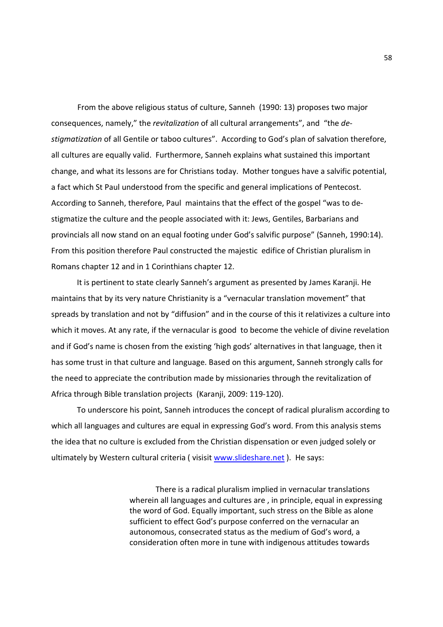From the above religious status of culture, Sanneh (1990: 13) proposes two major consequences, namely," the *revitalization* of all cultural arrangements", and "the *destigmatization* of all Gentile or taboo cultures". According to God's plan of salvation therefore, all cultures are equally valid. Furthermore, Sanneh explains what sustained this important change, and what its lessons are for Christians today. Mother tongues have a salvific potential, a fact which St Paul understood from the specific and general implications of Pentecost. According to Sanneh, therefore, Paul maintains that the effect of the gospel "was to destigmatize the culture and the people associated with it: Jews, Gentiles, Barbarians and provincials all now stand on an equal footing under God's salvific purpose" (Sanneh, 1990:14). From this position therefore Paul constructed the majestic edifice of Christian pluralism in Romans chapter 12 and in 1 Corinthians chapter 12.

 It is pertinent to state clearly Sanneh's argument as presented by James Karanji. He maintains that by its very nature Christianity is a "vernacular translation movement" that spreads by translation and not by "diffusion" and in the course of this it relativizes a culture into which it moves. At any rate, if the vernacular is good to become the vehicle of divine revelation and if God's name is chosen from the existing 'high gods' alternatives in that language, then it has some trust in that culture and language. Based on this argument, Sanneh strongly calls for the need to appreciate the contribution made by missionaries through the revitalization of Africa through Bible translation projects (Karanji, 2009: 119-120).

 To underscore his point, Sanneh introduces the concept of radical pluralism according to which all languages and cultures are equal in expressing God's word. From this analysis stems the idea that no culture is excluded from the Christian dispensation or even judged solely or ultimately by Western cultural criteria ( visisit www.slideshare.net ). He says:

> There is a radical pluralism implied in vernacular translations wherein all languages and cultures are , in principle, equal in expressing the word of God. Equally important, such stress on the Bible as alone sufficient to effect God's purpose conferred on the vernacular an autonomous, consecrated status as the medium of God's word, a consideration often more in tune with indigenous attitudes towards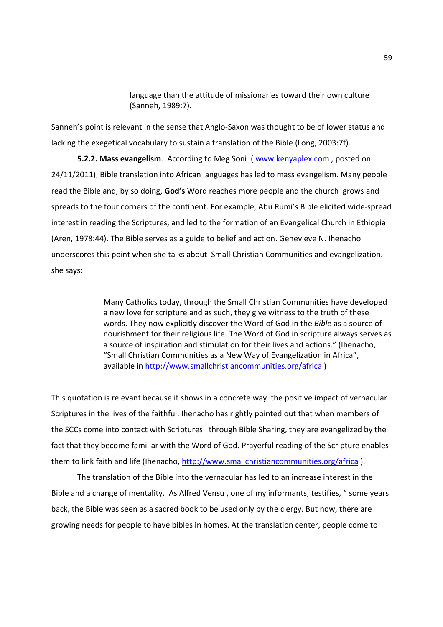language than the attitude of missionaries toward their own culture (Sanneh, 1989:7).

Sanneh's point is relevant in the sense that Anglo-Saxon was thought to be of lower status and lacking the exegetical vocabulary to sustain a translation of the Bible (Long, 2003:7f).

**5.2.2. Mass evangelism**. According to Meg Soni ( www.kenyaplex.com , posted on 24/11/2011), Bible translation into African languages has led to mass evangelism. Many people read the Bible and, by so doing, **God's** Word reaches more people and the church grows and spreads to the four corners of the continent. For example, Abu Rumi's Bible elicited wide-spread interest in reading the Scriptures, and led to the formation of an Evangelical Church in Ethiopia (Aren, 1978:44). The Bible serves as a guide to belief and action. Genevieve N. Ihenacho underscores this point when she talks about Small Christian Communities and evangelization. she says:

> Many Catholics today, through the Small Christian Communities have developed a new love for scripture and as such, they give witness to the truth of these words. They now explicitly discover the Word of God in the *Bible* as a source of nourishment for their religious life. The Word of God in scripture always serves as a source of inspiration and stimulation for their lives and actions." (Ihenacho, "Small Christian Communities as a New Way of Evangelization in Africa", available in http://www.smallchristiancommunities.org/africa )

This quotation is relevant because it shows in a concrete way the positive impact of vernacular Scriptures in the lives of the faithful. Ihenacho has rightly pointed out that when members of the SCCs come into contact with Scriptures through Bible Sharing, they are evangelized by the fact that they become familiar with the Word of God. Prayerful reading of the Scripture enables them to link faith and life (Ihenacho, http://www.smallchristiancommunities.org/africa ).

The translation of the Bible into the vernacular has led to an increase interest in the Bible and a change of mentality. As Alfred Vensu , one of my informants, testifies, " some years back, the Bible was seen as a sacred book to be used only by the clergy. But now, there are growing needs for people to have bibles in homes. At the translation center, people come to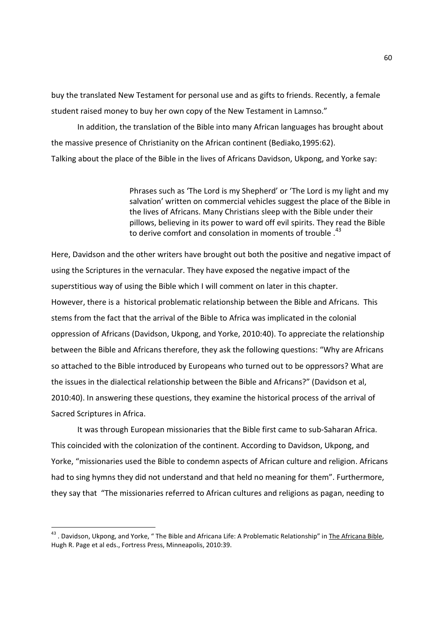buy the translated New Testament for personal use and as gifts to friends. Recently, a female student raised money to buy her own copy of the New Testament in Lamnso."

In addition, the translation of the Bible into many African languages has brought about the massive presence of Christianity on the African continent (Bediako,1995:62). Talking about the place of the Bible in the lives of Africans Davidson, Ukpong, and Yorke say:

> Phrases such as 'The Lord is my Shepherd' or 'The Lord is my light and my salvation' written on commercial vehicles suggest the place of the Bible in the lives of Africans. Many Christians sleep with the Bible under their pillows, believing in its power to ward off evil spirits. They read the Bible to derive comfort and consolation in moments of trouble.<sup>43</sup>

Here, Davidson and the other writers have brought out both the positive and negative impact of using the Scriptures in the vernacular. They have exposed the negative impact of the superstitious way of using the Bible which I will comment on later in this chapter. However, there is a historical problematic relationship between the Bible and Africans. This stems from the fact that the arrival of the Bible to Africa was implicated in the colonial oppression of Africans (Davidson, Ukpong, and Yorke, 2010:40). To appreciate the relationship between the Bible and Africans therefore, they ask the following questions: "Why are Africans so attached to the Bible introduced by Europeans who turned out to be oppressors? What are the issues in the dialectical relationship between the Bible and Africans?" (Davidson et al, 2010:40). In answering these questions, they examine the historical process of the arrival of Sacred Scriptures in Africa.

It was through European missionaries that the Bible first came to sub-Saharan Africa. This coincided with the colonization of the continent. According to Davidson, Ukpong, and Yorke, "missionaries used the Bible to condemn aspects of African culture and religion. Africans had to sing hymns they did not understand and that held no meaning for them". Furthermore, they say that "The missionaries referred to African cultures and religions as pagan, needing to

<sup>&</sup>lt;sup>43</sup> . Davidson, Ukpong, and Yorke, " The Bible and Africana Life: A Problematic Relationship" in <u>The Africana Bible</u>, Hugh R. Page et al eds., Fortress Press, Minneapolis, 2010:39.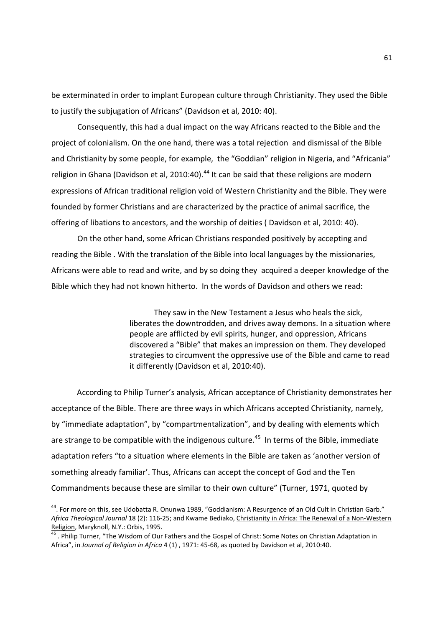be exterminated in order to implant European culture through Christianity. They used the Bible to justify the subjugation of Africans" (Davidson et al, 2010: 40).

Consequently, this had a dual impact on the way Africans reacted to the Bible and the project of colonialism. On the one hand, there was a total rejection and dismissal of the Bible and Christianity by some people, for example, the "Goddian" religion in Nigeria, and "Africania" religion in Ghana (Davidson et al, 2010:40).<sup>44</sup> It can be said that these religions are modern expressions of African traditional religion void of Western Christianity and the Bible. They were founded by former Christians and are characterized by the practice of animal sacrifice, the offering of libations to ancestors, and the worship of deities ( Davidson et al, 2010: 40).

On the other hand, some African Christians responded positively by accepting and reading the Bible . With the translation of the Bible into local languages by the missionaries, Africans were able to read and write, and by so doing they acquired a deeper knowledge of the Bible which they had not known hitherto. In the words of Davidson and others we read:

> They saw in the New Testament a Jesus who heals the sick, liberates the downtrodden, and drives away demons. In a situation where people are afflicted by evil spirits, hunger, and oppression, Africans discovered a "Bible" that makes an impression on them. They developed strategies to circumvent the oppressive use of the Bible and came to read it differently (Davidson et al, 2010:40).

 According to Philip Turner's analysis, African acceptance of Christianity demonstrates her acceptance of the Bible. There are three ways in which Africans accepted Christianity, namely, by "immediate adaptation", by "compartmentalization", and by dealing with elements which are strange to be compatible with the indigenous culture.<sup>45</sup> In terms of the Bible, immediate adaptation refers "to a situation where elements in the Bible are taken as 'another version of something already familiar'. Thus, Africans can accept the concept of God and the Ten Commandments because these are similar to their own culture" (Turner, 1971, quoted by

<sup>44</sup>. For more on this, see Udobatta R. Onunwa 1989, "Goddianism: A Resurgence of an Old Cult in Christian Garb." *Africa Theological Journal* 18 (2): 116-25; and Kwame Bediako, Christianity in Africa: The Renewal of a Non-Western Religion, Maryknoll, N.Y.: Orbis, 1995.

<sup>&</sup>lt;sup>45</sup> . Philip Turner, "The Wisdom of Our Fathers and the Gospel of Christ: Some Notes on Christian Adaptation in Africa", in *Journal of Religion in Africa* 4 (1) , 1971: 45-68, as quoted by Davidson et al, 2010:40.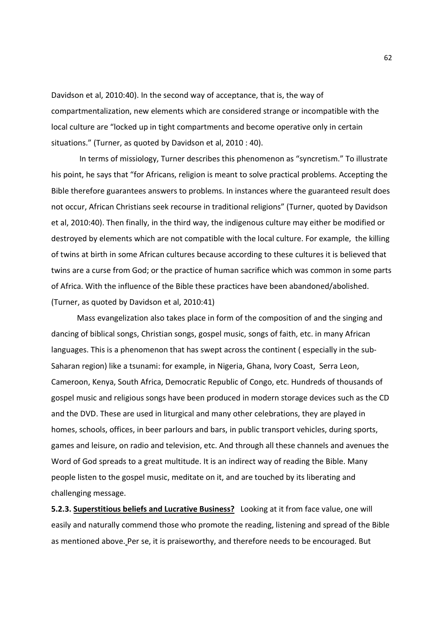Davidson et al, 2010:40). In the second way of acceptance, that is, the way of compartmentalization, new elements which are considered strange or incompatible with the local culture are "locked up in tight compartments and become operative only in certain situations." (Turner, as quoted by Davidson et al, 2010 : 40).

 In terms of missiology, Turner describes this phenomenon as "syncretism." To illustrate his point, he says that "for Africans, religion is meant to solve practical problems. Accepting the Bible therefore guarantees answers to problems. In instances where the guaranteed result does not occur, African Christians seek recourse in traditional religions" (Turner, quoted by Davidson et al, 2010:40). Then finally, in the third way, the indigenous culture may either be modified or destroyed by elements which are not compatible with the local culture. For example, the killing of twins at birth in some African cultures because according to these cultures it is believed that twins are a curse from God; or the practice of human sacrifice which was common in some parts of Africa. With the influence of the Bible these practices have been abandoned/abolished. (Turner, as quoted by Davidson et al, 2010:41)

 Mass evangelization also takes place in form of the composition of and the singing and dancing of biblical songs, Christian songs, gospel music, songs of faith, etc. in many African languages. This is a phenomenon that has swept across the continent ( especially in the sub-Saharan region) like a tsunami: for example, in Nigeria, Ghana, Ivory Coast, Serra Leon, Cameroon, Kenya, South Africa, Democratic Republic of Congo, etc. Hundreds of thousands of gospel music and religious songs have been produced in modern storage devices such as the CD and the DVD. These are used in liturgical and many other celebrations, they are played in homes, schools, offices, in beer parlours and bars, in public transport vehicles, during sports, games and leisure, on radio and television, etc. And through all these channels and avenues the Word of God spreads to a great multitude. It is an indirect way of reading the Bible. Many people listen to the gospel music, meditate on it, and are touched by its liberating and challenging message.

**5.2.3. Superstitious beliefs and Lucrative Business?** Looking at it from face value, one will easily and naturally commend those who promote the reading, listening and spread of the Bible as mentioned above. Per se, it is praiseworthy, and therefore needs to be encouraged. But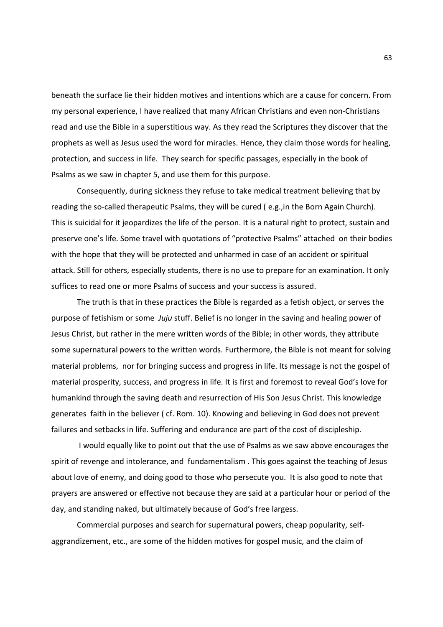beneath the surface lie their hidden motives and intentions which are a cause for concern. From my personal experience, I have realized that many African Christians and even non-Christians read and use the Bible in a superstitious way. As they read the Scriptures they discover that the prophets as well as Jesus used the word for miracles. Hence, they claim those words for healing, protection, and success in life. They search for specific passages, especially in the book of Psalms as we saw in chapter 5, and use them for this purpose.

 Consequently, during sickness they refuse to take medical treatment believing that by reading the so-called therapeutic Psalms, they will be cured ( e.g.,in the Born Again Church). This is suicidal for it jeopardizes the life of the person. It is a natural right to protect, sustain and preserve one's life. Some travel with quotations of "protective Psalms" attached on their bodies with the hope that they will be protected and unharmed in case of an accident or spiritual attack. Still for others, especially students, there is no use to prepare for an examination. It only suffices to read one or more Psalms of success and your success is assured.

 The truth is that in these practices the Bible is regarded as a fetish object, or serves the purpose of fetishism or some *Juju* stuff. Belief is no longer in the saving and healing power of Jesus Christ, but rather in the mere written words of the Bible; in other words, they attribute some supernatural powers to the written words. Furthermore, the Bible is not meant for solving material problems, nor for bringing success and progress in life. Its message is not the gospel of material prosperity, success, and progress in life. It is first and foremost to reveal God's love for humankind through the saving death and resurrection of His Son Jesus Christ. This knowledge generates faith in the believer ( cf. Rom. 10). Knowing and believing in God does not prevent failures and setbacks in life. Suffering and endurance are part of the cost of discipleship.

 I would equally like to point out that the use of Psalms as we saw above encourages the spirit of revenge and intolerance, and fundamentalism . This goes against the teaching of Jesus about love of enemy, and doing good to those who persecute you. It is also good to note that prayers are answered or effective not because they are said at a particular hour or period of the day, and standing naked, but ultimately because of God's free largess.

 Commercial purposes and search for supernatural powers, cheap popularity, selfaggrandizement, etc., are some of the hidden motives for gospel music, and the claim of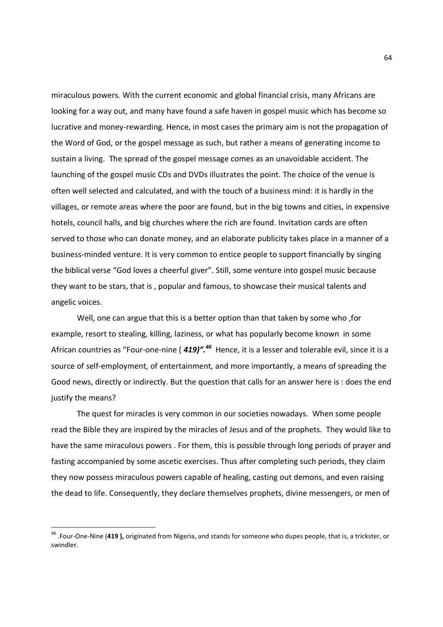miraculous powers. With the current economic and global financial crisis, many Africans are looking for a way out, and many have found a safe haven in gospel music which has become so lucrative and money-rewarding. Hence, in most cases the primary aim is not the propagation of the Word of God, or the gospel message as such, but rather a means of generating income to sustain a living. The spread of the gospel message comes as an unavoidable accident. The launching of the gospel music CDs and DVDs illustrates the point. The choice of the venue is often well selected and calculated, and with the touch of a business mind: it is hardly in the villages, or remote areas where the poor are found, but in the big towns and cities, in expensive hotels, council halls, and big churches where the rich are found. Invitation cards are often served to those who can donate money, and an elaborate publicity takes place in a manner of a business-minded venture. It is very common to entice people to support financially by singing the biblical verse "God loves a cheerful giver". Still, some venture into gospel music because they want to be stars, that is , popular and famous, to showcase their musical talents and angelic voices.

 Well, one can argue that this is a better option than that taken by some who ,for example, resort to stealing, killing, laziness, or what has popularly become known in some African countries as "Four-one-nine ( *419)".<sup>46</sup>* Hence, it is a lesser and tolerable evil, since it is a source of self-employment, of entertainment, and more importantly, a means of spreading the Good news, directly or indirectly. But the question that calls for an answer here is : does the end justify the means?

 The quest for miracles is very common in our societies nowadays. When some people read the Bible they are inspired by the miracles of Jesus and of the prophets. They would like to have the same miraculous powers . For them, this is possible through long periods of prayer and fasting accompanied by some ascetic exercises. Thus after completing such periods, they claim they now possess miraculous powers capable of healing, casting out demons, and even raising the dead to life. Consequently, they declare themselves prophets, divine messengers, or men of

<sup>46</sup> .Four-One-Nine (**419 ),** originated from Nigeria, and stands for someone who dupes people, that is, a trickster, or swindler.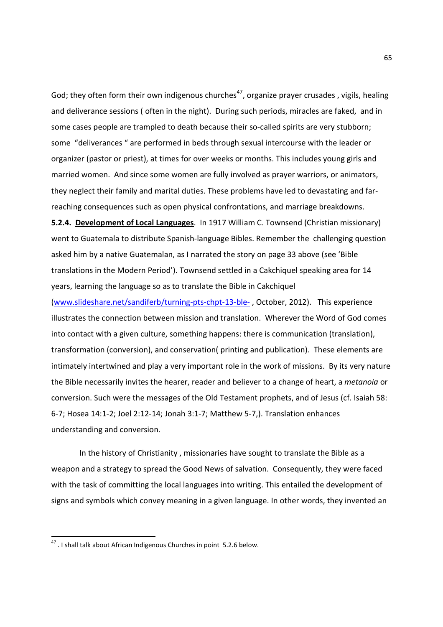God; they often form their own indigenous churches<sup>47</sup>, organize prayer crusades, vigils, healing and deliverance sessions ( often in the night). During such periods, miracles are faked, and in some cases people are trampled to death because their so-called spirits are very stubborn; some "deliverances " are performed in beds through sexual intercourse with the leader or organizer (pastor or priest), at times for over weeks or months. This includes young girls and married women. And since some women are fully involved as prayer warriors, or animators, they neglect their family and marital duties. These problems have led to devastating and farreaching consequences such as open physical confrontations, and marriage breakdowns.

**5.2.4. Development of Local Languages**. In 1917 William C. Townsend (Christian missionary) went to Guatemala to distribute Spanish-language Bibles. Remember the challenging question asked him by a native Guatemalan, as I narrated the story on page 33 above (see 'Bible translations in the Modern Period'). Townsend settled in a Cakchiquel speaking area for 14 years, learning the language so as to translate the Bible in Cakchiquel

(www.slideshare.net/sandiferb/turning-pts-chpt-13-ble- , October, 2012). This experience illustrates the connection between mission and translation. Wherever the Word of God comes into contact with a given culture, something happens: there is communication (translation), transformation (conversion), and conservation( printing and publication). These elements are intimately intertwined and play a very important role in the work of missions. By its very nature the Bible necessarily invites the hearer, reader and believer to a change of heart, a *metanoia* or conversion. Such were the messages of the Old Testament prophets, and of Jesus (cf. Isaiah 58: 6-7; Hosea 14:1-2; Joel 2:12-14; Jonah 3:1-7; Matthew 5-7,). Translation enhances understanding and conversion.

 In the history of Christianity , missionaries have sought to translate the Bible as a weapon and a strategy to spread the Good News of salvation. Consequently, they were faced with the task of committing the local languages into writing. This entailed the development of signs and symbols which convey meaning in a given language. In other words, they invented an

<u>.</u>

 $47$ . I shall talk about African Indigenous Churches in point 5.2.6 below.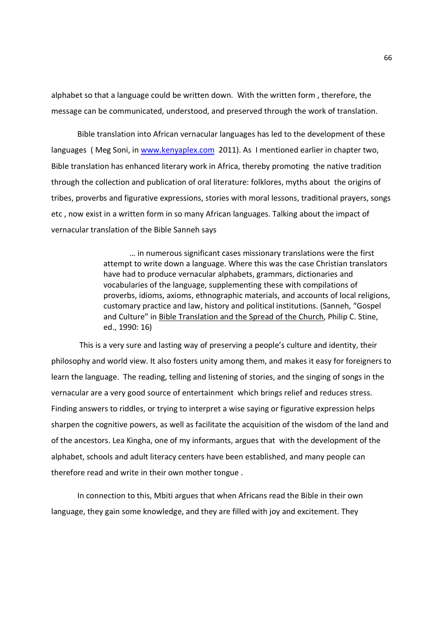alphabet so that a language could be written down. With the written form , therefore, the message can be communicated, understood, and preserved through the work of translation.

Bible translation into African vernacular languages has led to the development of these languages (Meg Soni, in www.kenyaplex.com 2011). As I mentioned earlier in chapter two, Bible translation has enhanced literary work in Africa, thereby promoting the native tradition through the collection and publication of oral literature: folklores, myths about the origins of tribes, proverbs and figurative expressions, stories with moral lessons, traditional prayers, songs etc , now exist in a written form in so many African languages. Talking about the impact of vernacular translation of the Bible Sanneh says

> … in numerous significant cases missionary translations were the first attempt to write down a language. Where this was the case Christian translators have had to produce vernacular alphabets, grammars, dictionaries and vocabularies of the language, supplementing these with compilations of proverbs, idioms, axioms, ethnographic materials, and accounts of local religions, customary practice and law, history and political institutions. (Sanneh, "Gospel and Culture" in Bible Translation and the Spread of the Church, Philip C. Stine, ed., 1990: 16)

 This is a very sure and lasting way of preserving a people's culture and identity, their philosophy and world view. It also fosters unity among them, and makes it easy for foreigners to learn the language. The reading, telling and listening of stories, and the singing of songs in the vernacular are a very good source of entertainment which brings relief and reduces stress. Finding answers to riddles, or trying to interpret a wise saying or figurative expression helps sharpen the cognitive powers, as well as facilitate the acquisition of the wisdom of the land and of the ancestors. Lea Kingha, one of my informants, argues that with the development of the alphabet, schools and adult literacy centers have been established, and many people can therefore read and write in their own mother tongue .

In connection to this, Mbiti argues that when Africans read the Bible in their own language, they gain some knowledge, and they are filled with joy and excitement. They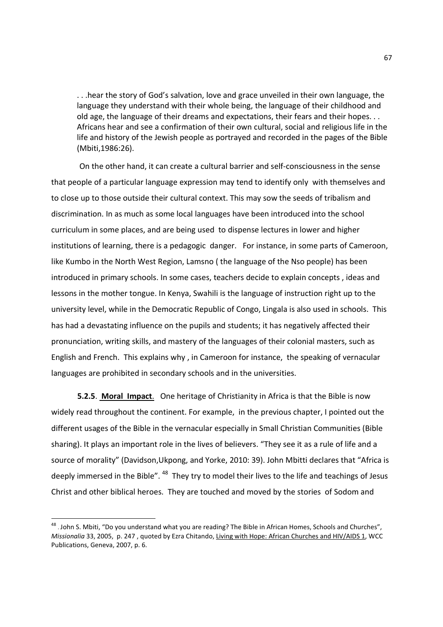. . .hear the story of God's salvation, love and grace unveiled in their own language, the language they understand with their whole being, the language of their childhood and old age, the language of their dreams and expectations, their fears and their hopes. . . Africans hear and see a confirmation of their own cultural, social and religious life in the life and history of the Jewish people as portrayed and recorded in the pages of the Bible (Mbiti,1986:26).

 On the other hand, it can create a cultural barrier and self-consciousness in the sense that people of a particular language expression may tend to identify only with themselves and to close up to those outside their cultural context. This may sow the seeds of tribalism and discrimination. In as much as some local languages have been introduced into the school curriculum in some places, and are being used to dispense lectures in lower and higher institutions of learning, there is a pedagogic danger. For instance, in some parts of Cameroon, like Kumbo in the North West Region, Lamsno ( the language of the Nso people) has been introduced in primary schools. In some cases, teachers decide to explain concepts , ideas and lessons in the mother tongue. In Kenya, Swahili is the language of instruction right up to the university level, while in the Democratic Republic of Congo, Lingala is also used in schools. This has had a devastating influence on the pupils and students; it has negatively affected their pronunciation, writing skills, and mastery of the languages of their colonial masters, such as English and French. This explains why , in Cameroon for instance, the speaking of vernacular languages are prohibited in secondary schools and in the universities.

**5.2.5**. **Moral Impact**. One heritage of Christianity in Africa is that the Bible is now widely read throughout the continent. For example, in the previous chapter, I pointed out the different usages of the Bible in the vernacular especially in Small Christian Communities (Bible sharing). It plays an important role in the lives of believers. "They see it as a rule of life and a source of morality" (Davidson,Ukpong, and Yorke, 2010: 39). John Mbitti declares that "Africa is deeply immersed in the Bible". <sup>48</sup> They try to model their lives to the life and teachings of Jesus Christ and other biblical heroes. They are touched and moved by the stories of Sodom and

 48 . John S. Mbiti, "Do you understand what you are reading? The Bible in African Homes, Schools and Churches", *Missionalia* 33, 2005, p. 247 , quoted by Ezra Chitando, Living with Hope: African Churches and HIV/AIDS 1, WCC Publications, Geneva, 2007, p. 6.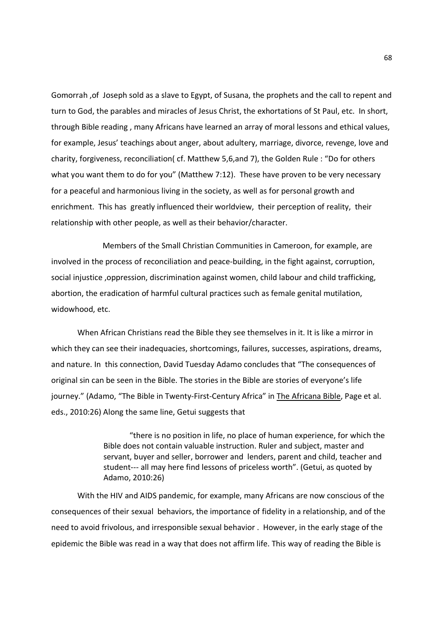Gomorrah ,of Joseph sold as a slave to Egypt, of Susana, the prophets and the call to repent and turn to God, the parables and miracles of Jesus Christ, the exhortations of St Paul, etc. In short, through Bible reading , many Africans have learned an array of moral lessons and ethical values, for example, Jesus' teachings about anger, about adultery, marriage, divorce, revenge, love and charity, forgiveness, reconciliation( cf. Matthew 5,6,and 7), the Golden Rule : "Do for others what you want them to do for you" (Matthew 7:12). These have proven to be very necessary for a peaceful and harmonious living in the society, as well as for personal growth and enrichment. This has greatly influenced their worldview, their perception of reality, their relationship with other people, as well as their behavior/character.

 Members of the Small Christian Communities in Cameroon, for example, are involved in the process of reconciliation and peace-building, in the fight against, corruption, social injustice ,oppression, discrimination against women, child labour and child trafficking, abortion, the eradication of harmful cultural practices such as female genital mutilation, widowhood, etc.

When African Christians read the Bible they see themselves in it. It is like a mirror in which they can see their inadequacies, shortcomings, failures, successes, aspirations, dreams, and nature. In this connection, David Tuesday Adamo concludes that "The consequences of original sin can be seen in the Bible. The stories in the Bible are stories of everyone's life journey." (Adamo, "The Bible in Twenty-First-Century Africa" in The Africana Bible, Page et al. eds., 2010:26) Along the same line, Getui suggests that

> "there is no position in life, no place of human experience, for which the Bible does not contain valuable instruction. Ruler and subject, master and servant, buyer and seller, borrower and lenders, parent and child, teacher and student--- all may here find lessons of priceless worth". (Getui, as quoted by Adamo, 2010:26)

With the HIV and AIDS pandemic, for example, many Africans are now conscious of the consequences of their sexual behaviors, the importance of fidelity in a relationship, and of the need to avoid frivolous, and irresponsible sexual behavior . However, in the early stage of the epidemic the Bible was read in a way that does not affirm life. This way of reading the Bible is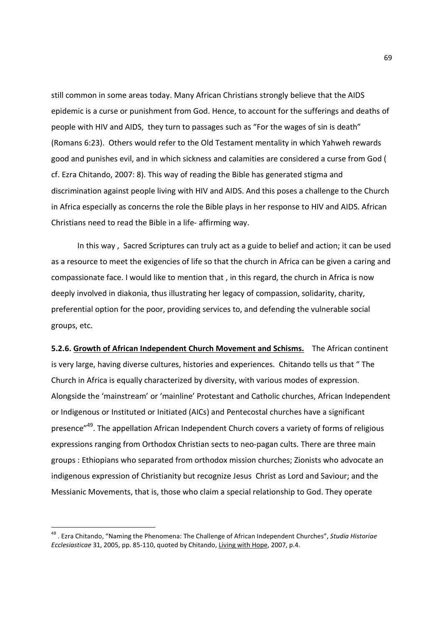still common in some areas today. Many African Christians strongly believe that the AIDS epidemic is a curse or punishment from God. Hence, to account for the sufferings and deaths of people with HIV and AIDS, they turn to passages such as "For the wages of sin is death" (Romans 6:23). Others would refer to the Old Testament mentality in which Yahweh rewards good and punishes evil, and in which sickness and calamities are considered a curse from God ( cf. Ezra Chitando, 2007: 8). This way of reading the Bible has generated stigma and discrimination against people living with HIV and AIDS. And this poses a challenge to the Church in Africa especially as concerns the role the Bible plays in her response to HIV and AIDS. African Christians need to read the Bible in a life- affirming way.

In this way , Sacred Scriptures can truly act as a guide to belief and action; it can be used as a resource to meet the exigencies of life so that the church in Africa can be given a caring and compassionate face. I would like to mention that , in this regard, the church in Africa is now deeply involved in diakonia, thus illustrating her legacy of compassion, solidarity, charity, preferential option for the poor, providing services to, and defending the vulnerable social groups, etc.

**5.2.6. Growth of African Independent Church Movement and Schisms.** The African continent is very large, having diverse cultures, histories and experiences. Chitando tells us that " The Church in Africa is equally characterized by diversity, with various modes of expression. Alongside the 'mainstream' or 'mainline' Protestant and Catholic churches, African Independent or Indigenous or Instituted or Initiated (AICs) and Pentecostal churches have a significant presence"<sup>49</sup>. The appellation African Independent Church covers a variety of forms of religious expressions ranging from Orthodox Christian sects to neo-pagan cults. There are three main groups : Ethiopians who separated from orthodox mission churches; Zionists who advocate an indigenous expression of Christianity but recognize Jesus Christ as Lord and Saviour; and the Messianic Movements, that is, those who claim a special relationship to God. They operate

<sup>49</sup> . Ezra Chitando, "Naming the Phenomena: The Challenge of African Independent Churches", *Studia Historiae Ecclesiasticae* 31, 2005, pp. 85-110, quoted by Chitando, Living with Hope, 2007, p.4.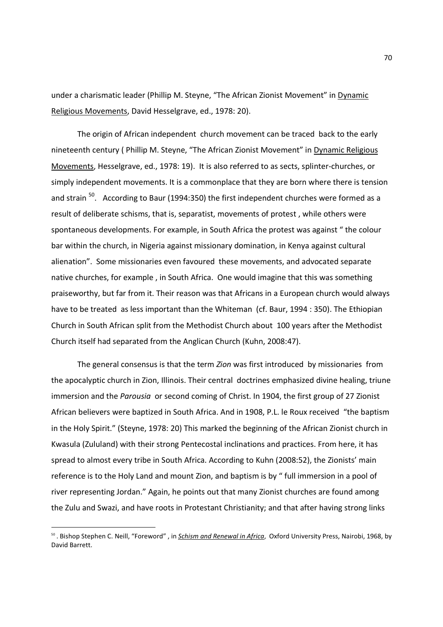under a charismatic leader (Phillip M. Steyne, "The African Zionist Movement" in Dynamic Religious Movements, David Hesselgrave, ed., 1978: 20).

The origin of African independent church movement can be traced back to the early nineteenth century ( Phillip M. Steyne, "The African Zionist Movement" in Dynamic Religious Movements, Hesselgrave, ed., 1978: 19). It is also referred to as sects, splinter-churches, or simply independent movements. It is a commonplace that they are born where there is tension and strain <sup>50</sup>. According to Baur (1994:350) the first independent churches were formed as a result of deliberate schisms, that is, separatist, movements of protest , while others were spontaneous developments. For example, in South Africa the protest was against " the colour bar within the church, in Nigeria against missionary domination, in Kenya against cultural alienation". Some missionaries even favoured these movements, and advocated separate native churches, for example , in South Africa. One would imagine that this was something praiseworthy, but far from it. Their reason was that Africans in a European church would always have to be treated as less important than the Whiteman (cf. Baur, 1994 : 350). The Ethiopian Church in South African split from the Methodist Church about 100 years after the Methodist Church itself had separated from the Anglican Church (Kuhn, 2008:47).

The general consensus is that the term *Zion* was first introduced by missionaries from the apocalyptic church in Zion, Illinois. Their central doctrines emphasized divine healing, triune immersion and the *Parousia* or second coming of Christ. In 1904, the first group of 27 Zionist African believers were baptized in South Africa. And in 1908, P.L. le Roux received "the baptism in the Holy Spirit." (Steyne, 1978: 20) This marked the beginning of the African Zionist church in Kwasula (Zululand) with their strong Pentecostal inclinations and practices. From here, it has spread to almost every tribe in South Africa. According to Kuhn (2008:52), the Zionists' main reference is to the Holy Land and mount Zion, and baptism is by " full immersion in a pool of river representing Jordan." Again, he points out that many Zionist churches are found among the Zulu and Swazi, and have roots in Protestant Christianity; and that after having strong links

<sup>50</sup> . Bishop Stephen C. Neill, "Foreword" , in *Schism and Renewal in Africa*, Oxford University Press, Nairobi, 1968, by David Barrett.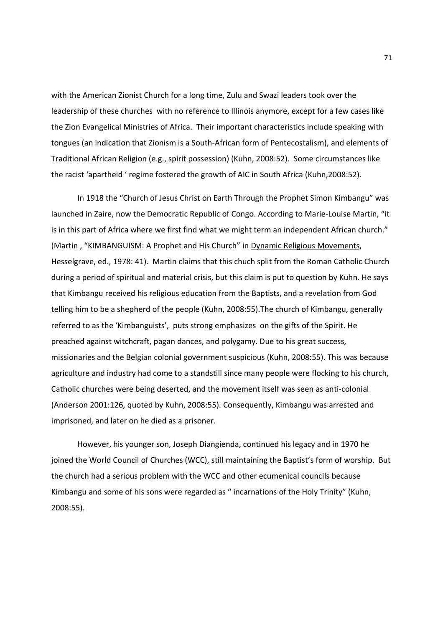with the American Zionist Church for a long time, Zulu and Swazi leaders took over the leadership of these churches with no reference to Illinois anymore, except for a few cases like the Zion Evangelical Ministries of Africa. Their important characteristics include speaking with tongues (an indication that Zionism is a South-African form of Pentecostalism), and elements of Traditional African Religion (e.g., spirit possession) (Kuhn, 2008:52). Some circumstances like the racist 'apartheid ' regime fostered the growth of AIC in South Africa (Kuhn,2008:52).

In 1918 the "Church of Jesus Christ on Earth Through the Prophet Simon Kimbangu" was launched in Zaire, now the Democratic Republic of Congo. According to Marie-Louise Martin, "it is in this part of Africa where we first find what we might term an independent African church." (Martin , "KIMBANGUISM: A Prophet and His Church" in Dynamic Religious Movements, Hesselgrave, ed., 1978: 41). Martin claims that this chuch split from the Roman Catholic Church during a period of spiritual and material crisis, but this claim is put to question by Kuhn. He says that Kimbangu received his religious education from the Baptists, and a revelation from God telling him to be a shepherd of the people (Kuhn, 2008:55).The church of Kimbangu, generally referred to as the 'Kimbanguists', puts strong emphasizes on the gifts of the Spirit. He preached against witchcraft, pagan dances, and polygamy. Due to his great success, missionaries and the Belgian colonial government suspicious (Kuhn, 2008:55). This was because agriculture and industry had come to a standstill since many people were flocking to his church, Catholic churches were being deserted, and the movement itself was seen as anti-colonial (Anderson 2001:126, quoted by Kuhn, 2008:55). Consequently, Kimbangu was arrested and imprisoned, and later on he died as a prisoner.

However, his younger son, Joseph Diangienda, continued his legacy and in 1970 he joined the World Council of Churches (WCC), still maintaining the Baptist's form of worship. But the church had a serious problem with the WCC and other ecumenical councils because Kimbangu and some of his sons were regarded as " incarnations of the Holy Trinity" (Kuhn, 2008:55).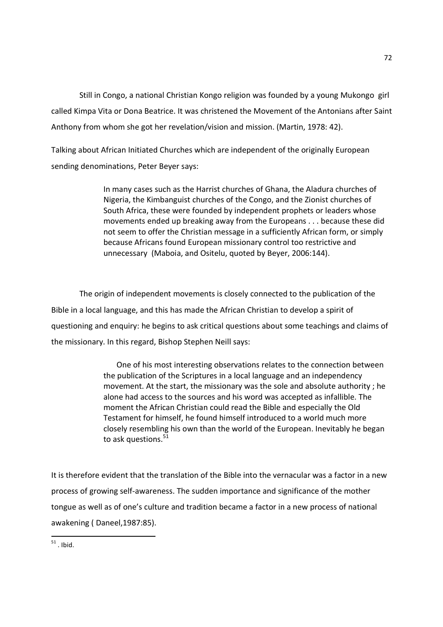Still in Congo, a national Christian Kongo religion was founded by a young Mukongo girl called Kimpa Vita or Dona Beatrice. It was christened the Movement of the Antonians after Saint Anthony from whom she got her revelation/vision and mission. (Martin, 1978: 42).

Talking about African Initiated Churches which are independent of the originally European sending denominations, Peter Beyer says:

> In many cases such as the Harrist churches of Ghana, the Aladura churches of Nigeria, the Kimbanguist churches of the Congo, and the Zionist churches of South Africa, these were founded by independent prophets or leaders whose movements ended up breaking away from the Europeans . . . because these did not seem to offer the Christian message in a sufficiently African form, or simply because Africans found European missionary control too restrictive and unnecessary (Maboia, and Ositelu, quoted by Beyer, 2006:144).

 The origin of independent movements is closely connected to the publication of the Bible in a local language, and this has made the African Christian to develop a spirit of questioning and enquiry: he begins to ask critical questions about some teachings and claims of the missionary. In this regard, Bishop Stephen Neill says:

> One of his most interesting observations relates to the connection between the publication of the Scriptures in a local language and an independency movement. At the start, the missionary was the sole and absolute authority ; he alone had access to the sources and his word was accepted as infallible. The moment the African Christian could read the Bible and especially the Old Testament for himself, he found himself introduced to a world much more closely resembling his own than the world of the European. Inevitably he began to ask questions. $51$

It is therefore evident that the translation of the Bible into the vernacular was a factor in a new process of growing self-awareness. The sudden importance and significance of the mother tongue as well as of one's culture and tradition became a factor in a new process of national awakening ( Daneel,1987:85).

<sup>&</sup>lt;u>.</u>  $51$ . Ibid.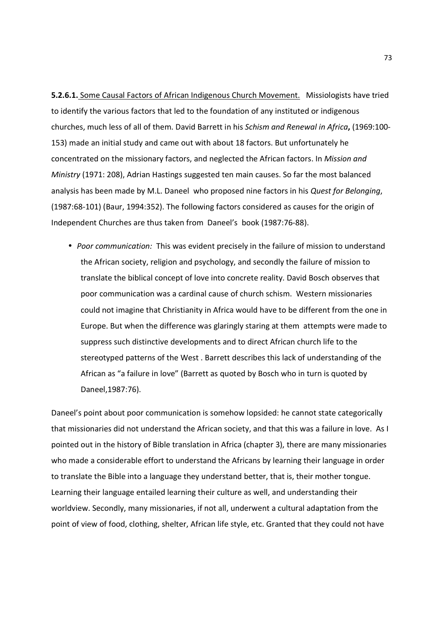**5.2.6.1.** Some Causal Factors of African Indigenous Church Movement. Missiologists have tried to identify the various factors that led to the foundation of any instituted or indigenous churches, much less of all of them. David Barrett in his *Schism and Renewal in Africa***,** (1969:100- 153) made an initial study and came out with about 18 factors. But unfortunately he concentrated on the missionary factors, and neglected the African factors. In *Mission and Ministry* (1971: 208), Adrian Hastings suggested ten main causes. So far the most balanced analysis has been made by M.L. Daneel who proposed nine factors in his *Quest for Belonging*, (1987:68-101) (Baur, 1994:352). The following factors considered as causes for the origin of Independent Churches are thus taken from Daneel's book (1987:76-88).

• *Poor communication:* This was evident precisely in the failure of mission to understand the African society, religion and psychology, and secondly the failure of mission to translate the biblical concept of love into concrete reality. David Bosch observes that poor communication was a cardinal cause of church schism. Western missionaries could not imagine that Christianity in Africa would have to be different from the one in Europe. But when the difference was glaringly staring at them attempts were made to suppress such distinctive developments and to direct African church life to the stereotyped patterns of the West . Barrett describes this lack of understanding of the African as "a failure in love" (Barrett as quoted by Bosch who in turn is quoted by Daneel,1987:76).

Daneel's point about poor communication is somehow lopsided: he cannot state categorically that missionaries did not understand the African society, and that this was a failure in love. As I pointed out in the history of Bible translation in Africa (chapter 3), there are many missionaries who made a considerable effort to understand the Africans by learning their language in order to translate the Bible into a language they understand better, that is, their mother tongue. Learning their language entailed learning their culture as well, and understanding their worldview. Secondly, many missionaries, if not all, underwent a cultural adaptation from the point of view of food, clothing, shelter, African life style, etc. Granted that they could not have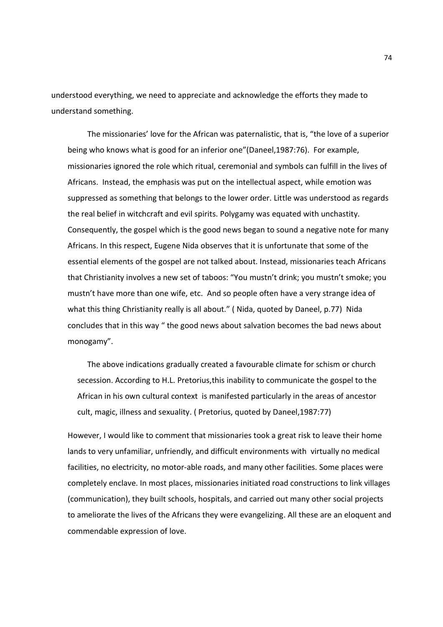understood everything, we need to appreciate and acknowledge the efforts they made to understand something.

The missionaries' love for the African was paternalistic, that is, "the love of a superior being who knows what is good for an inferior one"(Daneel,1987:76). For example, missionaries ignored the role which ritual, ceremonial and symbols can fulfill in the lives of Africans.Instead, the emphasis was put on the intellectual aspect, while emotion was suppressed as something that belongs to the lower order. Little was understood as regards the real belief in witchcraft and evil spirits. Polygamy was equated with unchastity. Consequently, the gospel which is the good news began to sound a negative note for many Africans. In this respect, Eugene Nida observes that it is unfortunate that some of the essential elements of the gospel are not talked about. Instead, missionaries teach Africans that Christianity involves a new set of taboos: "You mustn't drink; you mustn't smoke; you mustn't have more than one wife, etc. And so people often have a very strange idea of what this thing Christianity really is all about." (Nida, quoted by Daneel, p.77) Nida concludes that in this way " the good news about salvation becomes the bad news about monogamy".

The above indications gradually created a favourable climate for schism or church secession. According to H.L. Pretorius,this inability to communicate the gospel to the African in his own cultural context is manifested particularly in the areas of ancestor cult, magic, illness and sexuality. ( Pretorius, quoted by Daneel,1987:77)

However, I would like to comment that missionaries took a great risk to leave their home lands to very unfamiliar, unfriendly, and difficult environments with virtually no medical facilities, no electricity, no motor-able roads, and many other facilities. Some places were completely enclave. In most places, missionaries initiated road constructions to link villages (communication), they built schools, hospitals, and carried out many other social projects to ameliorate the lives of the Africans they were evangelizing. All these are an eloquent and commendable expression of love.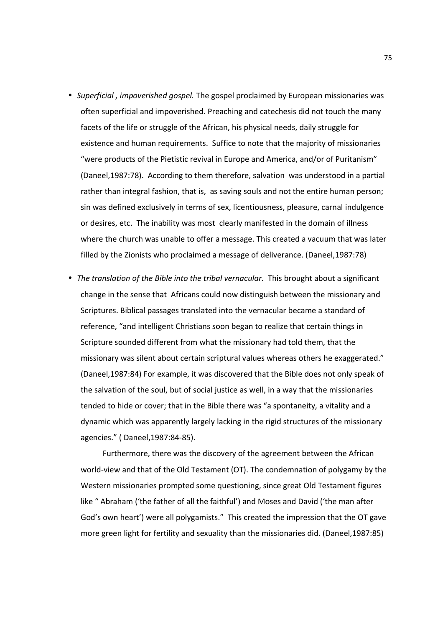- *Superficial , impoverished gospel.* The gospel proclaimed by European missionaries was often superficial and impoverished. Preaching and catechesis did not touch the many facets of the life or struggle of the African, his physical needs, daily struggle for existence and human requirements. Suffice to note that the majority of missionaries "were products of the Pietistic revival in Europe and America, and/or of Puritanism" (Daneel,1987:78). According to them therefore, salvation was understood in a partial rather than integral fashion, that is, as saving souls and not the entire human person; sin was defined exclusively in terms of sex, licentiousness, pleasure, carnal indulgence or desires, etc. The inability was most clearly manifested in the domain of illness where the church was unable to offer a message. This created a vacuum that was later filled by the Zionists who proclaimed a message of deliverance. (Daneel,1987:78)
- *The translation of the Bible into the tribal vernacular.* This brought about a significant change in the sense that Africans could now distinguish between the missionary and Scriptures. Biblical passages translated into the vernacular became a standard of reference, "and intelligent Christians soon began to realize that certain things in Scripture sounded different from what the missionary had told them, that the missionary was silent about certain scriptural values whereas others he exaggerated." (Daneel,1987:84) For example, it was discovered that the Bible does not only speak of the salvation of the soul, but of social justice as well, in a way that the missionaries tended to hide or cover; that in the Bible there was "a spontaneity, a vitality and a dynamic which was apparently largely lacking in the rigid structures of the missionary agencies." ( Daneel,1987:84-85).

 Furthermore, there was the discovery of the agreement between the African world-view and that of the Old Testament (OT). The condemnation of polygamy by the Western missionaries prompted some questioning, since great Old Testament figures like " Abraham ('the father of all the faithful') and Moses and David ('the man after God's own heart') were all polygamists." This created the impression that the OT gave more green light for fertility and sexuality than the missionaries did. (Daneel,1987:85)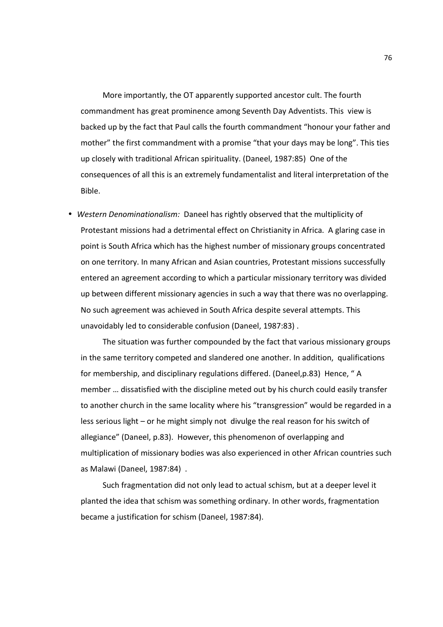More importantly, the OT apparently supported ancestor cult. The fourth commandment has great prominence among Seventh Day Adventists. This view is backed up by the fact that Paul calls the fourth commandment "honour your father and mother" the first commandment with a promise "that your days may be long". This ties up closely with traditional African spirituality. (Daneel, 1987:85) One of the consequences of all this is an extremely fundamentalist and literal interpretation of the Bible.

• *Western Denominationalism:* Daneel has rightly observed that the multiplicity of Protestant missions had a detrimental effect on Christianity in Africa. A glaring case in point is South Africa which has the highest number of missionary groups concentrated on one territory. In many African and Asian countries, Protestant missions successfully entered an agreement according to which a particular missionary territory was divided up between different missionary agencies in such a way that there was no overlapping. No such agreement was achieved in South Africa despite several attempts. This unavoidably led to considerable confusion (Daneel, 1987:83) .

 The situation was further compounded by the fact that various missionary groups in the same territory competed and slandered one another. In addition, qualifications for membership, and disciplinary regulations differed. (Daneel,p.83) Hence, "A member … dissatisfied with the discipline meted out by his church could easily transfer to another church in the same locality where his "transgression" would be regarded in a less serious light – or he might simply not divulge the real reason for his switch of allegiance" (Daneel, p.83). However, this phenomenon of overlapping and multiplication of missionary bodies was also experienced in other African countries such as Malawi (Daneel, 1987:84) .

 Such fragmentation did not only lead to actual schism, but at a deeper level it planted the idea that schism was something ordinary. In other words, fragmentation became a justification for schism (Daneel, 1987:84).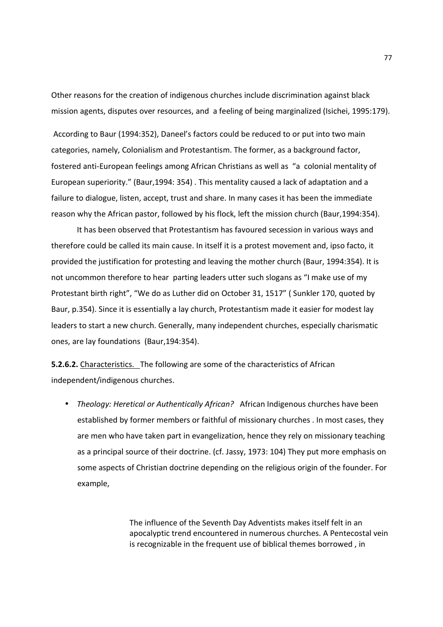Other reasons for the creation of indigenous churches include discrimination against black mission agents, disputes over resources, and a feeling of being marginalized (Isichei, 1995:179).

 According to Baur (1994:352), Daneel's factors could be reduced to or put into two main categories, namely, Colonialism and Protestantism. The former, as a background factor, fostered anti-European feelings among African Christians as well as "a colonial mentality of European superiority." (Baur,1994: 354) . This mentality caused a lack of adaptation and a failure to dialogue, listen, accept, trust and share. In many cases it has been the immediate reason why the African pastor, followed by his flock, left the mission church (Baur,1994:354).

 It has been observed that Protestantism has favoured secession in various ways and therefore could be called its main cause. In itself it is a protest movement and, ipso facto, it provided the justification for protesting and leaving the mother church (Baur, 1994:354). It is not uncommon therefore to hear parting leaders utter such slogans as "I make use of my Protestant birth right", "We do as Luther did on October 31, 1517" ( Sunkler 170, quoted by Baur, p.354). Since it is essentially a lay church, Protestantism made it easier for modest lay leaders to start a new church. Generally, many independent churches, especially charismatic ones, are lay foundations (Baur,194:354).

**5.2.6.2.** Characteristics. The following are some of the characteristics of African independent/indigenous churches.

• *Theology: Heretical or Authentically African?* African Indigenous churches have been established by former members or faithful of missionary churches . In most cases, they are men who have taken part in evangelization, hence they rely on missionary teaching as a principal source of their doctrine. (cf. Jassy, 1973: 104) They put more emphasis on some aspects of Christian doctrine depending on the religious origin of the founder. For example,

> The influence of the Seventh Day Adventists makes itself felt in an apocalyptic trend encountered in numerous churches. A Pentecostal vein is recognizable in the frequent use of biblical themes borrowed , in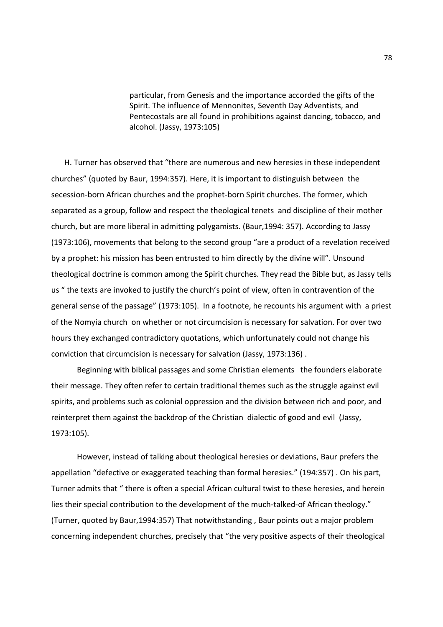particular, from Genesis and the importance accorded the gifts of the Spirit. The influence of Mennonites, Seventh Day Adventists, and Pentecostals are all found in prohibitions against dancing, tobacco, and alcohol. (Jassy, 1973:105)

H. Turner has observed that "there are numerous and new heresies in these independent churches" (quoted by Baur, 1994:357). Here, it is important to distinguish between the secession-born African churches and the prophet-born Spirit churches. The former, which separated as a group, follow and respect the theological tenets and discipline of their mother church, but are more liberal in admitting polygamists. (Baur,1994: 357). According to Jassy (1973:106), movements that belong to the second group "are a product of a revelation received by a prophet: his mission has been entrusted to him directly by the divine will". Unsound theological doctrine is common among the Spirit churches. They read the Bible but, as Jassy tells us " the texts are invoked to justify the church's point of view, often in contravention of the general sense of the passage" (1973:105). In a footnote, he recounts his argument with a priest of the Nomyia church on whether or not circumcision is necessary for salvation. For over two hours they exchanged contradictory quotations, which unfortunately could not change his conviction that circumcision is necessary for salvation (Jassy, 1973:136) .

 Beginning with biblical passages and some Christian elements the founders elaborate their message. They often refer to certain traditional themes such as the struggle against evil spirits, and problems such as colonial oppression and the division between rich and poor, and reinterpret them against the backdrop of the Christian dialectic of good and evil (Jassy, 1973:105).

 However, instead of talking about theological heresies or deviations, Baur prefers the appellation "defective or exaggerated teaching than formal heresies." (194:357) . On his part, Turner admits that " there is often a special African cultural twist to these heresies, and herein lies their special contribution to the development of the much-talked-of African theology." (Turner, quoted by Baur,1994:357) That notwithstanding , Baur points out a major problem concerning independent churches, precisely that "the very positive aspects of their theological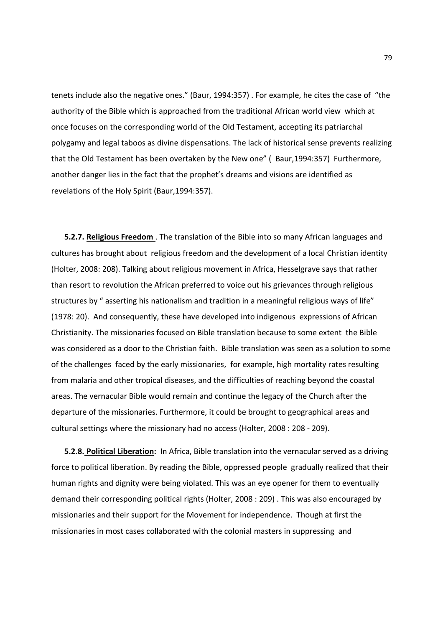tenets include also the negative ones." (Baur, 1994:357) . For example, he cites the case of "the authority of the Bible which is approached from the traditional African world view which at once focuses on the corresponding world of the Old Testament, accepting its patriarchal polygamy and legal taboos as divine dispensations. The lack of historical sense prevents realizing that the Old Testament has been overtaken by the New one" ( Baur,1994:357) Furthermore, another danger lies in the fact that the prophet's dreams and visions are identified as revelations of the Holy Spirit (Baur,1994:357).

**5.2.7. Religious Freedom** . The translation of the Bible into so many African languages and cultures has brought about religious freedom and the development of a local Christian identity (Holter, 2008: 208). Talking about religious movement in Africa, Hesselgrave says that rather than resort to revolution the African preferred to voice out his grievances through religious structures by " asserting his nationalism and tradition in a meaningful religious ways of life" (1978: 20). And consequently, these have developed into indigenous expressions of African Christianity. The missionaries focused on Bible translation because to some extent the Bible was considered as a door to the Christian faith. Bible translation was seen as a solution to some of the challenges faced by the early missionaries, for example, high mortality rates resulting from malaria and other tropical diseases, and the difficulties of reaching beyond the coastal areas. The vernacular Bible would remain and continue the legacy of the Church after the departure of the missionaries. Furthermore, it could be brought to geographical areas and cultural settings where the missionary had no access (Holter, 2008 : 208 - 209).

**5.2.8. Political Liberation:** In Africa, Bible translation into the vernacular served as a driving force to political liberation. By reading the Bible, oppressed people gradually realized that their human rights and dignity were being violated. This was an eye opener for them to eventually demand their corresponding political rights (Holter, 2008 : 209) . This was also encouraged by missionaries and their support for the Movement for independence. Though at first the missionaries in most cases collaborated with the colonial masters in suppressing and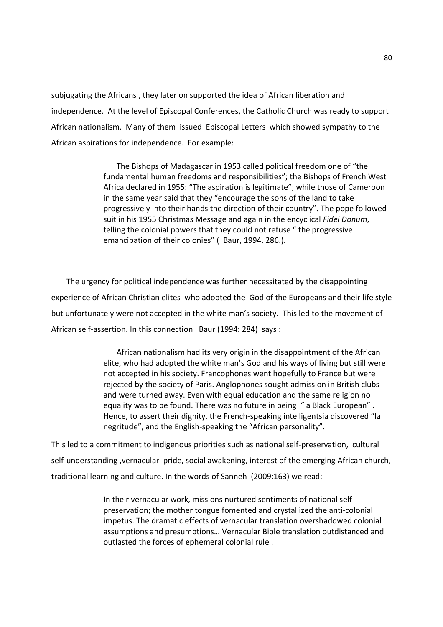subjugating the Africans , they later on supported the idea of African liberation and independence. At the level of Episcopal Conferences, the Catholic Church was ready to support African nationalism. Many of them issued Episcopal Letters which showed sympathy to the African aspirations for independence. For example:

> The Bishops of Madagascar in 1953 called political freedom one of "the fundamental human freedoms and responsibilities"; the Bishops of French West Africa declared in 1955: "The aspiration is legitimate"; while those of Cameroon in the same year said that they "encourage the sons of the land to take progressively into their hands the direction of their country". The pope followed suit in his 1955 Christmas Message and again in the encyclical *Fidei Donum*, telling the colonial powers that they could not refuse " the progressive emancipation of their colonies" ( Baur, 1994, 286.).

 The urgency for political independence was further necessitated by the disappointing experience of African Christian elites who adopted the God of the Europeans and their life style but unfortunately were not accepted in the white man's society. This led to the movement of African self-assertion. In this connection Baur (1994: 284) says :

> African nationalism had its very origin in the disappointment of the African elite, who had adopted the white man's God and his ways of living but still were not accepted in his society. Francophones went hopefully to France but were rejected by the society of Paris. Anglophones sought admission in British clubs and were turned away. Even with equal education and the same religion no equality was to be found. There was no future in being " a Black European" . Hence, to assert their dignity, the French-speaking intelligentsia discovered "la negritude", and the English-speaking the "African personality".

This led to a commitment to indigenous priorities such as national self-preservation, cultural self-understanding ,vernacular pride, social awakening, interest of the emerging African church, traditional learning and culture. In the words of Sanneh (2009:163) we read:

> In their vernacular work, missions nurtured sentiments of national selfpreservation; the mother tongue fomented and crystallized the anti-colonial impetus. The dramatic effects of vernacular translation overshadowed colonial assumptions and presumptions… Vernacular Bible translation outdistanced and outlasted the forces of ephemeral colonial rule .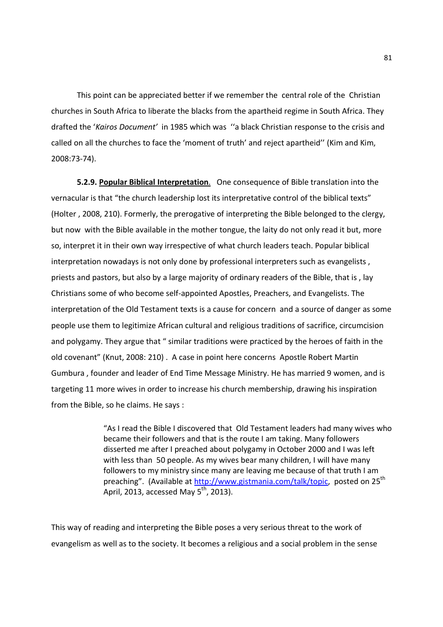This point can be appreciated better if we remember the central role of the Christian churches in South Africa to liberate the blacks from the apartheid regime in South Africa. They drafted the '*Kairos Document'* in 1985 which was ''a black Christian response to the crisis and called on all the churches to face the 'moment of truth' and reject apartheid'' (Kim and Kim, 2008:73-74).

**5.2.9. Popular Biblical Interpretation**. One consequence of Bible translation into the vernacular is that "the church leadership lost its interpretative control of the biblical texts" (Holter , 2008, 210). Formerly, the prerogative of interpreting the Bible belonged to the clergy, but now with the Bible available in the mother tongue, the laity do not only read it but, more so, interpret it in their own way irrespective of what church leaders teach. Popular biblical interpretation nowadays is not only done by professional interpreters such as evangelists , priests and pastors, but also by a large majority of ordinary readers of the Bible, that is , lay Christians some of who become self-appointed Apostles, Preachers, and Evangelists. The interpretation of the Old Testament texts is a cause for concern and a source of danger as some people use them to legitimize African cultural and religious traditions of sacrifice, circumcision and polygamy. They argue that " similar traditions were practiced by the heroes of faith in the old covenant" (Knut, 2008: 210) . A case in point here concerns Apostle Robert Martin Gumbura , founder and leader of End Time Message Ministry. He has married 9 women, and is targeting 11 more wives in order to increase his church membership, drawing his inspiration from the Bible, so he claims. He says :

> "As I read the Bible I discovered that Old Testament leaders had many wives who became their followers and that is the route I am taking. Many followers disserted me after I preached about polygamy in October 2000 and I was left with less than 50 people. As my wives bear many children, I will have many followers to my ministry since many are leaving me because of that truth I am preaching". (Available at http://www.gistmania.com/talk/topic, posted on 25<sup>th</sup> April, 2013, accessed May  $5^{th}$ , 2013).

This way of reading and interpreting the Bible poses a very serious threat to the work of evangelism as well as to the society. It becomes a religious and a social problem in the sense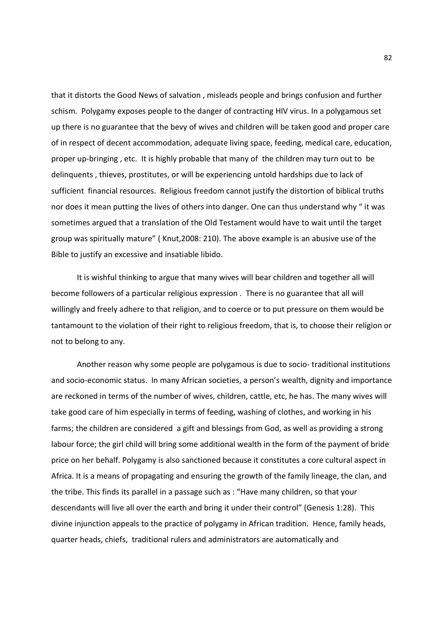that it distorts the Good News of salvation , misleads people and brings confusion and further schism. Polygamy exposes people to the danger of contracting HIV virus. In a polygamous set up there is no guarantee that the bevy of wives and children will be taken good and proper care of in respect of decent accommodation, adequate living space, feeding, medical care, education, proper up-bringing , etc. It is highly probable that many of the children may turn out to be delinquents , thieves, prostitutes, or will be experiencing untold hardships due to lack of sufficient financial resources. Religious freedom cannot justify the distortion of biblical truths nor does it mean putting the lives of others into danger. One can thus understand why " it was sometimes argued that a translation of the Old Testament would have to wait until the target group was spiritually mature" ( Knut,2008: 210). The above example is an abusive use of the Bible to justify an excessive and insatiable libido.

 It is wishful thinking to argue that many wives will bear children and together all will become followers of a particular religious expression . There is no guarantee that all will willingly and freely adhere to that religion, and to coerce or to put pressure on them would be tantamount to the violation of their right to religious freedom, that is, to choose their religion or not to belong to any.

 Another reason why some people are polygamous is due to socio- traditional institutions and socio-economic status. In many African societies, a person's wealth, dignity and importance are reckoned in terms of the number of wives, children, cattle, etc, he has. The many wives will take good care of him especially in terms of feeding, washing of clothes, and working in his farms; the children are considered a gift and blessings from God, as well as providing a strong labour force; the girl child will bring some additional wealth in the form of the payment of bride price on her behalf. Polygamy is also sanctioned because it constitutes a core cultural aspect in Africa. It is a means of propagating and ensuring the growth of the family lineage, the clan, and the tribe. This finds its parallel in a passage such as : "Have many children, so that your descendants will live all over the earth and bring it under their control" (Genesis 1:28). This divine injunction appeals to the practice of polygamy in African tradition. Hence, family heads, quarter heads, chiefs, traditional rulers and administrators are automatically and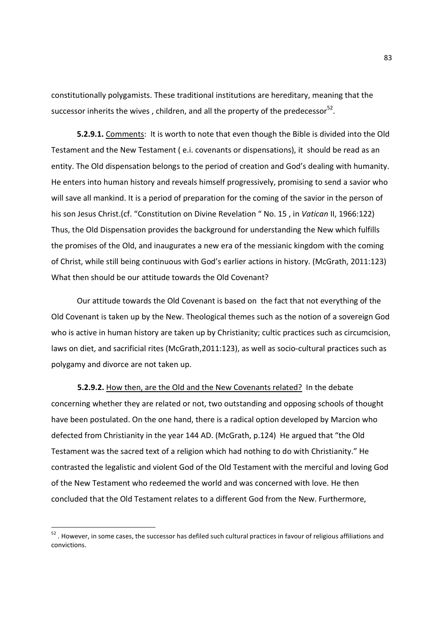constitutionally polygamists. These traditional institutions are hereditary, meaning that the successor inherits the wives, children, and all the property of the predecessor $^{52}$ .

 **5.2.9.1.** Comments: It is worth to note that even though the Bible is divided into the Old Testament and the New Testament ( e.i. covenants or dispensations), it should be read as an entity. The Old dispensation belongs to the period of creation and God's dealing with humanity. He enters into human history and reveals himself progressively, promising to send a savior who will save all mankind. It is a period of preparation for the coming of the savior in the person of his son Jesus Christ.(cf. "Constitution on Divine Revelation " No. 15 , in *Vatican* II, 1966:122) Thus, the Old Dispensation provides the background for understanding the New which fulfills the promises of the Old, and inaugurates a new era of the messianic kingdom with the coming of Christ, while still being continuous with God's earlier actions in history. (McGrath, 2011:123) What then should be our attitude towards the Old Covenant?

 Our attitude towards the Old Covenant is based on the fact that not everything of the Old Covenant is taken up by the New. Theological themes such as the notion of a sovereign God who is active in human history are taken up by Christianity; cultic practices such as circumcision, laws on diet, and sacrificial rites (McGrath,2011:123), as well as socio-cultural practices such as polygamy and divorce are not taken up.

**5.2.9.2.** How then, are the Old and the New Covenants related? In the debate concerning whether they are related or not, two outstanding and opposing schools of thought have been postulated. On the one hand, there is a radical option developed by Marcion who defected from Christianity in the year 144 AD. (McGrath, p.124) He argued that "the Old Testament was the sacred text of a religion which had nothing to do with Christianity." He contrasted the legalistic and violent God of the Old Testament with the merciful and loving God of the New Testament who redeemed the world and was concerned with love. He then concluded that the Old Testament relates to a different God from the New. Furthermore,

-

 $52$  . However, in some cases, the successor has defiled such cultural practices in favour of religious affiliations and convictions.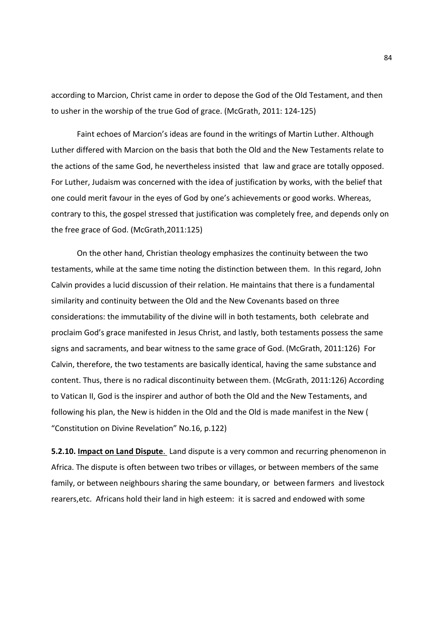according to Marcion, Christ came in order to depose the God of the Old Testament, and then to usher in the worship of the true God of grace. (McGrath, 2011: 124-125)

 Faint echoes of Marcion's ideas are found in the writings of Martin Luther. Although Luther differed with Marcion on the basis that both the Old and the New Testaments relate to the actions of the same God, he nevertheless insisted that law and grace are totally opposed. For Luther, Judaism was concerned with the idea of justification by works, with the belief that one could merit favour in the eyes of God by one's achievements or good works. Whereas, contrary to this, the gospel stressed that justification was completely free, and depends only on the free grace of God. (McGrath,2011:125)

 On the other hand, Christian theology emphasizes the continuity between the two testaments, while at the same time noting the distinction between them. In this regard, John Calvin provides a lucid discussion of their relation. He maintains that there is a fundamental similarity and continuity between the Old and the New Covenants based on three considerations: the immutability of the divine will in both testaments, both celebrate and proclaim God's grace manifested in Jesus Christ, and lastly, both testaments possess the same signs and sacraments, and bear witness to the same grace of God. (McGrath, 2011:126) For Calvin, therefore, the two testaments are basically identical, having the same substance and content. Thus, there is no radical discontinuity between them. (McGrath, 2011:126) According to Vatican II, God is the inspirer and author of both the Old and the New Testaments, and following his plan, the New is hidden in the Old and the Old is made manifest in the New ( "Constitution on Divine Revelation" No.16, p.122)

**5.2.10. Impact on Land Dispute**. Land dispute is a very common and recurring phenomenon in Africa. The dispute is often between two tribes or villages, or between members of the same family, or between neighbours sharing the same boundary, or between farmers and livestock rearers,etc. Africans hold their land in high esteem: it is sacred and endowed with some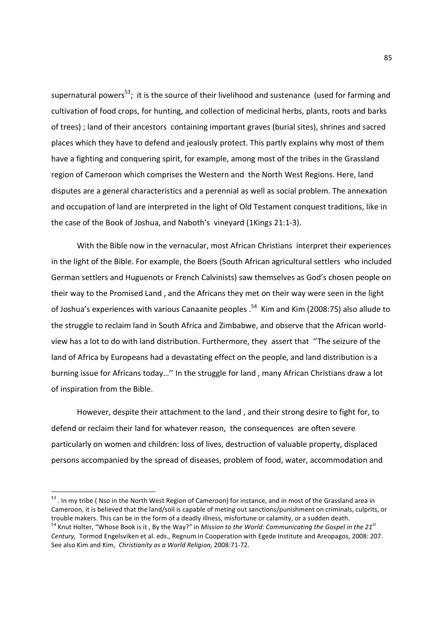supernatural powers<sup>53</sup>; it is the source of their livelihood and sustenance (used for farming and cultivation of food crops, for hunting, and collection of medicinal herbs, plants, roots and barks of trees) ; land of their ancestors containing important graves (burial sites), shrines and sacred places which they have to defend and jealously protect. This partly explains why most of them have a fighting and conquering spirit, for example, among most of the tribes in the Grassland region of Cameroon which comprises the Western and the North West Regions. Here, land disputes are a general characteristics and a perennial as well as social problem. The annexation and occupation of land are interpreted in the light of Old Testament conquest traditions, like in the case of the Book of Joshua, and Naboth's vineyard (1Kings 21:1-3).

 With the Bible now in the vernacular, most African Christians interpret their experiences in the light of the Bible. For example, the Boers (South African agricultural settlers who included German settlers and Huguenots or French Calvinists) saw themselves as God's chosen people on their way to the Promised Land , and the Africans they met on their way were seen in the light of Joshua's experiences with various Canaanite peoples .<sup>54</sup> Kim and Kim (2008:75) also allude to the struggle to reclaim land in South Africa and Zimbabwe, and observe that the African worldview has a lot to do with land distribution. Furthermore, they assert that ''The seizure of the land of Africa by Europeans had a devastating effect on the people, and land distribution is a burning issue for Africans today…'' In the struggle for land , many African Christians draw a lot of inspiration from the Bible.

 However, despite their attachment to the land , and their strong desire to fight for, to defend or reclaim their land for whatever reason, the consequences are often severe particularly on women and children: loss of lives, destruction of valuable property, displaced persons accompanied by the spread of diseases, problem of food, water, accommodation and

-

<sup>&</sup>lt;sup>53</sup>. In my tribe ( Nso in the North West Region of Cameroon) for instance, and in most of the Grassland area in Cameroon, it is believed that the land/soil is capable of meting out sanctions/punishment on criminals, culprits, or trouble makers. This can be in the form of a deadly illness, misfortune or calamity, or a sudden death. <sup>54</sup> Knut Holter, "Whose Book is it , By the Way?" in *Mission to the World: Communicating the Gospel in the 21st Century,* Tormod Engelsviken et al. eds., Regnum in Cooperation with Egede Institute and Areopagos, 2008: 207. See also Kim and Kim, *Christianity as a World Religion,* 2008:71-72.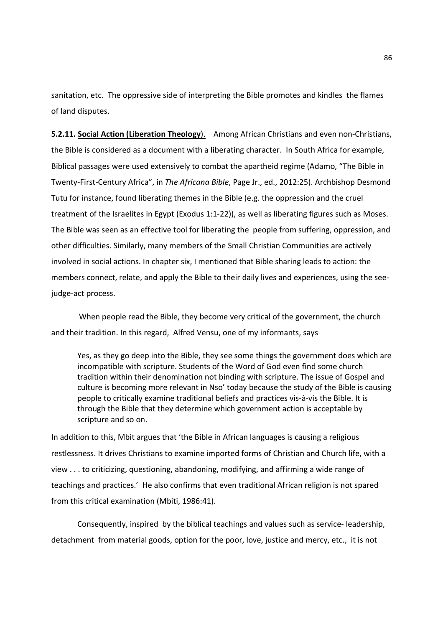sanitation, etc. The oppressive side of interpreting the Bible promotes and kindles the flames of land disputes.

**5.2.11. Social Action (Liberation Theology**). Among African Christians and even non-Christians, the Bible is considered as a document with a liberating character. In South Africa for example, Biblical passages were used extensively to combat the apartheid regime (Adamo, "The Bible in Twenty-First-Century Africa", in *The Africana Bible*, Page Jr., ed., 2012:25). Archbishop Desmond Tutu for instance, found liberating themes in the Bible (e.g. the oppression and the cruel treatment of the Israelites in Egypt (Exodus 1:1-22)), as well as liberating figures such as Moses. The Bible was seen as an effective tool for liberating the people from suffering, oppression, and other difficulties. Similarly, many members of the Small Christian Communities are actively involved in social actions. In chapter six, I mentioned that Bible sharing leads to action: the members connect, relate, and apply the Bible to their daily lives and experiences, using the seejudge-act process.

 When people read the Bible, they become very critical of the government, the church and their tradition. In this regard, Alfred Vensu, one of my informants, says

Yes, as they go deep into the Bible, they see some things the government does which are incompatible with scripture. Students of the Word of God even find some church tradition within their denomination not binding with scripture. The issue of Gospel and culture is becoming more relevant in Nso' today because the study of the Bible is causing people to critically examine traditional beliefs and practices vis-à-vis the Bible. It is through the Bible that they determine which government action is acceptable by scripture and so on.

In addition to this, Mbit argues that 'the Bible in African languages is causing a religious restlessness. It drives Christians to examine imported forms of Christian and Church life, with a view . . . to criticizing, questioning, abandoning, modifying, and affirming a wide range of teachings and practices.' He also confirms that even traditional African religion is not spared from this critical examination (Mbiti, 1986:41).

Consequently, inspired by the biblical teachings and values such as service- leadership, detachment from material goods, option for the poor, love, justice and mercy, etc., it is not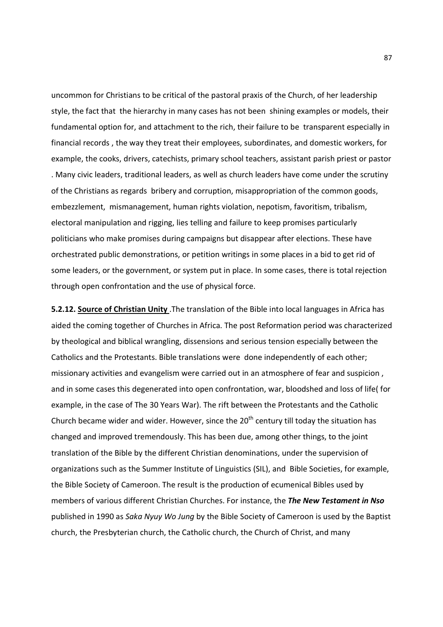uncommon for Christians to be critical of the pastoral praxis of the Church, of her leadership style, the fact that the hierarchy in many cases has not been shining examples or models, their fundamental option for, and attachment to the rich, their failure to be transparent especially in financial records , the way they treat their employees, subordinates, and domestic workers, for example, the cooks, drivers, catechists, primary school teachers, assistant parish priest or pastor . Many civic leaders, traditional leaders, as well as church leaders have come under the scrutiny of the Christians as regards bribery and corruption, misappropriation of the common goods, embezzlement, mismanagement, human rights violation, nepotism, favoritism, tribalism, electoral manipulation and rigging, lies telling and failure to keep promises particularly politicians who make promises during campaigns but disappear after elections. These have orchestrated public demonstrations, or petition writings in some places in a bid to get rid of some leaders, or the government, or system put in place. In some cases, there is total rejection through open confrontation and the use of physical force.

**5.2.12. Source of Christian Unity** .The translation of the Bible into local languages in Africa has aided the coming together of Churches in Africa. The post Reformation period was characterized by theological and biblical wrangling, dissensions and serious tension especially between the Catholics and the Protestants. Bible translations were done independently of each other; missionary activities and evangelism were carried out in an atmosphere of fear and suspicion , and in some cases this degenerated into open confrontation, war, bloodshed and loss of life( for example, in the case of The 30 Years War). The rift between the Protestants and the Catholic Church became wider and wider. However, since the  $20<sup>th</sup>$  century till today the situation has changed and improved tremendously. This has been due, among other things, to the joint translation of the Bible by the different Christian denominations, under the supervision of organizations such as the Summer Institute of Linguistics (SIL), and Bible Societies, for example, the Bible Society of Cameroon. The result is the production of ecumenical Bibles used by members of various different Christian Churches. For instance, the *The New Testament in Nso* published in 1990 as *Saka Nyuy Wo Jung* by the Bible Society of Cameroon is used by the Baptist church, the Presbyterian church, the Catholic church, the Church of Christ, and many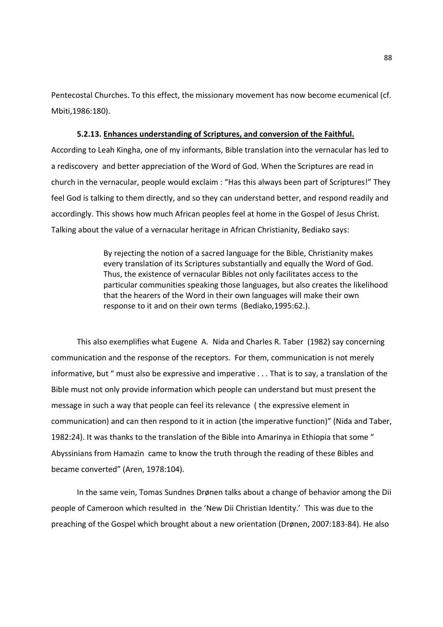Pentecostal Churches. To this effect, the missionary movement has now become ecumenical (cf. Mbiti,1986:180).

## **5.2.13. Enhances understanding of Scriptures, and conversion of the Faithful.**

According to Leah Kingha, one of my informants, Bible translation into the vernacular has led to a rediscovery and better appreciation of the Word of God. When the Scriptures are read in church in the vernacular, people would exclaim : "Has this always been part of Scriptures!" They feel God is talking to them directly, and so they can understand better, and respond readily and accordingly. This shows how much African peoples feel at home in the Gospel of Jesus Christ. Talking about the value of a vernacular heritage in African Christianity, Bediako says:

> By rejecting the notion of a sacred language for the Bible, Christianity makes every translation of its Scriptures substantially and equally the Word of God. Thus, the existence of vernacular Bibles not only facilitates access to the particular communities speaking those languages, but also creates the likelihood that the hearers of the Word in their own languages will make their own response to it and on their own terms (Bediako,1995:62.).

 This also exemplifies what Eugene A. Nida and Charles R. Taber (1982) say concerning communication and the response of the receptors. For them, communication is not merely informative, but " must also be expressive and imperative . . . That is to say, a translation of the Bible must not only provide information which people can understand but must present the message in such a way that people can feel its relevance ( the expressive element in communication) and can then respond to it in action (the imperative function)" (Nida and Taber, 1982:24). It was thanks to the translation of the Bible into Amarinya in Ethiopia that some " Abyssinians from Hamazin came to know the truth through the reading of these Bibles and became converted" (Aren, 1978:104).

 In the same vein, Tomas Sundnes Drønen talks about a change of behavior among the Dii people of Cameroon which resulted in the 'New Dii Christian Identity.' This was due to the preaching of the Gospel which brought about a new orientation (Drønen, 2007:183-84). He also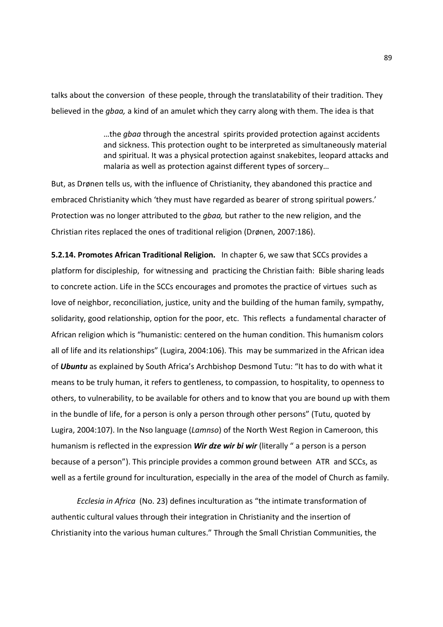talks about the conversion of these people, through the translatability of their tradition. They believed in the *gbaa,* a kind of an amulet which they carry along with them. The idea is that

> …the *gbaa* through the ancestral spirits provided protection against accidents and sickness. This protection ought to be interpreted as simultaneously material and spiritual. It was a physical protection against snakebites, leopard attacks and malaria as well as protection against different types of sorcery…

But, as Drønen tells us, with the influence of Christianity, they abandoned this practice and embraced Christianity which 'they must have regarded as bearer of strong spiritual powers.' Protection was no longer attributed to the *gbaa,* but rather to the new religion, and the Christian rites replaced the ones of traditional religion (Drønen, 2007:186).

**5.2.14. Promotes African Traditional Religion.** In chapter 6, we saw that SCCs provides a platform for discipleship, for witnessing and practicing the Christian faith: Bible sharing leads to concrete action. Life in the SCCs encourages and promotes the practice of virtues such as love of neighbor, reconciliation, justice, unity and the building of the human family, sympathy, solidarity, good relationship, option for the poor, etc. This reflects a fundamental character of African religion which is "humanistic: centered on the human condition. This humanism colors all of life and its relationships" (Lugira, 2004:106). This may be summarized in the African idea of *Ubuntu* as explained by South Africa's Archbishop Desmond Tutu: "It has to do with what it means to be truly human, it refers to gentleness, to compassion, to hospitality, to openness to others, to vulnerability, to be available for others and to know that you are bound up with them in the bundle of life, for a person is only a person through other persons" (Tutu, quoted by Lugira, 2004:107). In the Nso language (*Lamnso*) of the North West Region in Cameroon, this humanism is reflected in the expression *Wir dze wir bi wir* (literally " a person is a person because of a person"). This principle provides a common ground between ATR and SCCs, as well as a fertile ground for inculturation, especially in the area of the model of Church as family.

*Ecclesia in Africa* (No. 23) defines inculturation as "the intimate transformation of authentic cultural values through their integration in Christianity and the insertion of Christianity into the various human cultures." Through the Small Christian Communities, the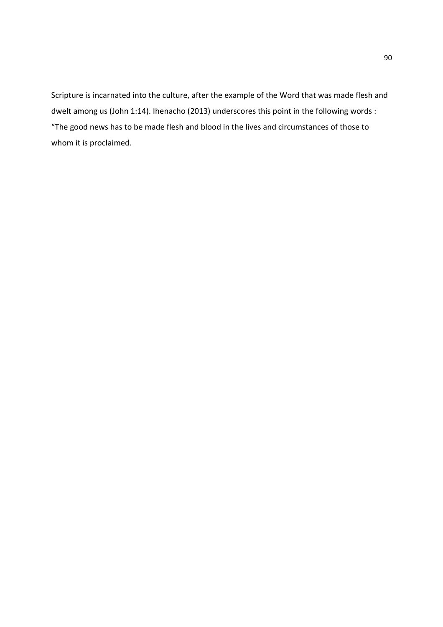Scripture is incarnated into the culture, after the example of the Word that was made flesh and dwelt among us (John 1:14). Ihenacho (2013) underscores this point in the following words : "The good news has to be made flesh and blood in the lives and circumstances of those to whom it is proclaimed.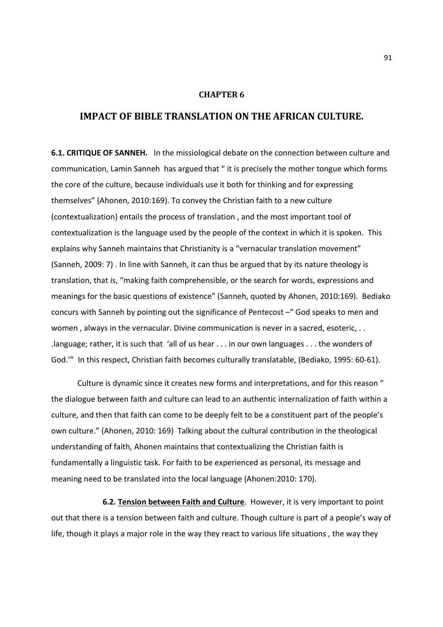## **CHAPTER 6**

# **IMPACT OF BIBLE TRANSLATION ON THE AFRICAN CULTURE.**

**6.1. CRITIQUE OF SANNEH.** In the missiological debate on the connection between culture and communication, Lamin Sanneh has argued that " it is precisely the mother tongue which forms the core of the culture, because individuals use it both for thinking and for expressing themselves" (Ahonen, 2010:169). To convey the Christian faith to a new culture (contextualization) entails the process of translation , and the most important tool of contextualization is the language used by the people of the context in which it is spoken. This explains why Sanneh maintains that Christianity is a "vernacular translation movement" (Sanneh, 2009: 7) . In line with Sanneh, it can thus be argued that by its nature theology is translation, that is, "making faith comprehensible, or the search for words, expressions and meanings for the basic questions of existence" (Sanneh, quoted by Ahonen, 2010:169). Bediako concurs with Sanneh by pointing out the significance of Pentecost –" God speaks to men and women , always in the vernacular. Divine communication is never in a sacred, esoteric, . . .language; rather, it is such that 'all of us hear . . . in our own languages . . . the wonders of God.'" In this respect, Christian faith becomes culturally translatable, (Bediako, 1995: 60-61).

Culture is dynamic since it creates new forms and interpretations, and for this reason " the dialogue between faith and culture can lead to an authentic internalization of faith within a culture, and then that faith can come to be deeply felt to be a constituent part of the people's own culture." (Ahonen, 2010: 169) Talking about the cultural contribution in the theological understanding of faith, Ahonen maintains that contextualizing the Christian faith is fundamentally a linguistic task. For faith to be experienced as personal, its message and meaning need to be translated into the local language (Ahonen:2010: 170).

 **6.2. Tension between Faith and Culture**. However, it is very important to point out that there is a tension between faith and culture. Though culture is part of a people's way of life, though it plays a major role in the way they react to various life situations , the way they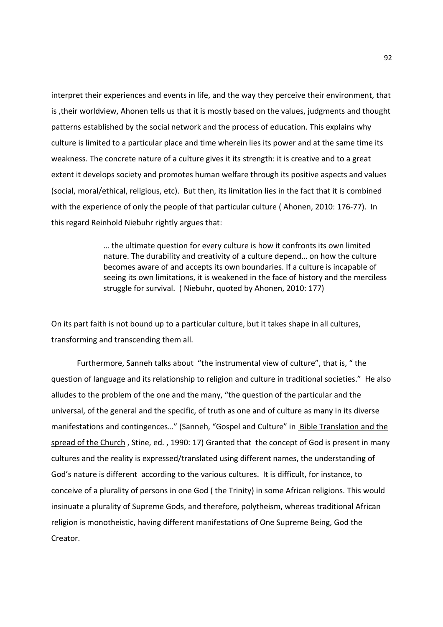interpret their experiences and events in life, and the way they perceive their environment, that is ,their worldview, Ahonen tells us that it is mostly based on the values, judgments and thought patterns established by the social network and the process of education. This explains why culture is limited to a particular place and time wherein lies its power and at the same time its weakness. The concrete nature of a culture gives it its strength: it is creative and to a great extent it develops society and promotes human welfare through its positive aspects and values (social, moral/ethical, religious, etc). But then, its limitation lies in the fact that it is combined with the experience of only the people of that particular culture ( Ahonen, 2010: 176-77). In this regard Reinhold Niebuhr rightly argues that:

> … the ultimate question for every culture is how it confronts its own limited nature. The durability and creativity of a culture depend… on how the culture becomes aware of and accepts its own boundaries. If a culture is incapable of seeing its own limitations, it is weakened in the face of history and the merciless struggle for survival. ( Niebuhr, quoted by Ahonen, 2010: 177)

On its part faith is not bound up to a particular culture, but it takes shape in all cultures, transforming and transcending them all.

 Furthermore, Sanneh talks about "the instrumental view of culture", that is, " the question of language and its relationship to religion and culture in traditional societies." He also alludes to the problem of the one and the many, "the question of the particular and the universal, of the general and the specific, of truth as one and of culture as many in its diverse manifestations and contingences..." (Sanneh, "Gospel and Culture" in Bible Translation and the spread of the Church, Stine, ed., 1990: 17) Granted that the concept of God is present in many cultures and the reality is expressed/translated using different names, the understanding of God's nature is different according to the various cultures. It is difficult, for instance, to conceive of a plurality of persons in one God ( the Trinity) in some African religions. This would insinuate a plurality of Supreme Gods, and therefore, polytheism, whereas traditional African religion is monotheistic, having different manifestations of One Supreme Being, God the Creator.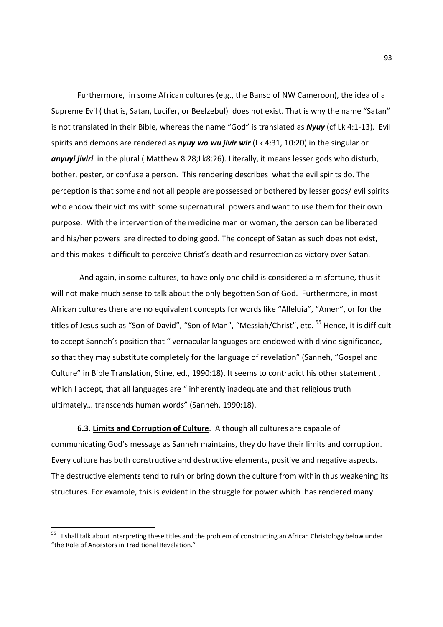Furthermore, in some African cultures (e.g., the Banso of NW Cameroon), the idea of a Supreme Evil ( that is, Satan, Lucifer, or Beelzebul) does not exist. That is why the name "Satan" is not translated in their Bible, whereas the name "God" is translated as *Nyuy* (cf Lk 4:1-13). Evil spirits and demons are rendered as *nyuy wo wu jivir wir* (Lk 4:31, 10:20) in the singular or *anyuyi jiviri* in the plural ( Matthew 8:28;Lk8:26). Literally, it means lesser gods who disturb, bother, pester, or confuse a person. This rendering describes what the evil spirits do. The perception is that some and not all people are possessed or bothered by lesser gods/ evil spirits who endow their victims with some supernatural powers and want to use them for their own purpose. With the intervention of the medicine man or woman, the person can be liberated and his/her powers are directed to doing good. The concept of Satan as such does not exist, and this makes it difficult to perceive Christ's death and resurrection as victory over Satan.

 And again, in some cultures, to have only one child is considered a misfortune, thus it will not make much sense to talk about the only begotten Son of God. Furthermore, in most African cultures there are no equivalent concepts for words like "Alleluia", "Amen", or for the titles of Jesus such as "Son of David", "Son of Man", "Messiah/Christ", etc. <sup>55</sup> Hence, it is difficult to accept Sanneh's position that " vernacular languages are endowed with divine significance, so that they may substitute completely for the language of revelation" (Sanneh, "Gospel and Culture" in Bible Translation, Stine, ed., 1990:18). It seems to contradict his other statement , which I accept, that all languages are " inherently inadequate and that religious truth ultimately… transcends human words" (Sanneh, 1990:18).

**6.3. Limits and Corruption of Culture**. Although all cultures are capable of communicating God's message as Sanneh maintains, they do have their limits and corruption. Every culture has both constructive and destructive elements, positive and negative aspects. The destructive elements tend to ruin or bring down the culture from within thus weakening its structures. For example, this is evident in the struggle for power which has rendered many

-

<sup>&</sup>lt;sup>55</sup> . I shall talk about interpreting these titles and the problem of constructing an African Christology below under "the Role of Ancestors in Traditional Revelation."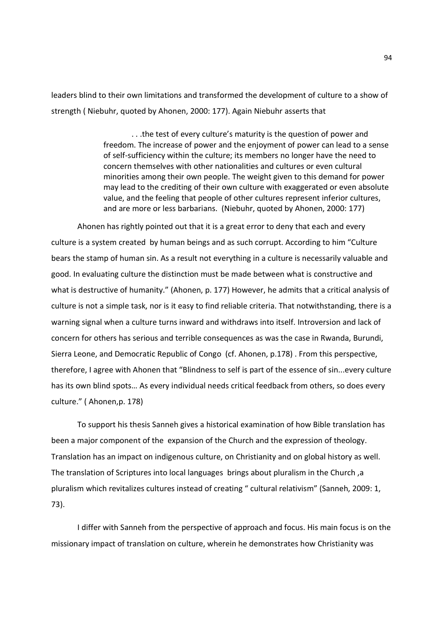leaders blind to their own limitations and transformed the development of culture to a show of strength ( Niebuhr, quoted by Ahonen, 2000: 177). Again Niebuhr asserts that

> . . .the test of every culture's maturity is the question of power and freedom. The increase of power and the enjoyment of power can lead to a sense of self-sufficiency within the culture; its members no longer have the need to concern themselves with other nationalities and cultures or even cultural minorities among their own people. The weight given to this demand for power may lead to the crediting of their own culture with exaggerated or even absolute value, and the feeling that people of other cultures represent inferior cultures, and are more or less barbarians. (Niebuhr, quoted by Ahonen, 2000: 177)

Ahonen has rightly pointed out that it is a great error to deny that each and every culture is a system created by human beings and as such corrupt. According to him "Culture bears the stamp of human sin. As a result not everything in a culture is necessarily valuable and good. In evaluating culture the distinction must be made between what is constructive and what is destructive of humanity." (Ahonen, p. 177) However, he admits that a critical analysis of culture is not a simple task, nor is it easy to find reliable criteria. That notwithstanding, there is a warning signal when a culture turns inward and withdraws into itself. Introversion and lack of concern for others has serious and terrible consequences as was the case in Rwanda, Burundi, Sierra Leone, and Democratic Republic of Congo (cf. Ahonen, p.178) . From this perspective, therefore, I agree with Ahonen that "Blindness to self is part of the essence of sin...every culture has its own blind spots… As every individual needs critical feedback from others, so does every culture." ( Ahonen,p. 178)

To support his thesis Sanneh gives a historical examination of how Bible translation has been a major component of the expansion of the Church and the expression of theology. Translation has an impact on indigenous culture, on Christianity and on global history as well. The translation of Scriptures into local languages brings about pluralism in the Church, a pluralism which revitalizes cultures instead of creating " cultural relativism" (Sanneh, 2009: 1, 73).

I differ with Sanneh from the perspective of approach and focus. His main focus is on the missionary impact of translation on culture, wherein he demonstrates how Christianity was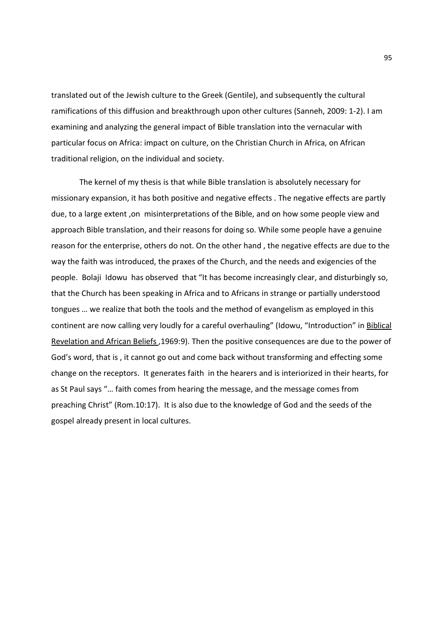translated out of the Jewish culture to the Greek (Gentile), and subsequently the cultural ramifications of this diffusion and breakthrough upon other cultures (Sanneh, 2009: 1-2). I am examining and analyzing the general impact of Bible translation into the vernacular with particular focus on Africa: impact on culture, on the Christian Church in Africa, on African traditional religion, on the individual and society.

 The kernel of my thesis is that while Bible translation is absolutely necessary for missionary expansion, it has both positive and negative effects . The negative effects are partly due, to a large extent ,on misinterpretations of the Bible, and on how some people view and approach Bible translation, and their reasons for doing so. While some people have a genuine reason for the enterprise, others do not. On the other hand , the negative effects are due to the way the faith was introduced, the praxes of the Church, and the needs and exigencies of the people. Bolaji Idowu has observed that "It has become increasingly clear, and disturbingly so, that the Church has been speaking in Africa and to Africans in strange or partially understood tongues … we realize that both the tools and the method of evangelism as employed in this continent are now calling very loudly for a careful overhauling" (Idowu, "Introduction" in Biblical Revelation and African Beliefs ,1969:9). Then the positive consequences are due to the power of God's word, that is , it cannot go out and come back without transforming and effecting some change on the receptors. It generates faith in the hearers and is interiorized in their hearts, for as St Paul says "… faith comes from hearing the message, and the message comes from preaching Christ" (Rom.10:17). It is also due to the knowledge of God and the seeds of the gospel already present in local cultures.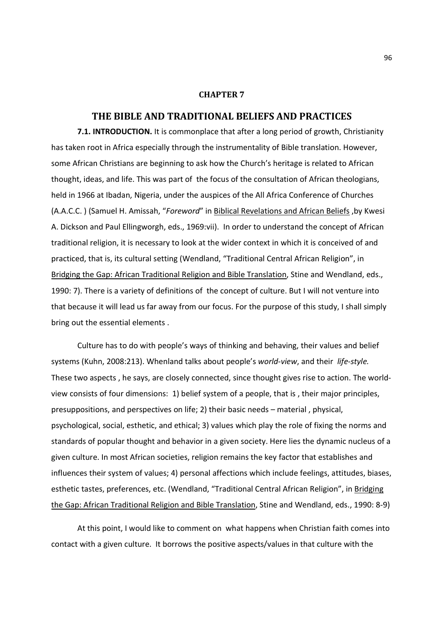## **CHAPTER 7**

## **THE BIBLE AND TRADITIONAL BELIEFS AND PRACTICES**

**7.1. INTRODUCTION.** It is commonplace that after a long period of growth, Christianity has taken root in Africa especially through the instrumentality of Bible translation. However, some African Christians are beginning to ask how the Church's heritage is related to African thought, ideas, and life. This was part of the focus of the consultation of African theologians, held in 1966 at Ibadan, Nigeria, under the auspices of the All Africa Conference of Churches (A.A.C.C. ) (Samuel H. Amissah, "*Foreword*" in Biblical Revelations and African Beliefs ,by Kwesi A. Dickson and Paul Ellingworgh, eds., 1969:vii). In order to understand the concept of African traditional religion, it is necessary to look at the wider context in which it is conceived of and practiced, that is, its cultural setting (Wendland, "Traditional Central African Religion", in Bridging the Gap: African Traditional Religion and Bible Translation, Stine and Wendland, eds., 1990: 7). There is a variety of definitions of the concept of culture. But I will not venture into that because it will lead us far away from our focus. For the purpose of this study, I shall simply bring out the essential elements .

Culture has to do with people's ways of thinking and behaving, their values and belief systems (Kuhn, 2008:213). Whenland talks about people's *world-view*, and their *life-style.* These two aspects , he says, are closely connected, since thought gives rise to action. The worldview consists of four dimensions: 1) belief system of a people, that is , their major principles, presuppositions, and perspectives on life; 2) their basic needs – material , physical, psychological, social, esthetic, and ethical; 3) values which play the role of fixing the norms and standards of popular thought and behavior in a given society. Here lies the dynamic nucleus of a given culture. In most African societies, religion remains the key factor that establishes and influences their system of values; 4) personal affections which include feelings, attitudes, biases, esthetic tastes, preferences, etc. (Wendland, "Traditional Central African Religion", in Bridging the Gap: African Traditional Religion and Bible Translation, Stine and Wendland, eds., 1990: 8-9)

At this point, I would like to comment on what happens when Christian faith comes into contact with a given culture. It borrows the positive aspects/values in that culture with the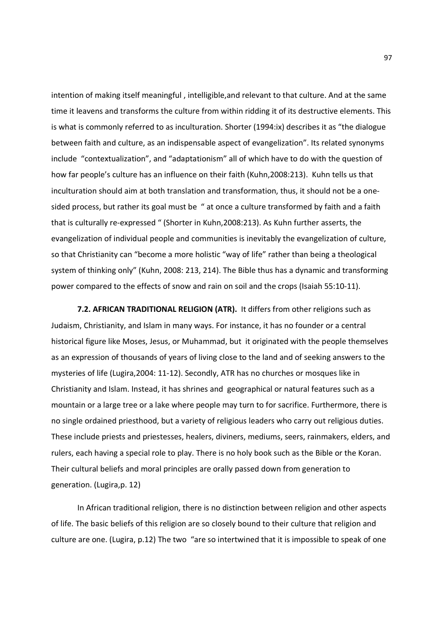intention of making itself meaningful , intelligible,and relevant to that culture. And at the same time it leavens and transforms the culture from within ridding it of its destructive elements. This is what is commonly referred to as inculturation. Shorter (1994:ix) describes it as "the dialogue between faith and culture, as an indispensable aspect of evangelization". Its related synonyms include "contextualization", and "adaptationism" all of which have to do with the question of how far people's culture has an influence on their faith (Kuhn,2008:213). Kuhn tells us that inculturation should aim at both translation and transformation, thus, it should not be a onesided process, but rather its goal must be " at once a culture transformed by faith and a faith that is culturally re-expressed " (Shorter in Kuhn,2008:213). As Kuhn further asserts, the evangelization of individual people and communities is inevitably the evangelization of culture, so that Christianity can "become a more holistic "way of life" rather than being a theological system of thinking only" (Kuhn, 2008: 213, 214). The Bible thus has a dynamic and transforming power compared to the effects of snow and rain on soil and the crops (Isaiah 55:10-11).

**7.2. AFRICAN TRADITIONAL RELIGION (ATR).** It differs from other religions such as Judaism, Christianity, and Islam in many ways. For instance, it has no founder or a central historical figure like Moses, Jesus, or Muhammad, but it originated with the people themselves as an expression of thousands of years of living close to the land and of seeking answers to the mysteries of life (Lugira,2004: 11-12). Secondly, ATR has no churches or mosques like in Christianity and Islam. Instead, it has shrines and geographical or natural features such as a mountain or a large tree or a lake where people may turn to for sacrifice. Furthermore, there is no single ordained priesthood, but a variety of religious leaders who carry out religious duties. These include priests and priestesses, healers, diviners, mediums, seers, rainmakers, elders, and rulers, each having a special role to play. There is no holy book such as the Bible or the Koran. Their cultural beliefs and moral principles are orally passed down from generation to generation. (Lugira,p. 12)

In African traditional religion, there is no distinction between religion and other aspects of life. The basic beliefs of this religion are so closely bound to their culture that religion and culture are one. (Lugira, p.12) The two "are so intertwined that it is impossible to speak of one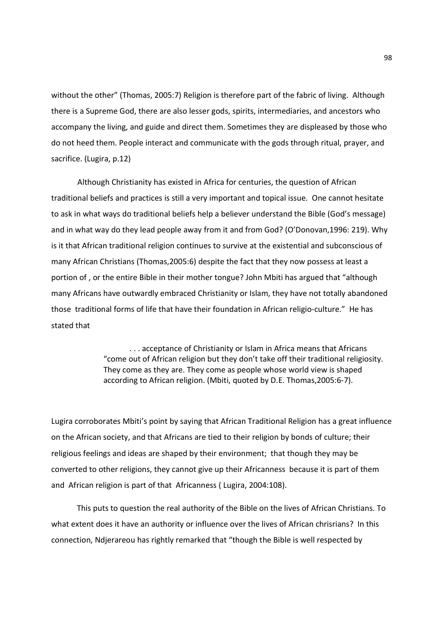without the other" (Thomas, 2005:7) Religion is therefore part of the fabric of living. Although there is a Supreme God, there are also lesser gods, spirits, intermediaries, and ancestors who accompany the living, and guide and direct them. Sometimes they are displeased by those who do not heed them. People interact and communicate with the gods through ritual, prayer, and sacrifice. (Lugira, p.12)

Although Christianity has existed in Africa for centuries, the question of African traditional beliefs and practices is still a very important and topical issue. One cannot hesitate to ask in what ways do traditional beliefs help a believer understand the Bible (God's message) and in what way do they lead people away from it and from God? (O'Donovan,1996: 219). Why is it that African traditional religion continues to survive at the existential and subconscious of many African Christians (Thomas,2005:6) despite the fact that they now possess at least a portion of , or the entire Bible in their mother tongue? John Mbiti has argued that "although many Africans have outwardly embraced Christianity or Islam, they have not totally abandoned those traditional forms of life that have their foundation in African religio-culture." He has stated that

> . . . acceptance of Christianity or Islam in Africa means that Africans "come out of African religion but they don't take off their traditional religiosity. They come as they are. They come as people whose world view is shaped according to African religion. (Mbiti, quoted by D.E. Thomas,2005:6-7).

Lugira corroborates Mbiti's point by saying that African Traditional Religion has a great influence on the African society, and that Africans are tied to their religion by bonds of culture; their religious feelings and ideas are shaped by their environment; that though they may be converted to other religions, they cannot give up their Africanness because it is part of them and African religion is part of that Africanness ( Lugira, 2004:108).

 This puts to question the real authority of the Bible on the lives of African Christians. To what extent does it have an authority or influence over the lives of African chrisrians? In this connection, Ndjerareou has rightly remarked that "though the Bible is well respected by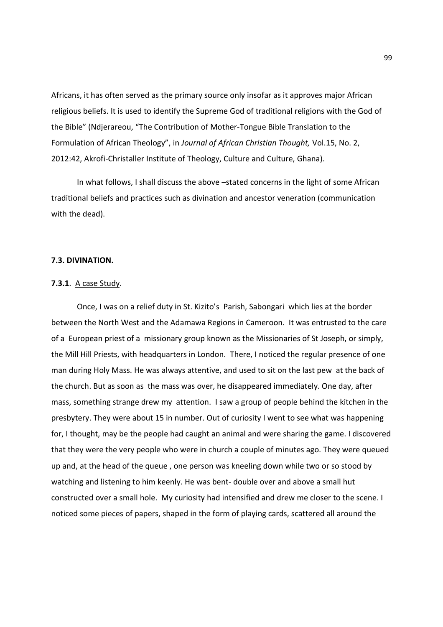Africans, it has often served as the primary source only insofar as it approves major African religious beliefs. It is used to identify the Supreme God of traditional religions with the God of the Bible" (Ndjerareou, "The Contribution of Mother-Tongue Bible Translation to the Formulation of African Theology", in *Journal of African Christian Thought,* Vol.15, No. 2, 2012:42, Akrofi-Christaller Institute of Theology, Culture and Culture, Ghana).

In what follows, I shall discuss the above -stated concerns in the light of some African traditional beliefs and practices such as divination and ancestor veneration (communication with the dead).

## **7.3. DIVINATION.**

#### **7.3.1**. A case Study.

 Once, I was on a relief duty in St. Kizito's Parish, Sabongari which lies at the border between the North West and the Adamawa Regions in Cameroon. It was entrusted to the care of a European priest of a missionary group known as the Missionaries of St Joseph, or simply, the Mill Hill Priests, with headquarters in London. There, I noticed the regular presence of one man during Holy Mass. He was always attentive, and used to sit on the last pew at the back of the church. But as soon as the mass was over, he disappeared immediately. One day, after mass, something strange drew my attention. I saw a group of people behind the kitchen in the presbytery. They were about 15 in number. Out of curiosity I went to see what was happening for, I thought, may be the people had caught an animal and were sharing the game. I discovered that they were the very people who were in church a couple of minutes ago. They were queued up and, at the head of the queue , one person was kneeling down while two or so stood by watching and listening to him keenly. He was bent- double over and above a small hut constructed over a small hole. My curiosity had intensified and drew me closer to the scene. I noticed some pieces of papers, shaped in the form of playing cards, scattered all around the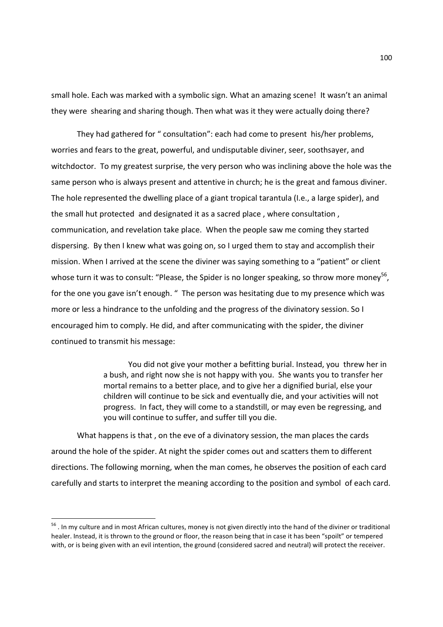small hole. Each was marked with a symbolic sign. What an amazing scene! It wasn't an animal they were shearing and sharing though. Then what was it they were actually doing there?

 They had gathered for " consultation": each had come to present his/her problems, worries and fears to the great, powerful, and undisputable diviner, seer, soothsayer, and witchdoctor. To my greatest surprise, the very person who was inclining above the hole was the same person who is always present and attentive in church; he is the great and famous diviner. The hole represented the dwelling place of a giant tropical tarantula (I.e., a large spider), and the small hut protected and designated it as a sacred place , where consultation , communication, and revelation take place. When the people saw me coming they started dispersing. By then I knew what was going on, so I urged them to stay and accomplish their mission. When I arrived at the scene the diviner was saying something to a "patient" or client whose turn it was to consult: "Please, the Spider is no longer speaking, so throw more money<sup>56</sup>, for the one you gave isn't enough. " The person was hesitating due to my presence which was more or less a hindrance to the unfolding and the progress of the divinatory session. So I encouraged him to comply. He did, and after communicating with the spider, the diviner continued to transmit his message:

> You did not give your mother a befitting burial. Instead, you threw her in a bush, and right now she is not happy with you. She wants you to transfer her mortal remains to a better place, and to give her a dignified burial, else your children will continue to be sick and eventually die, and your activities will not progress. In fact, they will come to a standstill, or may even be regressing, and you will continue to suffer, and suffer till you die.

 What happens is that , on the eve of a divinatory session, the man places the cards around the hole of the spider. At night the spider comes out and scatters them to different directions. The following morning, when the man comes, he observes the position of each card carefully and starts to interpret the meaning according to the position and symbol of each card.

-

<sup>&</sup>lt;sup>56</sup>. In my culture and in most African cultures, money is not given directly into the hand of the diviner or traditional healer. Instead, it is thrown to the ground or floor, the reason being that in case it has been "spoilt" or tempered with, or is being given with an evil intention, the ground (considered sacred and neutral) will protect the receiver.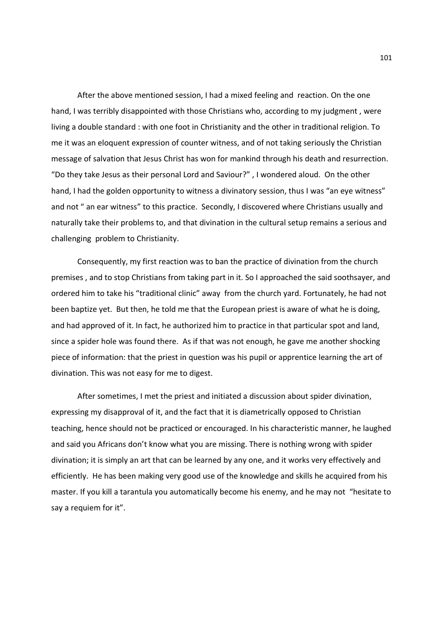After the above mentioned session, I had a mixed feeling and reaction. On the one hand, I was terribly disappointed with those Christians who, according to my judgment , were living a double standard : with one foot in Christianity and the other in traditional religion. To me it was an eloquent expression of counter witness, and of not taking seriously the Christian message of salvation that Jesus Christ has won for mankind through his death and resurrection. "Do they take Jesus as their personal Lord and Saviour?" , I wondered aloud. On the other hand, I had the golden opportunity to witness a divinatory session, thus I was "an eye witness" and not " an ear witness" to this practice. Secondly, I discovered where Christians usually and naturally take their problems to, and that divination in the cultural setup remains a serious and challenging problem to Christianity.

Consequently, my first reaction was to ban the practice of divination from the church premises , and to stop Christians from taking part in it. So I approached the said soothsayer, and ordered him to take his "traditional clinic" away from the church yard. Fortunately, he had not been baptize yet. But then, he told me that the European priest is aware of what he is doing, and had approved of it. In fact, he authorized him to practice in that particular spot and land, since a spider hole was found there. As if that was not enough, he gave me another shocking piece of information: that the priest in question was his pupil or apprentice learning the art of divination. This was not easy for me to digest.

After sometimes, I met the priest and initiated a discussion about spider divination, expressing my disapproval of it, and the fact that it is diametrically opposed to Christian teaching, hence should not be practiced or encouraged. In his characteristic manner, he laughed and said you Africans don't know what you are missing. There is nothing wrong with spider divination; it is simply an art that can be learned by any one, and it works very effectively and efficiently. He has been making very good use of the knowledge and skills he acquired from his master. If you kill a tarantula you automatically become his enemy, and he may not "hesitate to say a requiem for it".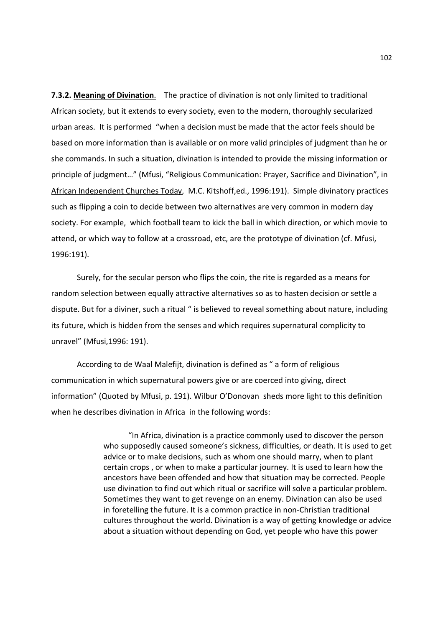**7.3.2. Meaning of Divination**. The practice of divination is not only limited to traditional African society, but it extends to every society, even to the modern, thoroughly secularized urban areas. It is performed "when a decision must be made that the actor feels should be based on more information than is available or on more valid principles of judgment than he or she commands. In such a situation, divination is intended to provide the missing information or principle of judgment…" (Mfusi, "Religious Communication: Prayer, Sacrifice and Divination", in African Independent Churches Today, M.C. Kitshoff,ed., 1996:191). Simple divinatory practices such as flipping a coin to decide between two alternatives are very common in modern day society. For example, which football team to kick the ball in which direction, or which movie to attend, or which way to follow at a crossroad, etc, are the prototype of divination (cf. Mfusi, 1996:191).

 Surely, for the secular person who flips the coin, the rite is regarded as a means for random selection between equally attractive alternatives so as to hasten decision or settle a dispute. But for a diviner, such a ritual " is believed to reveal something about nature, including its future, which is hidden from the senses and which requires supernatural complicity to unravel" (Mfusi,1996: 191).

 According to de Waal Malefijt, divination is defined as " a form of religious communication in which supernatural powers give or are coerced into giving, direct information" (Quoted by Mfusi, p. 191). Wilbur O'Donovan sheds more light to this definition when he describes divination in Africa in the following words:

> "In Africa, divination is a practice commonly used to discover the person who supposedly caused someone's sickness, difficulties, or death. It is used to get advice or to make decisions, such as whom one should marry, when to plant certain crops , or when to make a particular journey. It is used to learn how the ancestors have been offended and how that situation may be corrected. People use divination to find out which ritual or sacrifice will solve a particular problem. Sometimes they want to get revenge on an enemy. Divination can also be used in foretelling the future. It is a common practice in non-Christian traditional cultures throughout the world. Divination is a way of getting knowledge or advice about a situation without depending on God, yet people who have this power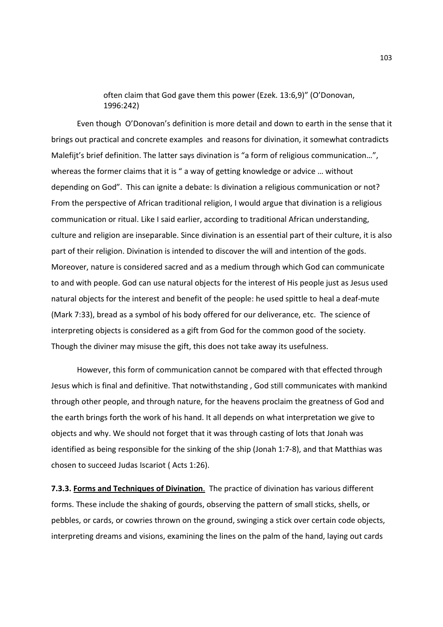often claim that God gave them this power (Ezek. 13:6,9)" (O'Donovan, 1996:242)

 Even though O'Donovan's definition is more detail and down to earth in the sense that it brings out practical and concrete examples and reasons for divination, it somewhat contradicts Malefijt's brief definition. The latter says divination is "a form of religious communication...", whereas the former claims that it is " a way of getting knowledge or advice ... without depending on God". This can ignite a debate: Is divination a religious communication or not? From the perspective of African traditional religion, I would argue that divination is a religious communication or ritual. Like I said earlier, according to traditional African understanding, culture and religion are inseparable. Since divination is an essential part of their culture, it is also part of their religion. Divination is intended to discover the will and intention of the gods. Moreover, nature is considered sacred and as a medium through which God can communicate to and with people. God can use natural objects for the interest of His people just as Jesus used natural objects for the interest and benefit of the people: he used spittle to heal a deaf-mute (Mark 7:33), bread as a symbol of his body offered for our deliverance, etc. The science of interpreting objects is considered as a gift from God for the common good of the society. Though the diviner may misuse the gift, this does not take away its usefulness.

 However, this form of communication cannot be compared with that effected through Jesus which is final and definitive. That notwithstanding , God still communicates with mankind through other people, and through nature, for the heavens proclaim the greatness of God and the earth brings forth the work of his hand. It all depends on what interpretation we give to objects and why. We should not forget that it was through casting of lots that Jonah was identified as being responsible for the sinking of the ship (Jonah 1:7-8), and that Matthias was chosen to succeed Judas Iscariot ( Acts 1:26).

**7.3.3. Forms and Techniques of Divination**. The practice of divination has various different forms. These include the shaking of gourds, observing the pattern of small sticks, shells, or pebbles, or cards, or cowries thrown on the ground, swinging a stick over certain code objects, interpreting dreams and visions, examining the lines on the palm of the hand, laying out cards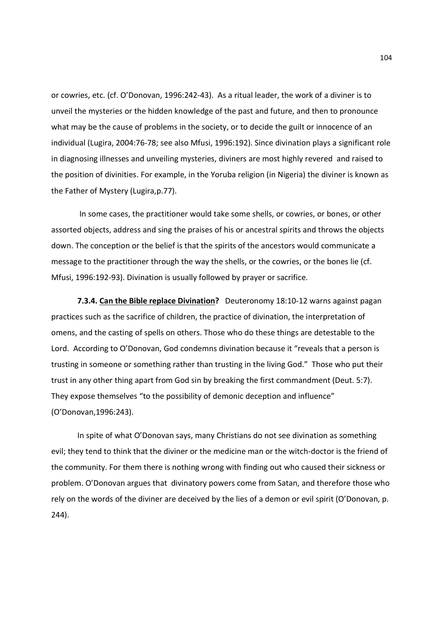or cowries, etc. (cf. O'Donovan, 1996:242-43). As a ritual leader, the work of a diviner is to unveil the mysteries or the hidden knowledge of the past and future, and then to pronounce what may be the cause of problems in the society, or to decide the guilt or innocence of an individual (Lugira, 2004:76-78; see also Mfusi, 1996:192). Since divination plays a significant role in diagnosing illnesses and unveiling mysteries, diviners are most highly revered and raised to the position of divinities. For example, in the Yoruba religion (in Nigeria) the diviner is known as the Father of Mystery (Lugira,p.77).

 In some cases, the practitioner would take some shells, or cowries, or bones, or other assorted objects, address and sing the praises of his or ancestral spirits and throws the objects down. The conception or the belief is that the spirits of the ancestors would communicate a message to the practitioner through the way the shells, or the cowries, or the bones lie (cf. Mfusi, 1996:192-93). Divination is usually followed by prayer or sacrifice.

**7.3.4. Can the Bible replace Divination?** Deuteronomy 18:10-12 warns against pagan practices such as the sacrifice of children, the practice of divination, the interpretation of omens, and the casting of spells on others. Those who do these things are detestable to the Lord. According to O'Donovan, God condemns divination because it "reveals that a person is trusting in someone or something rather than trusting in the living God." Those who put their trust in any other thing apart from God sin by breaking the first commandment (Deut. 5:7). They expose themselves "to the possibility of demonic deception and influence" (O'Donovan,1996:243).

In spite of what O'Donovan says, many Christians do not see divination as something evil; they tend to think that the diviner or the medicine man or the witch-doctor is the friend of the community. For them there is nothing wrong with finding out who caused their sickness or problem. O'Donovan argues that divinatory powers come from Satan, and therefore those who rely on the words of the diviner are deceived by the lies of a demon or evil spirit (O'Donovan, p. 244).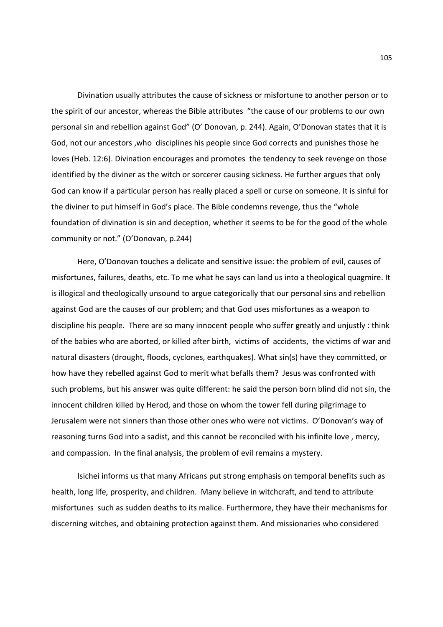Divination usually attributes the cause of sickness or misfortune to another person or to the spirit of our ancestor, whereas the Bible attributes "the cause of our problems to our own personal sin and rebellion against God" (O' Donovan, p. 244). Again, O'Donovan states that it is God, not our ancestors ,who disciplines his people since God corrects and punishes those he loves (Heb. 12:6). Divination encourages and promotes the tendency to seek revenge on those identified by the diviner as the witch or sorcerer causing sickness. He further argues that only God can know if a particular person has really placed a spell or curse on someone. It is sinful for the diviner to put himself in God's place. The Bible condemns revenge, thus the "whole foundation of divination is sin and deception, whether it seems to be for the good of the whole community or not." (O'Donovan, p.244)

Here, O'Donovan touches a delicate and sensitive issue: the problem of evil, causes of misfortunes, failures, deaths, etc. To me what he says can land us into a theological quagmire. It is illogical and theologically unsound to argue categorically that our personal sins and rebellion against God are the causes of our problem; and that God uses misfortunes as a weapon to discipline his people. There are so many innocent people who suffer greatly and unjustly : think of the babies who are aborted, or killed after birth, victims of accidents, the victims of war and natural disasters (drought, floods, cyclones, earthquakes). What sin(s) have they committed, or how have they rebelled against God to merit what befalls them? Jesus was confronted with such problems, but his answer was quite different: he said the person born blind did not sin, the innocent children killed by Herod, and those on whom the tower fell during pilgrimage to Jerusalem were not sinners than those other ones who were not victims. O'Donovan's way of reasoning turns God into a sadist, and this cannot be reconciled with his infinite love , mercy, and compassion. In the final analysis, the problem of evil remains a mystery.

Isichei informs us that many Africans put strong emphasis on temporal benefits such as health, long life, prosperity, and children. Many believe in witchcraft, and tend to attribute misfortunes such as sudden deaths to its malice. Furthermore, they have their mechanisms for discerning witches, and obtaining protection against them. And missionaries who considered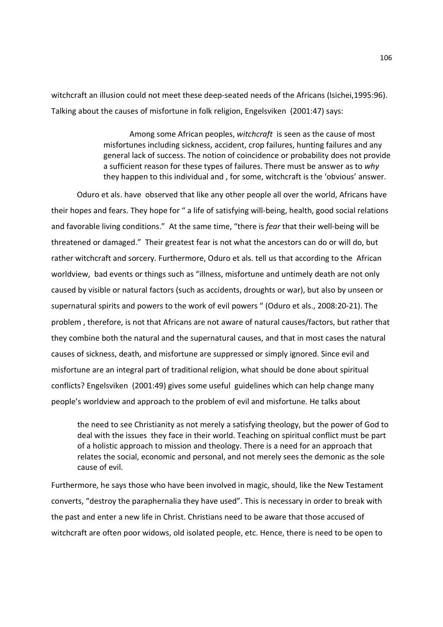witchcraft an illusion could not meet these deep-seated needs of the Africans (Isichei,1995:96). Talking about the causes of misfortune in folk religion, Engelsviken (2001:47) says:

> Among some African peoples, *witchcraft* is seen as the cause of most misfortunes including sickness, accident, crop failures, hunting failures and any general lack of success. The notion of coincidence or probability does not provide a sufficient reason for these types of failures. There must be answer as to *why* they happen to this individual and , for some, witchcraft is the 'obvious' answer.

 Oduro et als. have observed that like any other people all over the world, Africans have their hopes and fears. They hope for " a life of satisfying will-being, health, good social relations and favorable living conditions." At the same time, "there is *fear* that their well-being will be threatened or damaged." Their greatest fear is not what the ancestors can do or will do, but rather witchcraft and sorcery. Furthermore, Oduro et als. tell us that according to the African worldview, bad events or things such as "illness, misfortune and untimely death are not only caused by visible or natural factors (such as accidents, droughts or war), but also by unseen or supernatural spirits and powers to the work of evil powers " (Oduro et als., 2008:20-21). The problem , therefore, is not that Africans are not aware of natural causes/factors, but rather that they combine both the natural and the supernatural causes, and that in most cases the natural causes of sickness, death, and misfortune are suppressed or simply ignored. Since evil and misfortune are an integral part of traditional religion, what should be done about spiritual conflicts? Engelsviken (2001:49) gives some useful guidelines which can help change many people's worldview and approach to the problem of evil and misfortune. He talks about

the need to see Christianity as not merely a satisfying theology, but the power of God to deal with the issues they face in their world. Teaching on spiritual conflict must be part of a holistic approach to mission and theology. There is a need for an approach that relates the social, economic and personal, and not merely sees the demonic as the sole cause of evil.

Furthermore, he says those who have been involved in magic, should, like the New Testament converts, "destroy the paraphernalia they have used". This is necessary in order to break with the past and enter a new life in Christ. Christians need to be aware that those accused of witchcraft are often poor widows, old isolated people, etc. Hence, there is need to be open to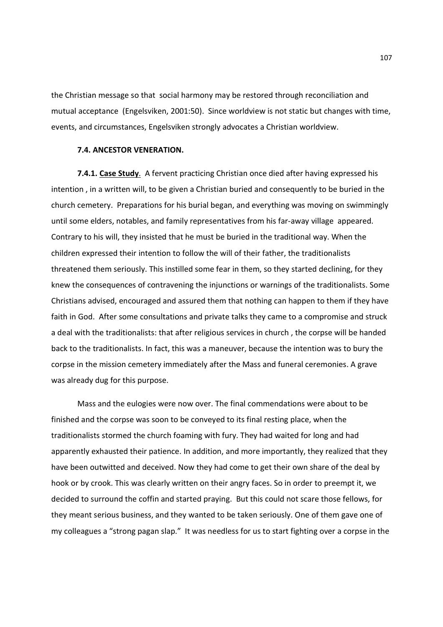the Christian message so that social harmony may be restored through reconciliation and mutual acceptance (Engelsviken, 2001:50). Since worldview is not static but changes with time, events, and circumstances, Engelsviken strongly advocates a Christian worldview.

### **7.4. ANCESTOR VENERATION.**

**7.4.1. Case Study**. A fervent practicing Christian once died after having expressed his intention , in a written will, to be given a Christian buried and consequently to be buried in the church cemetery. Preparations for his burial began, and everything was moving on swimmingly until some elders, notables, and family representatives from his far-away village appeared. Contrary to his will, they insisted that he must be buried in the traditional way. When the children expressed their intention to follow the will of their father, the traditionalists threatened them seriously. This instilled some fear in them, so they started declining, for they knew the consequences of contravening the injunctions or warnings of the traditionalists. Some Christians advised, encouraged and assured them that nothing can happen to them if they have faith in God. After some consultations and private talks they came to a compromise and struck a deal with the traditionalists: that after religious services in church , the corpse will be handed back to the traditionalists. In fact, this was a maneuver, because the intention was to bury the corpse in the mission cemetery immediately after the Mass and funeral ceremonies. A grave was already dug for this purpose.

Mass and the eulogies were now over. The final commendations were about to be finished and the corpse was soon to be conveyed to its final resting place, when the traditionalists stormed the church foaming with fury. They had waited for long and had apparently exhausted their patience. In addition, and more importantly, they realized that they have been outwitted and deceived. Now they had come to get their own share of the deal by hook or by crook. This was clearly written on their angry faces. So in order to preempt it, we decided to surround the coffin and started praying. But this could not scare those fellows, for they meant serious business, and they wanted to be taken seriously. One of them gave one of my colleagues a "strong pagan slap." It was needless for us to start fighting over a corpse in the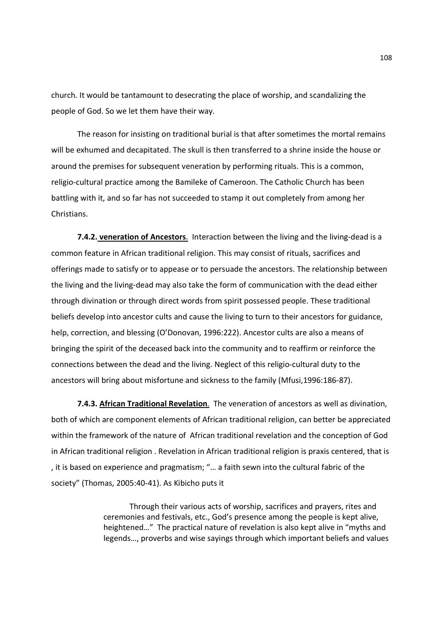church. It would be tantamount to desecrating the place of worship, and scandalizing the people of God. So we let them have their way.

The reason for insisting on traditional burial is that after sometimes the mortal remains will be exhumed and decapitated. The skull is then transferred to a shrine inside the house or around the premises for subsequent veneration by performing rituals. This is a common, religio-cultural practice among the Bamileke of Cameroon. The Catholic Church has been battling with it, and so far has not succeeded to stamp it out completely from among her Christians.

**7.4.2. veneration of Ancestors**. Interaction between the living and the living-dead is a common feature in African traditional religion. This may consist of rituals, sacrifices and offerings made to satisfy or to appease or to persuade the ancestors. The relationship between the living and the living-dead may also take the form of communication with the dead either through divination or through direct words from spirit possessed people. These traditional beliefs develop into ancestor cults and cause the living to turn to their ancestors for guidance, help, correction, and blessing (O'Donovan, 1996:222). Ancestor cults are also a means of bringing the spirit of the deceased back into the community and to reaffirm or reinforce the connections between the dead and the living. Neglect of this religio-cultural duty to the ancestors will bring about misfortune and sickness to the family (Mfusi,1996:186-87).

**7.4.3. African Traditional Revelation**. The veneration of ancestors as well as divination, both of which are component elements of African traditional religion, can better be appreciated within the framework of the nature of African traditional revelation and the conception of God in African traditional religion . Revelation in African traditional religion is praxis centered, that is , it is based on experience and pragmatism; "… a faith sewn into the cultural fabric of the society" (Thomas, 2005:40-41). As Kibicho puts it

> Through their various acts of worship, sacrifices and prayers, rites and ceremonies and festivals, etc., God's presence among the people is kept alive, heightened…" The practical nature of revelation is also kept alive in "myths and legends…, proverbs and wise sayings through which important beliefs and values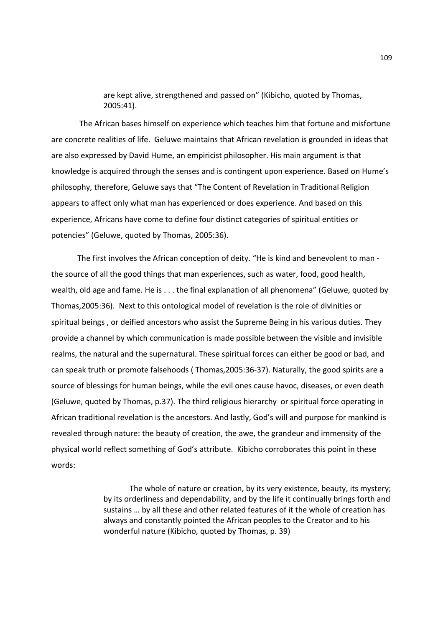are kept alive, strengthened and passed on" (Kibicho, quoted by Thomas, 2005:41).

 The African bases himself on experience which teaches him that fortune and misfortune are concrete realities of life. Geluwe maintains that African revelation is grounded in ideas that are also expressed by David Hume, an empiricist philosopher. His main argument is that knowledge is acquired through the senses and is contingent upon experience. Based on Hume's philosophy, therefore, Geluwe says that "The Content of Revelation in Traditional Religion appears to affect only what man has experienced or does experience. And based on this experience, Africans have come to define four distinct categories of spiritual entities or potencies" (Geluwe, quoted by Thomas, 2005:36).

The first involves the African conception of deity. "He is kind and benevolent to man the source of all the good things that man experiences, such as water, food, good health, wealth, old age and fame. He is . . . the final explanation of all phenomena" (Geluwe, quoted by Thomas,2005:36). Next to this ontological model of revelation is the role of divinities or spiritual beings , or deified ancestors who assist the Supreme Being in his various duties. They provide a channel by which communication is made possible between the visible and invisible realms, the natural and the supernatural. These spiritual forces can either be good or bad, and can speak truth or promote falsehoods ( Thomas,2005:36-37). Naturally, the good spirits are a source of blessings for human beings, while the evil ones cause havoc, diseases, or even death (Geluwe, quoted by Thomas, p.37). The third religious hierarchy or spiritual force operating in African traditional revelation is the ancestors. And lastly, God's will and purpose for mankind is revealed through nature: the beauty of creation, the awe, the grandeur and immensity of the physical world reflect something of God's attribute. Kibicho corroborates this point in these words:

> The whole of nature or creation, by its very existence, beauty, its mystery; by its orderliness and dependability, and by the life it continually brings forth and sustains … by all these and other related features of it the whole of creation has always and constantly pointed the African peoples to the Creator and to his wonderful nature (Kibicho, quoted by Thomas, p. 39)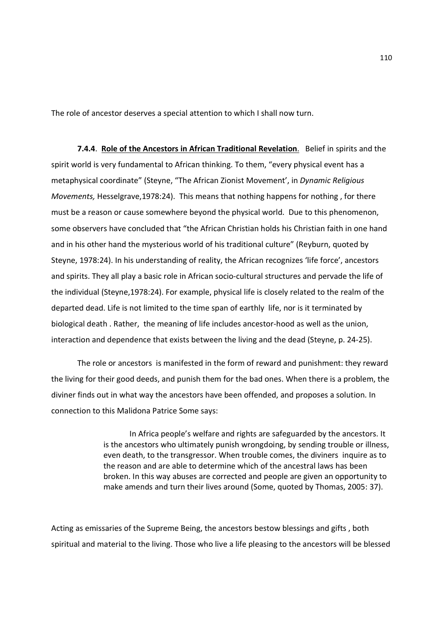The role of ancestor deserves a special attention to which I shall now turn.

**7.4.4**. **Role of the Ancestors in African Traditional Revelation**. Belief in spirits and the spirit world is very fundamental to African thinking. To them, "every physical event has a metaphysical coordinate" (Steyne, "The African Zionist Movement', in *Dynamic Religious Movements,* Hesselgrave,1978:24). This means that nothing happens for nothing , for there must be a reason or cause somewhere beyond the physical world. Due to this phenomenon, some observers have concluded that "the African Christian holds his Christian faith in one hand and in his other hand the mysterious world of his traditional culture" (Reyburn, quoted by Steyne, 1978:24). In his understanding of reality, the African recognizes 'life force', ancestors and spirits. They all play a basic role in African socio-cultural structures and pervade the life of the individual (Steyne,1978:24). For example, physical life is closely related to the realm of the departed dead. Life is not limited to the time span of earthly life, nor is it terminated by biological death . Rather, the meaning of life includes ancestor-hood as well as the union, interaction and dependence that exists between the living and the dead (Steyne, p. 24-25).

The role or ancestors is manifested in the form of reward and punishment: they reward the living for their good deeds, and punish them for the bad ones. When there is a problem, the diviner finds out in what way the ancestors have been offended, and proposes a solution. In connection to this Malidona Patrice Some says:

> In Africa people's welfare and rights are safeguarded by the ancestors. It is the ancestors who ultimately punish wrongdoing, by sending trouble or illness, even death, to the transgressor. When trouble comes, the diviners inquire as to the reason and are able to determine which of the ancestral laws has been broken. In this way abuses are corrected and people are given an opportunity to make amends and turn their lives around (Some, quoted by Thomas, 2005: 37).

Acting as emissaries of the Supreme Being, the ancestors bestow blessings and gifts , both spiritual and material to the living. Those who live a life pleasing to the ancestors will be blessed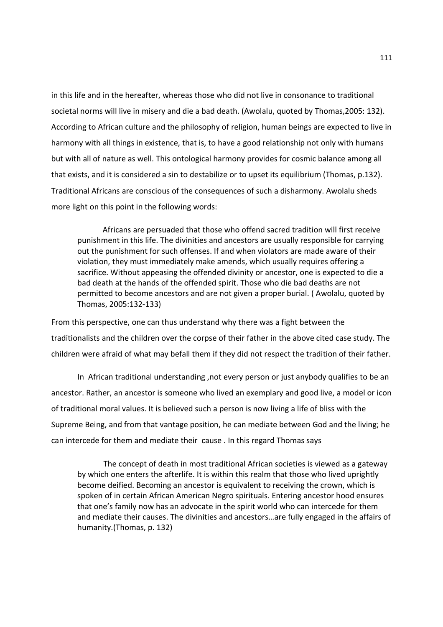in this life and in the hereafter, whereas those who did not live in consonance to traditional societal norms will live in misery and die a bad death. (Awolalu, quoted by Thomas,2005: 132). According to African culture and the philosophy of religion, human beings are expected to live in harmony with all things in existence, that is, to have a good relationship not only with humans but with all of nature as well. This ontological harmony provides for cosmic balance among all that exists, and it is considered a sin to destabilize or to upset its equilibrium (Thomas, p.132). Traditional Africans are conscious of the consequences of such a disharmony. Awolalu sheds more light on this point in the following words:

 Africans are persuaded that those who offend sacred tradition will first receive punishment in this life. The divinities and ancestors are usually responsible for carrying out the punishment for such offenses. If and when violators are made aware of their violation, they must immediately make amends, which usually requires offering a sacrifice. Without appeasing the offended divinity or ancestor, one is expected to die a bad death at the hands of the offended spirit. Those who die bad deaths are not permitted to become ancestors and are not given a proper burial. ( Awolalu, quoted by Thomas, 2005:132-133)

From this perspective, one can thus understand why there was a fight between the traditionalists and the children over the corpse of their father in the above cited case study. The children were afraid of what may befall them if they did not respect the tradition of their father.

In African traditional understanding ,not every person or just anybody qualifies to be an ancestor. Rather, an ancestor is someone who lived an exemplary and good live, a model or icon of traditional moral values. It is believed such a person is now living a life of bliss with the Supreme Being, and from that vantage position, he can mediate between God and the living; he can intercede for them and mediate their cause . In this regard Thomas says

The concept of death in most traditional African societies is viewed as a gateway by which one enters the afterlife. It is within this realm that those who lived uprightly become deified. Becoming an ancestor is equivalent to receiving the crown, which is spoken of in certain African American Negro spirituals. Entering ancestor hood ensures that one's family now has an advocate in the spirit world who can intercede for them and mediate their causes. The divinities and ancestors…are fully engaged in the affairs of humanity.(Thomas, p. 132)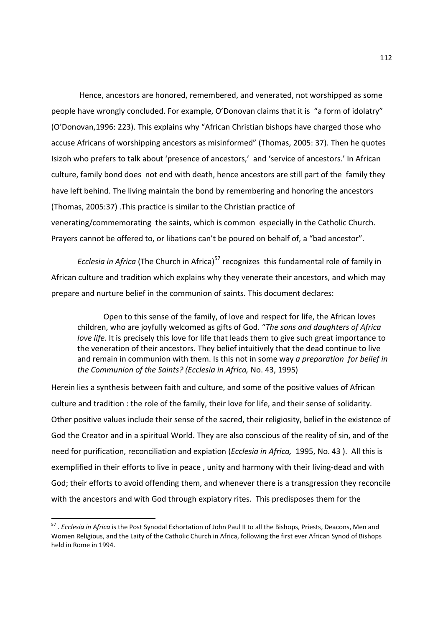Hence, ancestors are honored, remembered, and venerated, not worshipped as some people have wrongly concluded. For example, O'Donovan claims that it is "a form of idolatry" (O'Donovan,1996: 223). This explains why "African Christian bishops have charged those who accuse Africans of worshipping ancestors as misinformed" (Thomas, 2005: 37). Then he quotes Isizoh who prefers to talk about 'presence of ancestors,' and 'service of ancestors.' In African culture, family bond does not end with death, hence ancestors are still part of the family they have left behind. The living maintain the bond by remembering and honoring the ancestors (Thomas, 2005:37) .This practice is similar to the Christian practice of venerating/commemorating the saints, which is common especially in the Catholic Church. Prayers cannot be offered to, or libations can't be poured on behalf of, a "bad ancestor".

*Ecclesia in Africa* (The Church in Africa)<sup>57</sup> recognizes this fundamental role of family in African culture and tradition which explains why they venerate their ancestors, and which may prepare and nurture belief in the communion of saints. This document declares:

Open to this sense of the family, of love and respect for life, the African loves children, who are joyfully welcomed as gifts of God. "*The sons and daughters of Africa love life.* It is precisely this love for life that leads them to give such great importance to the veneration of their ancestors. They belief intuitively that the dead continue to live and remain in communion with them. Is this not in some way *a preparation for belief in the Communion of the Saints? (Ecclesia in Africa,* No. 43, 1995)

Herein lies a synthesis between faith and culture, and some of the positive values of African culture and tradition : the role of the family, their love for life, and their sense of solidarity. Other positive values include their sense of the sacred, their religiosity, belief in the existence of God the Creator and in a spiritual World. They are also conscious of the reality of sin, and of the need for purification, reconciliation and expiation (*Ecclesia in Africa,* 1995, No. 43 ). All this is exemplified in their efforts to live in peace , unity and harmony with their living-dead and with God; their efforts to avoid offending them, and whenever there is a transgression they reconcile with the ancestors and with God through expiatory rites. This predisposes them for the

 57 . *Ecclesia in Africa* is the Post Synodal Exhortation of John Paul II to all the Bishops, Priests, Deacons, Men and Women Religious, and the Laity of the Catholic Church in Africa, following the first ever African Synod of Bishops held in Rome in 1994.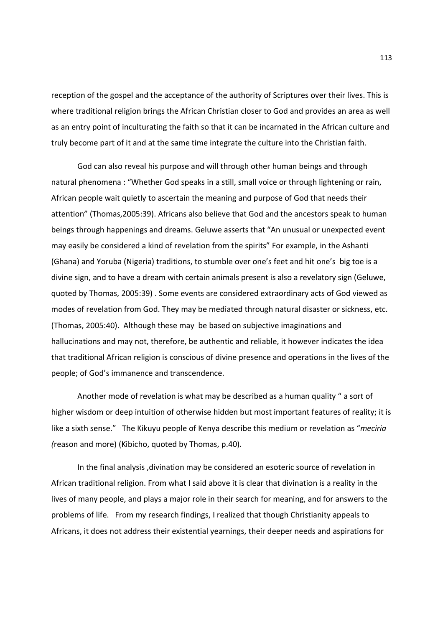reception of the gospel and the acceptance of the authority of Scriptures over their lives. This is where traditional religion brings the African Christian closer to God and provides an area as well as an entry point of inculturating the faith so that it can be incarnated in the African culture and truly become part of it and at the same time integrate the culture into the Christian faith.

God can also reveal his purpose and will through other human beings and through natural phenomena : "Whether God speaks in a still, small voice or through lightening or rain, African people wait quietly to ascertain the meaning and purpose of God that needs their attention" (Thomas,2005:39). Africans also believe that God and the ancestors speak to human beings through happenings and dreams. Geluwe asserts that "An unusual or unexpected event may easily be considered a kind of revelation from the spirits" For example, in the Ashanti (Ghana) and Yoruba (Nigeria) traditions, to stumble over one's feet and hit one's big toe is a divine sign, and to have a dream with certain animals present is also a revelatory sign (Geluwe, quoted by Thomas, 2005:39) . Some events are considered extraordinary acts of God viewed as modes of revelation from God. They may be mediated through natural disaster or sickness, etc. (Thomas, 2005:40). Although these may be based on subjective imaginations and hallucinations and may not, therefore, be authentic and reliable, it however indicates the idea that traditional African religion is conscious of divine presence and operations in the lives of the people; of God's immanence and transcendence.

Another mode of revelation is what may be described as a human quality " a sort of higher wisdom or deep intuition of otherwise hidden but most important features of reality; it is like a sixth sense." The Kikuyu people of Kenya describe this medium or revelation as "*meciria (*reason and more) (Kibicho, quoted by Thomas, p.40).

In the final analysis ,divination may be considered an esoteric source of revelation in African traditional religion. From what I said above it is clear that divination is a reality in the lives of many people, and plays a major role in their search for meaning, and for answers to the problems of life. From my research findings, I realized that though Christianity appeals to Africans, it does not address their existential yearnings, their deeper needs and aspirations for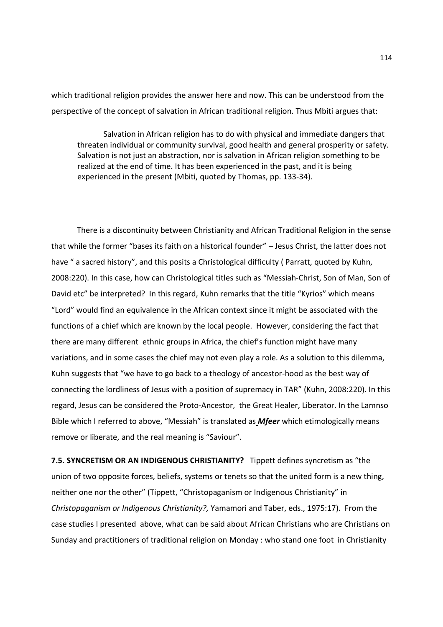which traditional religion provides the answer here and now. This can be understood from the perspective of the concept of salvation in African traditional religion. Thus Mbiti argues that:

Salvation in African religion has to do with physical and immediate dangers that threaten individual or community survival, good health and general prosperity or safety. Salvation is not just an abstraction, nor is salvation in African religion something to be realized at the end of time. It has been experienced in the past, and it is being experienced in the present (Mbiti, quoted by Thomas, pp. 133-34).

 There is a discontinuity between Christianity and African Traditional Religion in the sense that while the former "bases its faith on a historical founder" – Jesus Christ, the latter does not have " a sacred history", and this posits a Christological difficulty (Parratt, quoted by Kuhn, 2008:220). In this case, how can Christological titles such as "Messiah-Christ, Son of Man, Son of David etc" be interpreted? In this regard, Kuhn remarks that the title "Kyrios" which means "Lord" would find an equivalence in the African context since it might be associated with the functions of a chief which are known by the local people. However, considering the fact that there are many different ethnic groups in Africa, the chief's function might have many variations, and in some cases the chief may not even play a role. As a solution to this dilemma, Kuhn suggests that "we have to go back to a theology of ancestor-hood as the best way of connecting the lordliness of Jesus with a position of supremacy in TAR" (Kuhn, 2008:220). In this regard, Jesus can be considered the Proto-Ancestor, the Great Healer, Liberator. In the Lamnso Bible which I referred to above, "Messiah" is translated as *Mfeer* which etimologically means remove or liberate, and the real meaning is "Saviour".

**7.5. SYNCRETISM OR AN INDIGENOUS CHRISTIANITY?** Tippett defines syncretism as "the union of two opposite forces, beliefs, systems or tenets so that the united form is a new thing, neither one nor the other" (Tippett, "Christopaganism or Indigenous Christianity" in *Christopaganism or Indigenous Christianity?,* Yamamori and Taber, eds., 1975:17). From the case studies I presented above, what can be said about African Christians who are Christians on Sunday and practitioners of traditional religion on Monday : who stand one foot in Christianity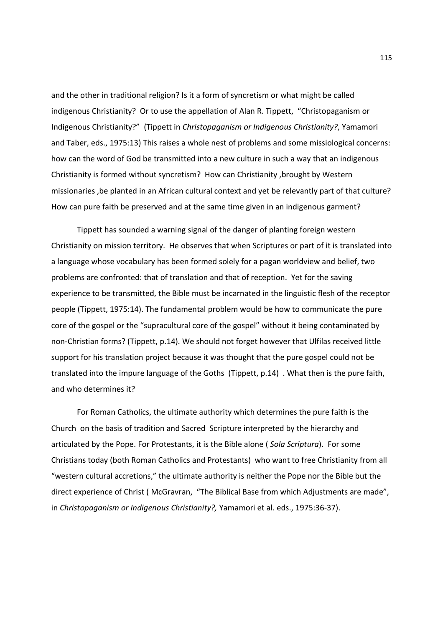and the other in traditional religion? Is it a form of syncretism or what might be called indigenous Christianity? Or to use the appellation of Alan R. Tippett, "Christopaganism or Indigenous Christianity?" (Tippett in *Christopaganism or Indigenous Christianity?*, Yamamori and Taber, eds., 1975:13) This raises a whole nest of problems and some missiological concerns: how can the word of God be transmitted into a new culture in such a way that an indigenous Christianity is formed without syncretism? How can Christianity ,brought by Western missionaries ,be planted in an African cultural context and yet be relevantly part of that culture? How can pure faith be preserved and at the same time given in an indigenous garment?

 Tippett has sounded a warning signal of the danger of planting foreign western Christianity on mission territory. He observes that when Scriptures or part of it is translated into a language whose vocabulary has been formed solely for a pagan worldview and belief, two problems are confronted: that of translation and that of reception. Yet for the saving experience to be transmitted, the Bible must be incarnated in the linguistic flesh of the receptor people (Tippett, 1975:14). The fundamental problem would be how to communicate the pure core of the gospel or the "supracultural core of the gospel" without it being contaminated by non-Christian forms? (Tippett, p.14). We should not forget however that Ulfilas received little support for his translation project because it was thought that the pure gospel could not be translated into the impure language of the Goths (Tippett, p.14) . What then is the pure faith, and who determines it?

 For Roman Catholics, the ultimate authority which determines the pure faith is the Church on the basis of tradition and Sacred Scripture interpreted by the hierarchy and articulated by the Pope. For Protestants, it is the Bible alone ( *Sola Scriptura*). For some Christians today (both Roman Catholics and Protestants) who want to free Christianity from all "western cultural accretions," the ultimate authority is neither the Pope nor the Bible but the direct experience of Christ ( McGravran, "The Biblical Base from which Adjustments are made", in *Christopaganism or Indigenous Christianity?,* Yamamori et al. eds., 1975:36-37).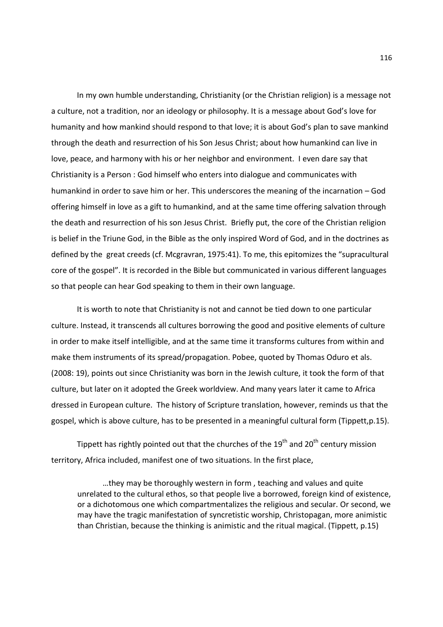In my own humble understanding, Christianity (or the Christian religion) is a message not a culture, not a tradition, nor an ideology or philosophy. It is a message about God's love for humanity and how mankind should respond to that love; it is about God's plan to save mankind through the death and resurrection of his Son Jesus Christ; about how humankind can live in love, peace, and harmony with his or her neighbor and environment. I even dare say that Christianity is a Person : God himself who enters into dialogue and communicates with humankind in order to save him or her. This underscores the meaning of the incarnation – God offering himself in love as a gift to humankind, and at the same time offering salvation through the death and resurrection of his son Jesus Christ. Briefly put, the core of the Christian religion is belief in the Triune God, in the Bible as the only inspired Word of God, and in the doctrines as defined by the great creeds (cf. Mcgravran, 1975:41). To me, this epitomizes the "supracultural core of the gospel". It is recorded in the Bible but communicated in various different languages so that people can hear God speaking to them in their own language.

 It is worth to note that Christianity is not and cannot be tied down to one particular culture. Instead, it transcends all cultures borrowing the good and positive elements of culture in order to make itself intelligible, and at the same time it transforms cultures from within and make them instruments of its spread/propagation. Pobee, quoted by Thomas Oduro et als. (2008: 19), points out since Christianity was born in the Jewish culture, it took the form of that culture, but later on it adopted the Greek worldview. And many years later it came to Africa dressed in European culture. The history of Scripture translation, however, reminds us that the gospel, which is above culture, has to be presented in a meaningful cultural form (Tippett,p.15).

Tippett has rightly pointed out that the churches of the  $19<sup>th</sup>$  and  $20<sup>th</sup>$  century mission territory, Africa included, manifest one of two situations. In the first place,

 …they may be thoroughly western in form , teaching and values and quite unrelated to the cultural ethos, so that people live a borrowed, foreign kind of existence, or a dichotomous one which compartmentalizes the religious and secular. Or second, we may have the tragic manifestation of syncretistic worship, Christopagan, more animistic than Christian, because the thinking is animistic and the ritual magical. (Tippett, p.15)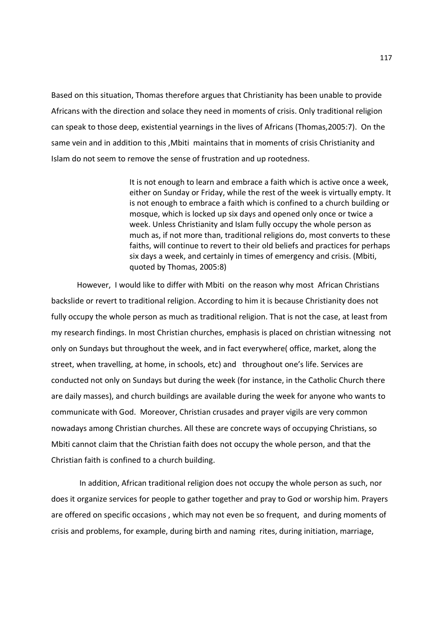Based on this situation, Thomas therefore argues that Christianity has been unable to provide Africans with the direction and solace they need in moments of crisis. Only traditional religion can speak to those deep, existential yearnings in the lives of Africans (Thomas,2005:7). On the same vein and in addition to this ,Mbiti maintains that in moments of crisis Christianity and Islam do not seem to remove the sense of frustration and up rootedness.

> It is not enough to learn and embrace a faith which is active once a week, either on Sunday or Friday, while the rest of the week is virtually empty. It is not enough to embrace a faith which is confined to a church building or mosque, which is locked up six days and opened only once or twice a week. Unless Christianity and Islam fully occupy the whole person as much as, if not more than, traditional religions do, most converts to these faiths, will continue to revert to their old beliefs and practices for perhaps six days a week, and certainly in times of emergency and crisis. (Mbiti, quoted by Thomas, 2005:8)

 However, I would like to differ with Mbiti on the reason why most African Christians backslide or revert to traditional religion. According to him it is because Christianity does not fully occupy the whole person as much as traditional religion. That is not the case, at least from my research findings. In most Christian churches, emphasis is placed on christian witnessing not only on Sundays but throughout the week, and in fact everywhere( office, market, along the street, when travelling, at home, in schools, etc) and throughout one's life. Services are conducted not only on Sundays but during the week (for instance, in the Catholic Church there are daily masses), and church buildings are available during the week for anyone who wants to communicate with God. Moreover, Christian crusades and prayer vigils are very common nowadays among Christian churches. All these are concrete ways of occupying Christians, so Mbiti cannot claim that the Christian faith does not occupy the whole person, and that the Christian faith is confined to a church building.

 In addition, African traditional religion does not occupy the whole person as such, nor does it organize services for people to gather together and pray to God or worship him. Prayers are offered on specific occasions , which may not even be so frequent, and during moments of crisis and problems, for example, during birth and naming rites, during initiation, marriage,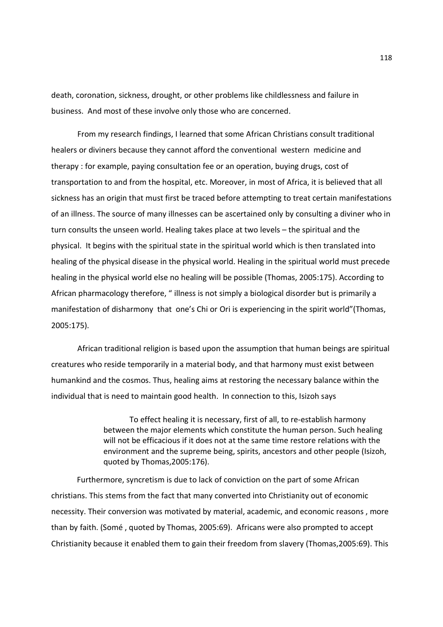death, coronation, sickness, drought, or other problems like childlessness and failure in business. And most of these involve only those who are concerned.

From my research findings, I learned that some African Christians consult traditional healers or diviners because they cannot afford the conventional western medicine and therapy : for example, paying consultation fee or an operation, buying drugs, cost of transportation to and from the hospital, etc. Moreover, in most of Africa, it is believed that all sickness has an origin that must first be traced before attempting to treat certain manifestations of an illness. The source of many illnesses can be ascertained only by consulting a diviner who in turn consults the unseen world. Healing takes place at two levels – the spiritual and the physical. It begins with the spiritual state in the spiritual world which is then translated into healing of the physical disease in the physical world. Healing in the spiritual world must precede healing in the physical world else no healing will be possible (Thomas, 2005:175). According to African pharmacology therefore, " illness is not simply a biological disorder but is primarily a manifestation of disharmony that one's Chi or Ori is experiencing in the spirit world"(Thomas, 2005:175).

African traditional religion is based upon the assumption that human beings are spiritual creatures who reside temporarily in a material body, and that harmony must exist between humankind and the cosmos. Thus, healing aims at restoring the necessary balance within the individual that is need to maintain good health. In connection to this, Isizoh says

> To effect healing it is necessary, first of all, to re-establish harmony between the major elements which constitute the human person. Such healing will not be efficacious if it does not at the same time restore relations with the environment and the supreme being, spirits, ancestors and other people (Isizoh, quoted by Thomas,2005:176).

 Furthermore, syncretism is due to lack of conviction on the part of some African christians. This stems from the fact that many converted into Christianity out of economic necessity. Their conversion was motivated by material, academic, and economic reasons , more than by faith. (Somé , quoted by Thomas, 2005:69). Africans were also prompted to accept Christianity because it enabled them to gain their freedom from slavery (Thomas,2005:69). This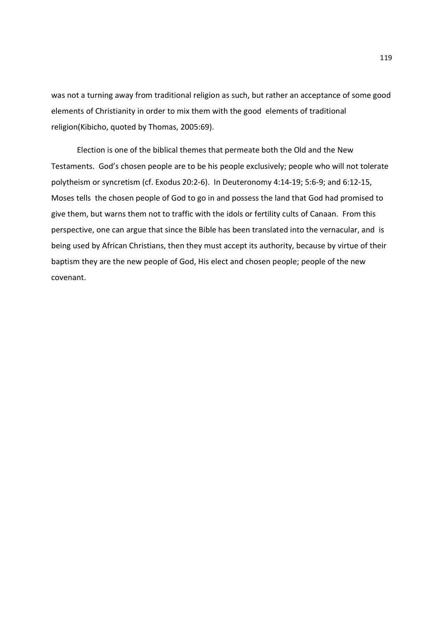was not a turning away from traditional religion as such, but rather an acceptance of some good elements of Christianity in order to mix them with the good elements of traditional religion(Kibicho, quoted by Thomas, 2005:69).

 Election is one of the biblical themes that permeate both the Old and the New Testaments. God's chosen people are to be his people exclusively; people who will not tolerate polytheism or syncretism (cf. Exodus 20:2-6). In Deuteronomy 4:14-19; 5:6-9; and 6:12-15, Moses tells the chosen people of God to go in and possess the land that God had promised to give them, but warns them not to traffic with the idols or fertility cults of Canaan. From this perspective, one can argue that since the Bible has been translated into the vernacular, and is being used by African Christians, then they must accept its authority, because by virtue of their baptism they are the new people of God, His elect and chosen people; people of the new covenant.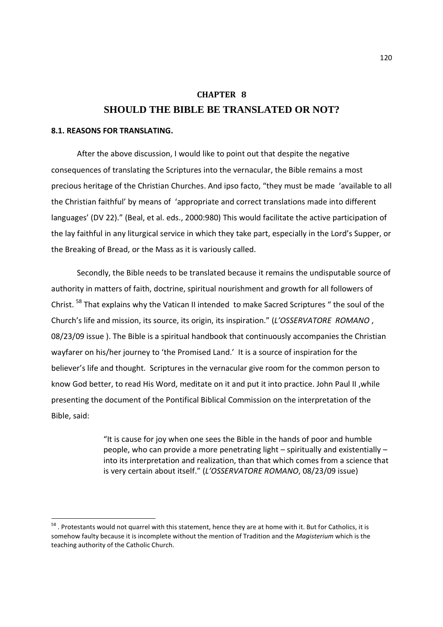# **CHAPTER 8 SHOULD THE BIBLE BE TRANSLATED OR NOT?**

## **8.1. REASONS FOR TRANSLATING.**

-

 After the above discussion, I would like to point out that despite the negative consequences of translating the Scriptures into the vernacular, the Bible remains a most precious heritage of the Christian Churches. And ipso facto, "they must be made 'available to all the Christian faithful' by means of 'appropriate and correct translations made into different languages' (DV 22)." (Beal, et al. eds., 2000:980) This would facilitate the active participation of the lay faithful in any liturgical service in which they take part, especially in the Lord's Supper, or the Breaking of Bread, or the Mass as it is variously called.

 Secondly, the Bible needs to be translated because it remains the undisputable source of authority in matters of faith, doctrine, spiritual nourishment and growth for all followers of Christ. <sup>58</sup> That explains why the Vatican II intended to make Sacred Scriptures " the soul of the Church's life and mission, its source, its origin, its inspiration." (*L'OSSERVATORE ROMANO* , 08/23/09 issue ). The Bible is a spiritual handbook that continuously accompanies the Christian wayfarer on his/her journey to 'the Promised Land.' It is a source of inspiration for the believer's life and thought. Scriptures in the vernacular give room for the common person to know God better, to read His Word, meditate on it and put it into practice. John Paul II ,while presenting the document of the Pontifical Biblical Commission on the interpretation of the Bible, said:

> "It is cause for joy when one sees the Bible in the hands of poor and humble people, who can provide a more penetrating light – spiritually and existentially – into its interpretation and realization, than that which comes from a science that is very certain about itself." (*L'OSSERVATORE ROMANO*, 08/23/09 issue)

<sup>&</sup>lt;sup>58</sup>. Protestants would not quarrel with this statement, hence they are at home with it. But for Catholics, it is somehow faulty because it is incomplete without the mention of Tradition and the *Magisterium* which is the teaching authority of the Catholic Church.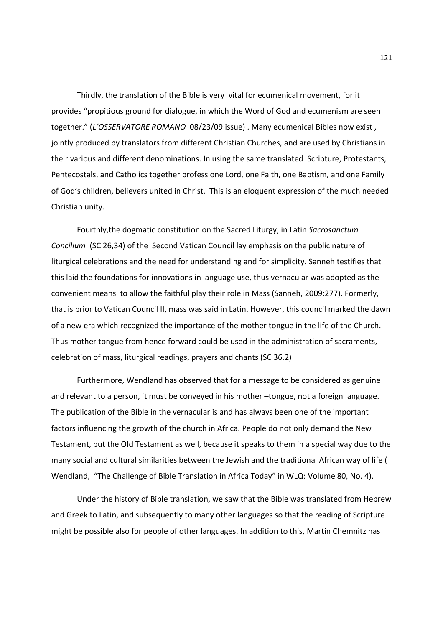Thirdly, the translation of the Bible is very vital for ecumenical movement, for it provides "propitious ground for dialogue, in which the Word of God and ecumenism are seen together." (*L'OSSERVATORE ROMANO* 08/23/09 issue) . Many ecumenical Bibles now exist , jointly produced by translators from different Christian Churches, and are used by Christians in their various and different denominations. In using the same translated Scripture, Protestants, Pentecostals, and Catholics together profess one Lord, one Faith, one Baptism, and one Family of God's children, believers united in Christ. This is an eloquent expression of the much needed Christian unity.

 Fourthly,the dogmatic constitution on the Sacred Liturgy, in Latin *Sacrosanctum Concilium* (SC 26,34) of the Second Vatican Council lay emphasis on the public nature of liturgical celebrations and the need for understanding and for simplicity. Sanneh testifies that this laid the foundations for innovations in language use, thus vernacular was adopted as the convenient means to allow the faithful play their role in Mass (Sanneh, 2009:277). Formerly, that is prior to Vatican Council II, mass was said in Latin. However, this council marked the dawn of a new era which recognized the importance of the mother tongue in the life of the Church. Thus mother tongue from hence forward could be used in the administration of sacraments, celebration of mass, liturgical readings, prayers and chants (SC 36.2)

 Furthermore, Wendland has observed that for a message to be considered as genuine and relevant to a person, it must be conveyed in his mother –tongue, not a foreign language. The publication of the Bible in the vernacular is and has always been one of the important factors influencing the growth of the church in Africa. People do not only demand the New Testament, but the Old Testament as well, because it speaks to them in a special way due to the many social and cultural similarities between the Jewish and the traditional African way of life ( Wendland, "The Challenge of Bible Translation in Africa Today" in WLQ: Volume 80, No. 4).

 Under the history of Bible translation, we saw that the Bible was translated from Hebrew and Greek to Latin, and subsequently to many other languages so that the reading of Scripture might be possible also for people of other languages. In addition to this, Martin Chemnitz has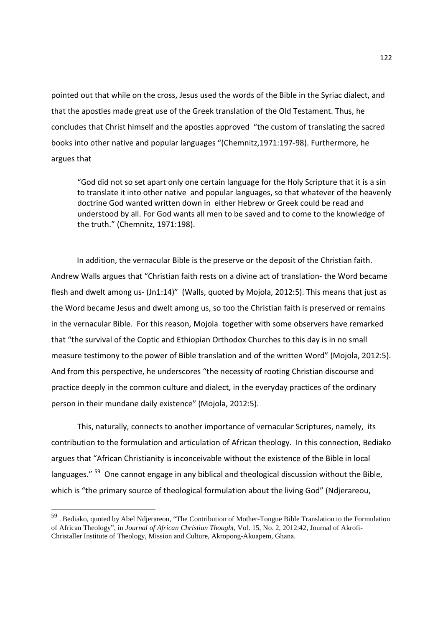pointed out that while on the cross, Jesus used the words of the Bible in the Syriac dialect, and that the apostles made great use of the Greek translation of the Old Testament. Thus, he concludes that Christ himself and the apostles approved "the custom of translating the sacred books into other native and popular languages "(Chemnitz,1971:197-98). Furthermore, he argues that

"God did not so set apart only one certain language for the Holy Scripture that it is a sin to translate it into other native and popular languages, so that whatever of the heavenly doctrine God wanted written down in either Hebrew or Greek could be read and understood by all. For God wants all men to be saved and to come to the knowledge of the truth." (Chemnitz, 1971:198).

 In addition, the vernacular Bible is the preserve or the deposit of the Christian faith. Andrew Walls argues that "Christian faith rests on a divine act of translation- the Word became flesh and dwelt among us- (Jn1:14)" (Walls, quoted by Mojola, 2012:5). This means that just as the Word became Jesus and dwelt among us, so too the Christian faith is preserved or remains in the vernacular Bible. For this reason, Mojola together with some observers have remarked that "the survival of the Coptic and Ethiopian Orthodox Churches to this day is in no small measure testimony to the power of Bible translation and of the written Word" (Mojola, 2012:5). And from this perspective, he underscores "the necessity of rooting Christian discourse and practice deeply in the common culture and dialect, in the everyday practices of the ordinary person in their mundane daily existence" (Mojola, 2012:5).

This, naturally, connects to another importance of vernacular Scriptures, namely, its contribution to the formulation and articulation of African theology. In this connection, Bediako argues that "African Christianity is inconceivable without the existence of the Bible in local languages."<sup>59</sup> One cannot engage in any biblical and theological discussion without the Bible, which is "the primary source of theological formulation about the living God" (Ndjerareou,

 59 . Bediako, quoted by Abel Ndjerareou, "The Contribution of Mother-Tongue Bible Translation to the Formulation of African Theology", in *Journal of African Christian Thought*, Vol. 15, No. 2, 2012:42, Journal of Akrofi-Christaller Institute of Theology, Mission and Culture, Akropong-Akuapem, Ghana.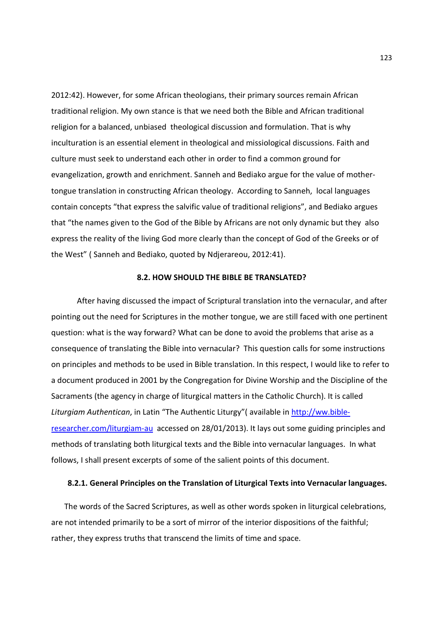2012:42). However, for some African theologians, their primary sources remain African traditional religion. My own stance is that we need both the Bible and African traditional religion for a balanced, unbiased theological discussion and formulation. That is why inculturation is an essential element in theological and missiological discussions. Faith and culture must seek to understand each other in order to find a common ground for evangelization, growth and enrichment. Sanneh and Bediako argue for the value of mothertongue translation in constructing African theology. According to Sanneh, local languages contain concepts "that express the salvific value of traditional religions", and Bediako argues that "the names given to the God of the Bible by Africans are not only dynamic but they also express the reality of the living God more clearly than the concept of God of the Greeks or of the West" ( Sanneh and Bediako, quoted by Ndjerareou, 2012:41).

### **8.2. HOW SHOULD THE BIBLE BE TRANSLATED?**

 After having discussed the impact of Scriptural translation into the vernacular, and after pointing out the need for Scriptures in the mother tongue, we are still faced with one pertinent question: what is the way forward? What can be done to avoid the problems that arise as a consequence of translating the Bible into vernacular? This question calls for some instructions on principles and methods to be used in Bible translation. In this respect, I would like to refer to a document produced in 2001 by the Congregation for Divine Worship and the Discipline of the Sacraments (the agency in charge of liturgical matters in the Catholic Church). It is called *Liturgiam Authentican*, in Latin "The Authentic Liturgy"( available in http://ww.bibleresearcher.com/liturgiam-au accessed on 28/01/2013). It lays out some guiding principles and methods of translating both liturgical texts and the Bible into vernacular languages. In what follows, I shall present excerpts of some of the salient points of this document.

#### **8.2.1. General Principles on the Translation of Liturgical Texts into Vernacular languages.**

The words of the Sacred Scriptures, as well as other words spoken in liturgical celebrations, are not intended primarily to be a sort of mirror of the interior dispositions of the faithful; rather, they express truths that transcend the limits of time and space.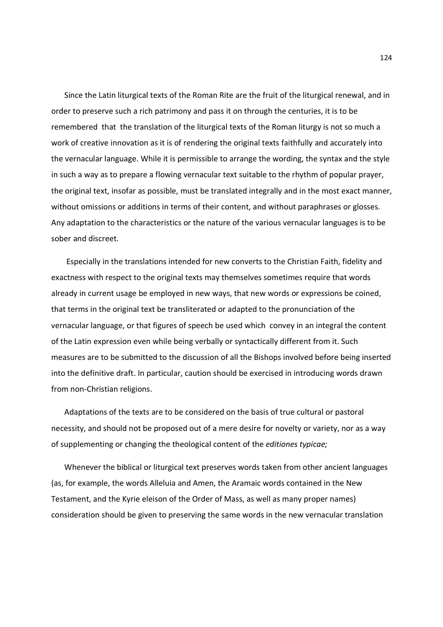Since the Latin liturgical texts of the Roman Rite are the fruit of the liturgical renewal, and in order to preserve such a rich patrimony and pass it on through the centuries, it is to be remembered that the translation of the liturgical texts of the Roman liturgy is not so much a work of creative innovation as it is of rendering the original texts faithfully and accurately into the vernacular language. While it is permissible to arrange the wording, the syntax and the style in such a way as to prepare a flowing vernacular text suitable to the rhythm of popular prayer, the original text, insofar as possible, must be translated integrally and in the most exact manner, without omissions or additions in terms of their content, and without paraphrases or glosses. Any adaptation to the characteristics or the nature of the various vernacular languages is to be sober and discreet.

 Especially in the translations intended for new converts to the Christian Faith, fidelity and exactness with respect to the original texts may themselves sometimes require that words already in current usage be employed in new ways, that new words or expressions be coined, that terms in the original text be transliterated or adapted to the pronunciation of the vernacular language, or that figures of speech be used which convey in an integral the content of the Latin expression even while being verbally or syntactically different from it. Such measures are to be submitted to the discussion of all the Bishops involved before being inserted into the definitive draft. In particular, caution should be exercised in introducing words drawn from non-Christian religions.

Adaptations of the texts are to be considered on the basis of true cultural or pastoral necessity, and should not be proposed out of a mere desire for novelty or variety, nor as a way of supplementing or changing the theological content of the *editiones typicae;* 

Whenever the biblical or liturgical text preserves words taken from other ancient languages (as, for example, the words Alleluia and Amen, the Aramaic words contained in the New Testament, and the Kyrie eleison of the Order of Mass, as well as many proper names) consideration should be given to preserving the same words in the new vernacular translation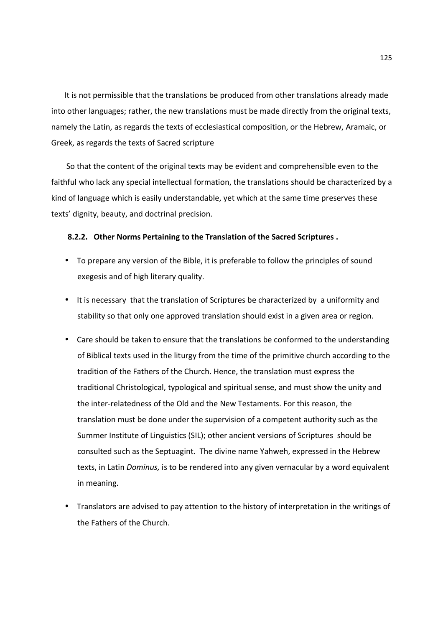It is not permissible that the translations be produced from other translations already made into other languages; rather, the new translations must be made directly from the original texts, namely the Latin, as regards the texts of ecclesiastical composition, or the Hebrew, Aramaic, or Greek, as regards the texts of Sacred scripture

 So that the content of the original texts may be evident and comprehensible even to the faithful who lack any special intellectual formation, the translations should be characterized by a kind of language which is easily understandable, yet which at the same time preserves these texts' dignity, beauty, and doctrinal precision.

### **8.2.2. Other Norms Pertaining to the Translation of the Sacred Scriptures .**

- To prepare any version of the Bible, it is preferable to follow the principles of sound exegesis and of high literary quality.
- It is necessary that the translation of Scriptures be characterized by a uniformity and stability so that only one approved translation should exist in a given area or region.
- Care should be taken to ensure that the translations be conformed to the understanding of Biblical texts used in the liturgy from the time of the primitive church according to the tradition of the Fathers of the Church. Hence, the translation must express the traditional Christological, typological and spiritual sense, and must show the unity and the inter-relatedness of the Old and the New Testaments. For this reason, the translation must be done under the supervision of a competent authority such as the Summer Institute of Linguistics (SIL); other ancient versions of Scriptures should be consulted such as the Septuagint. The divine name Yahweh, expressed in the Hebrew texts, in Latin *Dominus,* is to be rendered into any given vernacular by a word equivalent in meaning.
- Translators are advised to pay attention to the history of interpretation in the writings of the Fathers of the Church.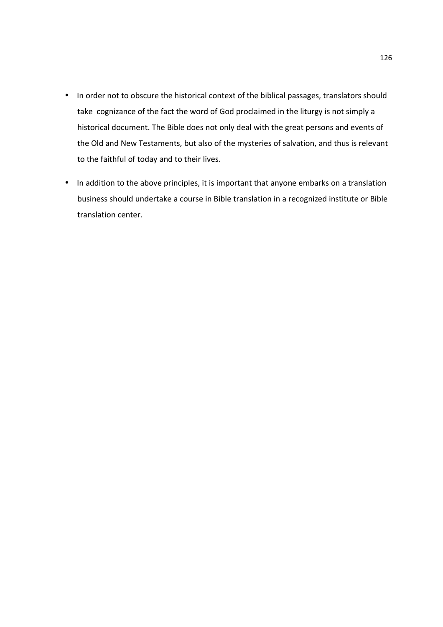- In order not to obscure the historical context of the biblical passages, translators should take cognizance of the fact the word of God proclaimed in the liturgy is not simply a historical document. The Bible does not only deal with the great persons and events of the Old and New Testaments, but also of the mysteries of salvation, and thus is relevant to the faithful of today and to their lives.
- In addition to the above principles, it is important that anyone embarks on a translation business should undertake a course in Bible translation in a recognized institute or Bible translation center.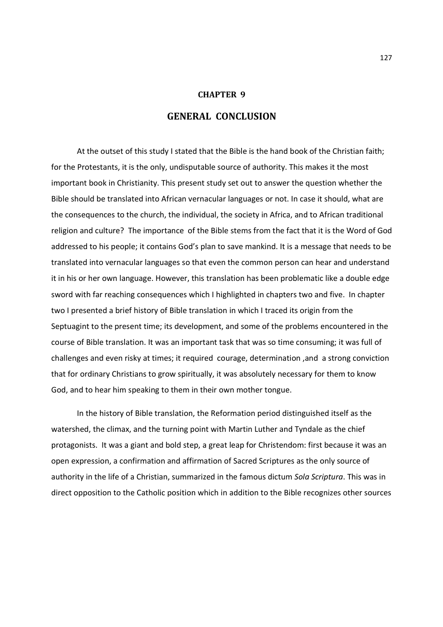## **CHAPTER 9**

## **GENERAL CONCLUSION**

 At the outset of this study I stated that the Bible is the hand book of the Christian faith; for the Protestants, it is the only, undisputable source of authority. This makes it the most important book in Christianity. This present study set out to answer the question whether the Bible should be translated into African vernacular languages or not. In case it should, what are the consequences to the church, the individual, the society in Africa, and to African traditional religion and culture? The importance of the Bible stems from the fact that it is the Word of God addressed to his people; it contains God's plan to save mankind. It is a message that needs to be translated into vernacular languages so that even the common person can hear and understand it in his or her own language. However, this translation has been problematic like a double edge sword with far reaching consequences which I highlighted in chapters two and five. In chapter two I presented a brief history of Bible translation in which I traced its origin from the Septuagint to the present time; its development, and some of the problems encountered in the course of Bible translation. It was an important task that was so time consuming; it was full of challenges and even risky at times; it required courage, determination ,and a strong conviction that for ordinary Christians to grow spiritually, it was absolutely necessary for them to know God, and to hear him speaking to them in their own mother tongue.

 In the history of Bible translation, the Reformation period distinguished itself as the watershed, the climax, and the turning point with Martin Luther and Tyndale as the chief protagonists. It was a giant and bold step, a great leap for Christendom: first because it was an open expression, a confirmation and affirmation of Sacred Scriptures as the only source of authority in the life of a Christian, summarized in the famous dictum *Sola Scriptura*. This was in direct opposition to the Catholic position which in addition to the Bible recognizes other sources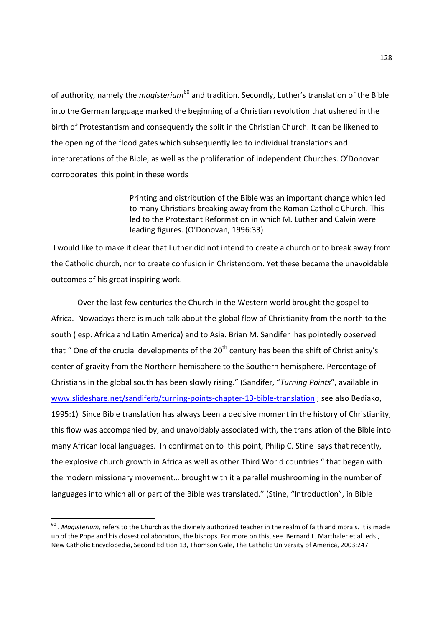of authority, namely the *magisterium*<sup>60</sup> and tradition. Secondly, Luther's translation of the Bible into the German language marked the beginning of a Christian revolution that ushered in the birth of Protestantism and consequently the split in the Christian Church. It can be likened to the opening of the flood gates which subsequently led to individual translations and interpretations of the Bible, as well as the proliferation of independent Churches. O'Donovan corroborates this point in these words

> Printing and distribution of the Bible was an important change which led to many Christians breaking away from the Roman Catholic Church. This led to the Protestant Reformation in which M. Luther and Calvin were leading figures. (O'Donovan, 1996:33)

 I would like to make it clear that Luther did not intend to create a church or to break away from the Catholic church, nor to create confusion in Christendom. Yet these became the unavoidable outcomes of his great inspiring work.

Over the last few centuries the Church in the Western world brought the gospel to Africa. Nowadays there is much talk about the global flow of Christianity from the north to the south ( esp. Africa and Latin America) and to Asia. Brian M. Sandifer has pointedly observed that " One of the crucial developments of the  $20<sup>th</sup>$  century has been the shift of Christianity's center of gravity from the Northern hemisphere to the Southern hemisphere. Percentage of Christians in the global south has been slowly rising." (Sandifer, "*Turning Points*", available in www.slideshare.net/sandiferb/turning-points-chapter-13-bible-translation ; see also Bediako, 1995:1) Since Bible translation has always been a decisive moment in the history of Christianity, this flow was accompanied by, and unavoidably associated with, the translation of the Bible into many African local languages. In confirmation to this point, Philip C. Stine says that recently, the explosive church growth in Africa as well as other Third World countries " that began with the modern missionary movement… brought with it a parallel mushrooming in the number of languages into which all or part of the Bible was translated." (Stine, "Introduction", in Bible

 60 . *Magisterium,* refers to the Church as the divinely authorized teacher in the realm of faith and morals. It is made up of the Pope and his closest collaborators, the bishops. For more on this, see Bernard L. Marthaler et al. eds., New Catholic Encyclopedia, Second Edition 13, Thomson Gale, The Catholic University of America, 2003:247.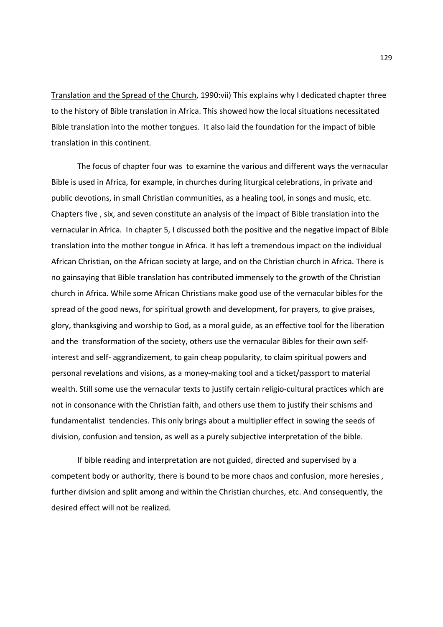Translation and the Spread of the Church, 1990:vii) This explains why I dedicated chapter three to the history of Bible translation in Africa. This showed how the local situations necessitated Bible translation into the mother tongues. It also laid the foundation for the impact of bible translation in this continent.

The focus of chapter four was to examine the various and different ways the vernacular Bible is used in Africa, for example, in churches during liturgical celebrations, in private and public devotions, in small Christian communities, as a healing tool, in songs and music, etc. Chapters five , six, and seven constitute an analysis of the impact of Bible translation into the vernacular in Africa. In chapter 5, I discussed both the positive and the negative impact of Bible translation into the mother tongue in Africa. It has left a tremendous impact on the individual African Christian, on the African society at large, and on the Christian church in Africa. There is no gainsaying that Bible translation has contributed immensely to the growth of the Christian church in Africa. While some African Christians make good use of the vernacular bibles for the spread of the good news, for spiritual growth and development, for prayers, to give praises, glory, thanksgiving and worship to God, as a moral guide, as an effective tool for the liberation and the transformation of the society, others use the vernacular Bibles for their own selfinterest and self- aggrandizement, to gain cheap popularity, to claim spiritual powers and personal revelations and visions, as a money-making tool and a ticket/passport to material wealth. Still some use the vernacular texts to justify certain religio-cultural practices which are not in consonance with the Christian faith, and others use them to justify their schisms and fundamentalist tendencies. This only brings about a multiplier effect in sowing the seeds of division, confusion and tension, as well as a purely subjective interpretation of the bible.

If bible reading and interpretation are not guided, directed and supervised by a competent body or authority, there is bound to be more chaos and confusion, more heresies , further division and split among and within the Christian churches, etc. And consequently, the desired effect will not be realized.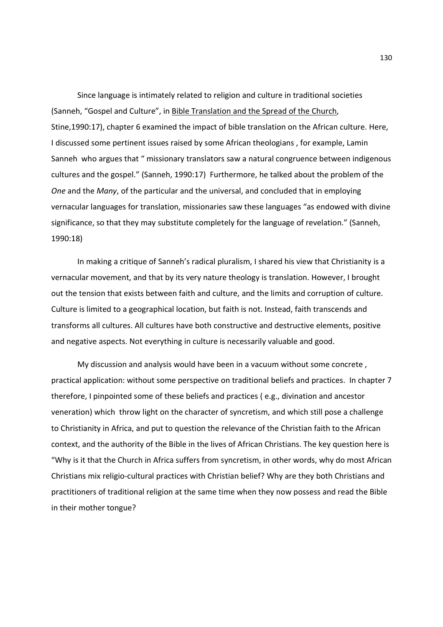Since language is intimately related to religion and culture in traditional societies (Sanneh, "Gospel and Culture", in Bible Translation and the Spread of the Church, Stine,1990:17), chapter 6 examined the impact of bible translation on the African culture. Here, I discussed some pertinent issues raised by some African theologians , for example, Lamin Sanneh who argues that " missionary translators saw a natural congruence between indigenous cultures and the gospel." (Sanneh, 1990:17) Furthermore, he talked about the problem of the *One* and the *Many*, of the particular and the universal, and concluded that in employing vernacular languages for translation, missionaries saw these languages "as endowed with divine significance, so that they may substitute completely for the language of revelation." (Sanneh, 1990:18)

In making a critique of Sanneh's radical pluralism, I shared his view that Christianity is a vernacular movement, and that by its very nature theology is translation. However, I brought out the tension that exists between faith and culture, and the limits and corruption of culture. Culture is limited to a geographical location, but faith is not. Instead, faith transcends and transforms all cultures. All cultures have both constructive and destructive elements, positive and negative aspects. Not everything in culture is necessarily valuable and good.

My discussion and analysis would have been in a vacuum without some concrete , practical application: without some perspective on traditional beliefs and practices. In chapter 7 therefore, I pinpointed some of these beliefs and practices ( e.g., divination and ancestor veneration) which throw light on the character of syncretism, and which still pose a challenge to Christianity in Africa, and put to question the relevance of the Christian faith to the African context, and the authority of the Bible in the lives of African Christians. The key question here is "Why is it that the Church in Africa suffers from syncretism, in other words, why do most African Christians mix religio-cultural practices with Christian belief? Why are they both Christians and practitioners of traditional religion at the same time when they now possess and read the Bible in their mother tongue?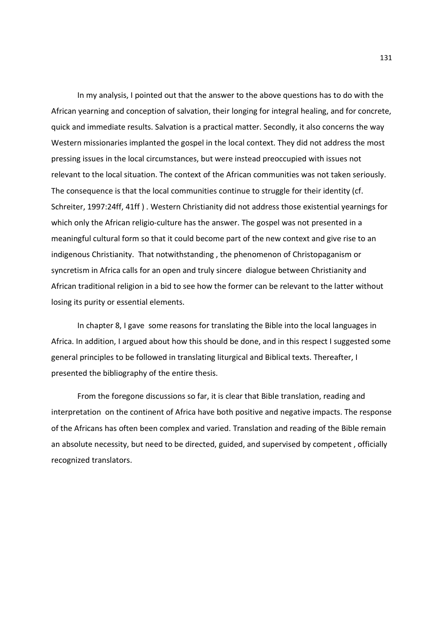In my analysis, I pointed out that the answer to the above questions has to do with the African yearning and conception of salvation, their longing for integral healing, and for concrete, quick and immediate results. Salvation is a practical matter. Secondly, it also concerns the way Western missionaries implanted the gospel in the local context. They did not address the most pressing issues in the local circumstances, but were instead preoccupied with issues not relevant to the local situation. The context of the African communities was not taken seriously. The consequence is that the local communities continue to struggle for their identity (cf. Schreiter, 1997:24ff, 41ff ) . Western Christianity did not address those existential yearnings for which only the African religio-culture has the answer. The gospel was not presented in a meaningful cultural form so that it could become part of the new context and give rise to an indigenous Christianity. That notwithstanding , the phenomenon of Christopaganism or syncretism in Africa calls for an open and truly sincere dialogue between Christianity and African traditional religion in a bid to see how the former can be relevant to the latter without losing its purity or essential elements.

In chapter 8, I gave some reasons for translating the Bible into the local languages in Africa. In addition, I argued about how this should be done, and in this respect I suggested some general principles to be followed in translating liturgical and Biblical texts. Thereafter, I presented the bibliography of the entire thesis.

From the foregone discussions so far, it is clear that Bible translation, reading and interpretation on the continent of Africa have both positive and negative impacts. The response of the Africans has often been complex and varied. Translation and reading of the Bible remain an absolute necessity, but need to be directed, guided, and supervised by competent , officially recognized translators.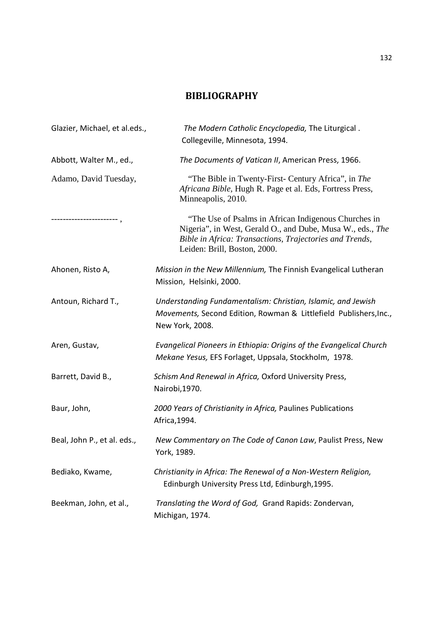# **BIBLIOGRAPHY**

| Glazier, Michael, et al.eds., | The Modern Catholic Encyclopedia, The Liturgical.<br>Collegeville, Minnesota, 1994.                                                                                                                           |
|-------------------------------|---------------------------------------------------------------------------------------------------------------------------------------------------------------------------------------------------------------|
| Abbott, Walter M., ed.,       | The Documents of Vatican II, American Press, 1966.                                                                                                                                                            |
| Adamo, David Tuesday,         | "The Bible in Twenty-First- Century Africa", in The<br>Africana Bible, Hugh R. Page et al. Eds, Fortress Press,<br>Minneapolis, 2010.                                                                         |
| ------------------            | "The Use of Psalms in African Indigenous Churches in<br>Nigeria", in West, Gerald O., and Dube, Musa W., eds., The<br>Bible in Africa: Transactions, Trajectories and Trends,<br>Leiden: Brill, Boston, 2000. |
| Ahonen, Risto A,              | Mission in the New Millennium, The Finnish Evangelical Lutheran<br>Mission, Helsinki, 2000.                                                                                                                   |
| Antoun, Richard T.,           | Understanding Fundamentalism: Christian, Islamic, and Jewish<br>Movements, Second Edition, Rowman & Littlefield Publishers, Inc.,<br>New York, 2008.                                                          |
| Aren, Gustav,                 | Evangelical Pioneers in Ethiopia: Origins of the Evangelical Church<br>Mekane Yesus, EFS Forlaget, Uppsala, Stockholm, 1978.                                                                                  |
| Barrett, David B.,            | Schism And Renewal in Africa, Oxford University Press,<br>Nairobi, 1970.                                                                                                                                      |
| Baur, John,                   | 2000 Years of Christianity in Africa, Paulines Publications<br>Africa, 1994.                                                                                                                                  |
| Beal, John P., et al. eds.,   | New Commentary on The Code of Canon Law, Paulist Press, New<br>York, 1989.                                                                                                                                    |
| Bediako, Kwame,               | Christianity in Africa: The Renewal of a Non-Western Religion,<br>Edinburgh University Press Ltd, Edinburgh, 1995.                                                                                            |
| Beekman, John, et al.,        | Translating the Word of God, Grand Rapids: Zondervan,<br>Michigan, 1974.                                                                                                                                      |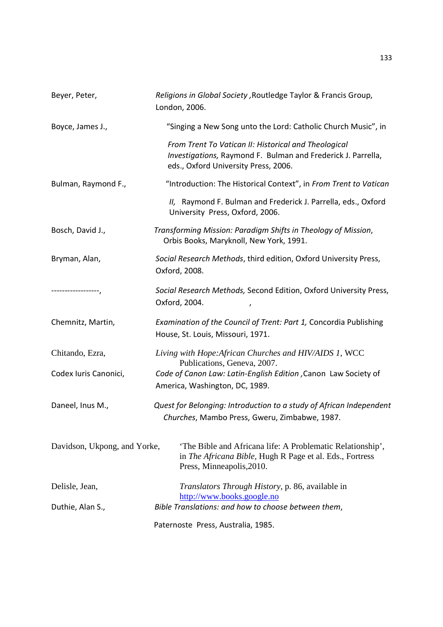| Beyer, Peter,                | Religions in Global Society, Routledge Taylor & Francis Group,<br>London, 2006.                                                                              |
|------------------------------|--------------------------------------------------------------------------------------------------------------------------------------------------------------|
| Boyce, James J.,             | "Singing a New Song unto the Lord: Catholic Church Music", in                                                                                                |
|                              | From Trent To Vatican II: Historical and Theological<br>Investigations, Raymond F. Bulman and Frederick J. Parrella,<br>eds., Oxford University Press, 2006. |
| Bulman, Raymond F.,          | "Introduction: The Historical Context", in From Trent to Vatican                                                                                             |
|                              | II, Raymond F. Bulman and Frederick J. Parrella, eds., Oxford<br>University Press, Oxford, 2006.                                                             |
| Bosch, David J.,             | Transforming Mission: Paradigm Shifts in Theology of Mission,<br>Orbis Books, Maryknoll, New York, 1991.                                                     |
| Bryman, Alan,                | Social Research Methods, third edition, Oxford University Press,<br>Oxford, 2008.                                                                            |
| ----------------,            | Social Research Methods, Second Edition, Oxford University Press,<br>Oxford, 2004.<br>$\prime$                                                               |
| Chemnitz, Martin,            | Examination of the Council of Trent: Part 1, Concordia Publishing<br>House, St. Louis, Missouri, 1971.                                                       |
| Chitando, Ezra,              | Living with Hope: African Churches and HIV/AIDS 1, WCC<br>Publications, Geneva, 2007.                                                                        |
| Codex Iuris Canonici,        | Code of Canon Law: Latin-English Edition , Canon Law Society of<br>America, Washington, DC, 1989.                                                            |
| Daneel, Inus M.,             | Quest for Belonging: Introduction to a study of African Independent<br>Churches, Mambo Press, Gweru, Zimbabwe, 1987.                                         |
| Davidson, Ukpong, and Yorke, | 'The Bible and Africana life: A Problematic Relationship',<br>in The Africana Bible, Hugh R Page et al. Eds., Fortress<br>Press, Minneapolis, 2010.          |
| Delisle, Jean,               | <i>Translators Through History</i> , p. 86, available in<br>http://www.books.google.no                                                                       |
| Duthie, Alan S.,             | Bible Translations: and how to choose between them,                                                                                                          |
|                              | Paternoste Press, Australia, 1985.                                                                                                                           |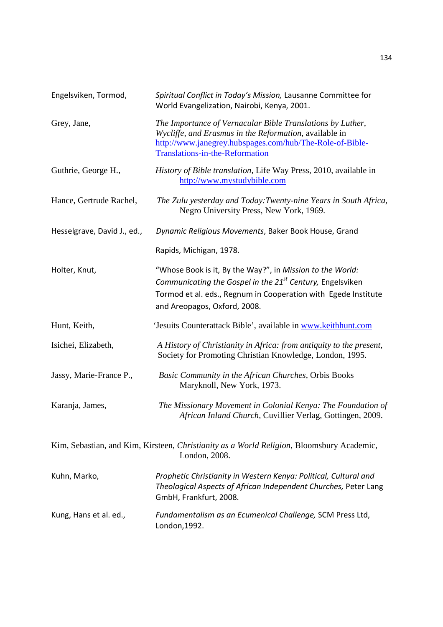| Engelsviken, Tormod,        | Spiritual Conflict in Today's Mission, Lausanne Committee for<br>World Evangelization, Nairobi, Kenya, 2001.                                                                                                                         |
|-----------------------------|--------------------------------------------------------------------------------------------------------------------------------------------------------------------------------------------------------------------------------------|
| Grey, Jane,                 | The Importance of Vernacular Bible Translations by Luther,<br>Wycliffe, and Erasmus in the Reformation, available in<br>http://www.janegrey.hubspages.com/hub/The-Role-of-Bible-<br>Translations-in-the-Reformation                  |
| Guthrie, George H.,         | History of Bible translation, Life Way Press, 2010, available in<br>http://www.mystudybible.com                                                                                                                                      |
| Hance, Gertrude Rachel,     | The Zulu yesterday and Today: Twenty-nine Years in South Africa,<br>Negro University Press, New York, 1969.                                                                                                                          |
| Hesselgrave, David J., ed., | Dynamic Religious Movements, Baker Book House, Grand                                                                                                                                                                                 |
|                             | Rapids, Michigan, 1978.                                                                                                                                                                                                              |
| Holter, Knut,               | "Whose Book is it, By the Way?", in Mission to the World:<br>Communicating the Gospel in the 21 <sup>st</sup> Century, Engelsviken<br>Tormod et al. eds., Regnum in Cooperation with Egede Institute<br>and Areopagos, Oxford, 2008. |
| Hunt, Keith,                | 'Jesuits Counterattack Bible', available in www.keithhunt.com                                                                                                                                                                        |
| Isichei, Elizabeth,         | A History of Christianity in Africa: from antiquity to the present,<br>Society for Promoting Christian Knowledge, London, 1995.                                                                                                      |
| Jassy, Marie-France P.,     | Basic Community in the African Churches, Orbis Books<br>Maryknoll, New York, 1973.                                                                                                                                                   |
| Karanja, James,             | The Missionary Movement in Colonial Kenya: The Foundation of<br>African Inland Church, Cuvillier Verlag, Gottingen, 2009.                                                                                                            |
|                             | Kim, Sebastian, and Kim, Kirsteen, Christianity as a World Religion, Bloomsbury Academic,<br>London, 2008.                                                                                                                           |
| Kuhn, Marko,                | Prophetic Christianity in Western Kenya: Political, Cultural and<br>Theological Aspects of African Independent Churches, Peter Lang<br>GmbH, Frankfurt, 2008.                                                                        |
| Kung, Hans et al. ed.,      | Fundamentalism as an Ecumenical Challenge, SCM Press Ltd,<br>London, 1992.                                                                                                                                                           |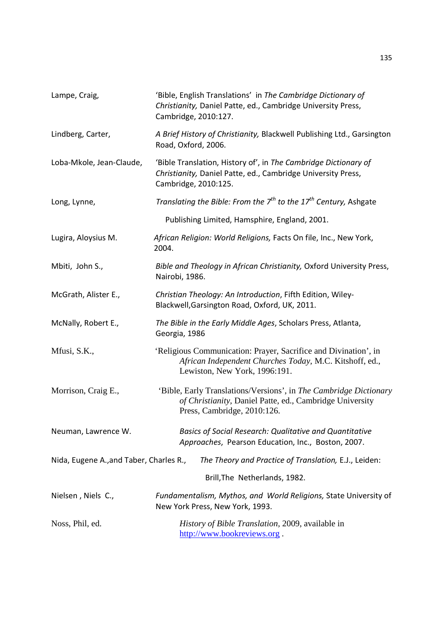| Lampe, Craig,                           | 'Bible, English Translations' in The Cambridge Dictionary of<br>Christianity, Daniel Patte, ed., Cambridge University Press,<br>Cambridge, 2010:127.         |
|-----------------------------------------|--------------------------------------------------------------------------------------------------------------------------------------------------------------|
| Lindberg, Carter,                       | A Brief History of Christianity, Blackwell Publishing Ltd., Garsington<br>Road, Oxford, 2006.                                                                |
| Loba-Mkole, Jean-Claude,                | 'Bible Translation, History of', in The Cambridge Dictionary of<br>Christianity, Daniel Patte, ed., Cambridge University Press,<br>Cambridge, 2010:125.      |
| Long, Lynne,                            | Translating the Bible: From the $7^{th}$ to the $17^{th}$ Century, Ashgate                                                                                   |
|                                         | Publishing Limited, Hamsphire, England, 2001.                                                                                                                |
| Lugira, Aloysius M.                     | African Religion: World Religions, Facts On file, Inc., New York,<br>2004.                                                                                   |
| Mbiti, John S.,                         | Bible and Theology in African Christianity, Oxford University Press,<br>Nairobi, 1986.                                                                       |
| McGrath, Alister E.,                    | Christian Theology: An Introduction, Fifth Edition, Wiley-<br>Blackwell, Garsington Road, Oxford, UK, 2011.                                                  |
| McNally, Robert E.,                     | The Bible in the Early Middle Ages, Scholars Press, Atlanta,<br>Georgia, 1986                                                                                |
| Mfusi, S.K.,                            | 'Religious Communication: Prayer, Sacrifice and Divination', in<br>African Independent Churches Today, M.C. Kitshoff, ed.,<br>Lewiston, New York, 1996:191.  |
| Morrison, Craig E.,                     | 'Bible, Early Translations/Versions', in The Cambridge Dictionary<br>of Christianity, Daniel Patte, ed., Cambridge University<br>Press, Cambridge, 2010:126. |
| Neuman, Lawrence W.                     | Basics of Social Research: Qualitative and Quantitative<br>Approaches, Pearson Education, Inc., Boston, 2007.                                                |
| Nida, Eugene A., and Taber, Charles R., | The Theory and Practice of Translation, E.J., Leiden:                                                                                                        |
|                                         | Brill, The Netherlands, 1982.                                                                                                                                |
| Nielsen, Niels C.,                      | Fundamentalism, Mythos, and World Religions, State University of<br>New York Press, New York, 1993.                                                          |
| Noss, Phil, ed.                         | History of Bible Translation, 2009, available in<br>http://www.bookreviews.org.                                                                              |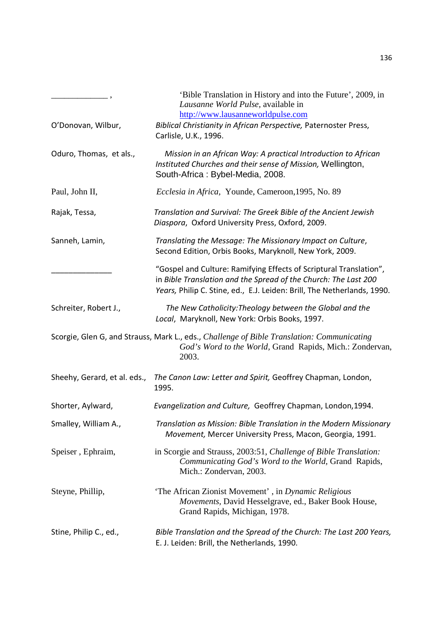| O'Donovan, Wilbur,           | 'Bible Translation in History and into the Future', 2009, in<br>Lausanne World Pulse, available in<br>http://www.lausanneworldpulse.com<br>Biblical Christianity in African Perspective, Paternoster Press,      |
|------------------------------|------------------------------------------------------------------------------------------------------------------------------------------------------------------------------------------------------------------|
|                              | Carlisle, U.K., 1996.                                                                                                                                                                                            |
| Oduro, Thomas, et als.,      | Mission in an African Way: A practical Introduction to African<br>Instituted Churches and their sense of Mission, Wellington,<br>South-Africa: Bybel-Media, 2008.                                                |
| Paul, John II,               | Ecclesia in Africa, Younde, Cameroon, 1995, No. 89                                                                                                                                                               |
| Rajak, Tessa,                | Translation and Survival: The Greek Bible of the Ancient Jewish<br>Diaspora, Oxford University Press, Oxford, 2009.                                                                                              |
| Sanneh, Lamin,               | Translating the Message: The Missionary Impact on Culture,<br>Second Edition, Orbis Books, Maryknoll, New York, 2009.                                                                                            |
|                              | "Gospel and Culture: Ramifying Effects of Scriptural Translation",<br>in Bible Translation and the Spread of the Church: The Last 200<br>Years, Philip C. Stine, ed., E.J. Leiden: Brill, The Netherlands, 1990. |
| Schreiter, Robert J.,        | The New Catholicity: Theology between the Global and the<br>Local, Maryknoll, New York: Orbis Books, 1997.                                                                                                       |
|                              | Scorgie, Glen G, and Strauss, Mark L., eds., Challenge of Bible Translation: Communicating<br>God's Word to the World, Grand Rapids, Mich.: Zondervan,<br>2003.                                                  |
| Sheehy, Gerard, et al. eds., | The Canon Law: Letter and Spirit, Geoffrey Chapman, London,<br>1995.                                                                                                                                             |
| Shorter, Aylward,            | Evangelization and Culture, Geoffrey Chapman, London, 1994.                                                                                                                                                      |
| Smalley, William A.,         | Translation as Mission: Bible Translation in the Modern Missionary<br>Movement, Mercer University Press, Macon, Georgia, 1991.                                                                                   |
| Speiser, Ephraim,            | in Scorgie and Strauss, 2003:51, Challenge of Bible Translation:<br>Communicating God's Word to the World, Grand Rapids,<br>Mich.: Zondervan, 2003.                                                              |
| Steyne, Phillip,             | 'The African Zionist Movement', in Dynamic Religious<br>Movements, David Hesselgrave, ed., Baker Book House,<br>Grand Rapids, Michigan, 1978.                                                                    |
| Stine, Philip C., ed.,       | Bible Translation and the Spread of the Church: The Last 200 Years,<br>E. J. Leiden: Brill, the Netherlands, 1990.                                                                                               |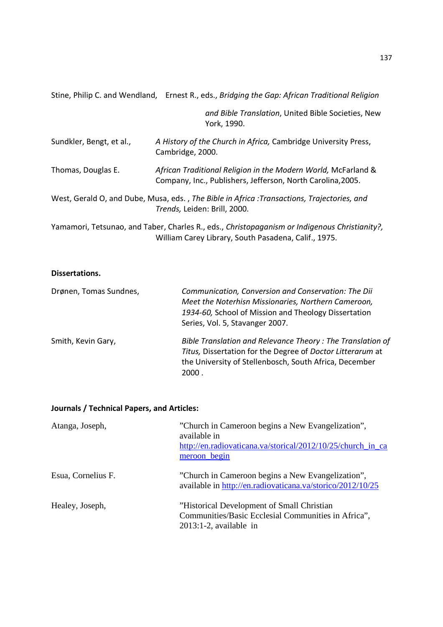|  | Stine, Philip C. and Wendland, Ernest R., eds., Bridging the Gap: African Traditional Religion |
|--|------------------------------------------------------------------------------------------------|
|  |                                                                                                |
|  |                                                                                                |

*and Bible Translation*, United Bible Societies, New York, 1990.

| Sundkler, Bengt, et al., | A History of the Church in Africa, Cambridge University Press,<br>Cambridge, 2000.                                           |
|--------------------------|------------------------------------------------------------------------------------------------------------------------------|
| Thomas, Douglas E.       | African Traditional Religion in the Modern World, McFarland &<br>Company, Inc., Publishers, Jefferson, North Carolina, 2005. |

West, Gerald O, and Dube, Musa, eds. , *The Bible in Africa :Transactions, Trajectories, and Trends,* Leiden: Brill, 2000.

Yamamori, Tetsunao, and Taber, Charles R., eds., *Christopaganism or Indigenous Christianity?,*  William Carey Library, South Pasadena, Calif., 1975.

## **Dissertations.**

| Drønen, Tomas Sundnes, | Communication, Conversion and Conservation: The Dii<br>Meet the Noterhisn Missionaries, Northern Cameroon,<br>1934-60, School of Mission and Theology Dissertation<br>Series, Vol. 5, Stavanger 2007. |
|------------------------|-------------------------------------------------------------------------------------------------------------------------------------------------------------------------------------------------------|
| Smith, Kevin Gary,     | Bible Translation and Relevance Theory: The Translation of<br>Titus, Dissertation for the Degree of Doctor Litterarum at<br>the University of Stellenbosch, South Africa, December<br>2000.           |

## **Journals / Technical Papers, and Articles:**

| Atanga, Joseph,    | "Church in Cameroon begins a New Evangelization",<br>available in<br>http://en.radiovaticana.va/storical/2012/10/25/church_in_ca<br>meroon begin |
|--------------------|--------------------------------------------------------------------------------------------------------------------------------------------------|
| Esua, Cornelius F. | "Church in Cameroon begins a New Evangelization",<br>available in http://en.radiovaticana.va/storico/2012/10/25                                  |
| Healey, Joseph,    | "Historical Development of Small Christian<br>Communities/Basic Ecclesial Communities in Africa",<br>$2013:1-2$ , available in                   |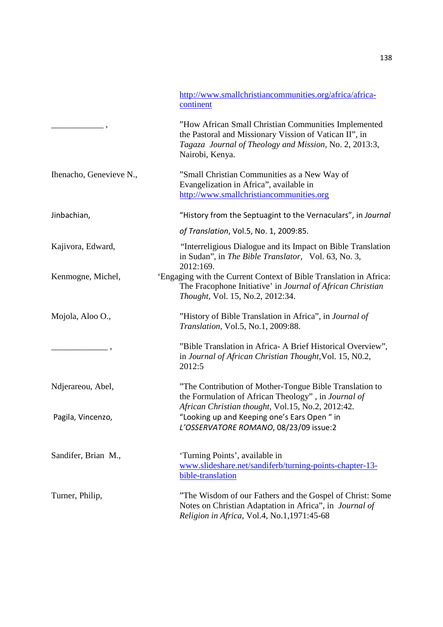|                         | http://www.smallchristiancommunities.org/africa/africa-<br>continent                                                                                                                        |
|-------------------------|---------------------------------------------------------------------------------------------------------------------------------------------------------------------------------------------|
|                         | "How African Small Christian Communities Implemented<br>the Pastoral and Missionary Vission of Vatican II", in<br>Tagaza Journal of Theology and Mission, No. 2, 2013:3,<br>Nairobi, Kenya. |
| Ihenacho, Genevieve N., | "Small Christian Communities as a New Way of<br>Evangelization in Africa", available in<br>http://www.smallchristiancommunities.org                                                         |
| Jinbachian,             | "History from the Septuagint to the Vernaculars", in Journal                                                                                                                                |
|                         | of Translation, Vol.5, No. 1, 2009:85.                                                                                                                                                      |
| Kajivora, Edward,       | "Interreligious Dialogue and its Impact on Bible Translation<br>in Sudan", in The Bible Translator, Vol. 63, No. 3,<br>2012:169.                                                            |
| Kenmogne, Michel,       | 'Engaging with the Current Context of Bible Translation in Africa:<br>The Fracophone Initiative' in Journal of African Christian<br>Thought, Vol. 15, No.2, 2012:34.                        |
| Mojola, Aloo O.,        | "History of Bible Translation in Africa", in Journal of<br>Translation, Vol.5, No.1, 2009:88.                                                                                               |
|                         | "Bible Translation in Africa- A Brief Historical Overview",<br>in Journal of African Christian Thought, Vol. 15, N0.2,<br>2012:5                                                            |
| Ndjerareou, Abel,       | "The Contribution of Mother-Tongue Bible Translation to<br>the Formulation of African Theology", in Journal of<br>African Christian thought, Vol.15, No.2, 2012:42.                         |
| Pagila, Vincenzo,       | "Looking up and Keeping one's Ears Open " in<br>L'OSSERVATORE ROMANO, 08/23/09 issue:2                                                                                                      |
| Sandifer, Brian M.,     | 'Turning Points', available in<br>www.slideshare.net/sandiferb/turning-points-chapter-13-<br>bible-translation                                                                              |
|                         |                                                                                                                                                                                             |
| Turner, Philip,         | "The Wisdom of our Fathers and the Gospel of Christ: Some<br>Notes on Christian Adaptation in Africa", in Journal of<br>Religion in Africa, Vol.4, No.1,1971:45-68                          |